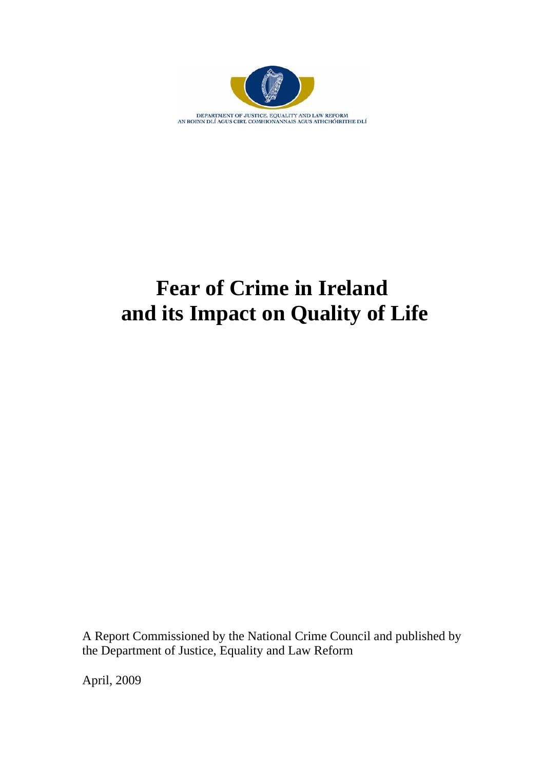

# **Fear of Crime in Ireland and its Impact on Quality of Life**

A Report Commissioned by the National Crime Council and published by the Department of Justice, Equality and Law Reform

April, 2009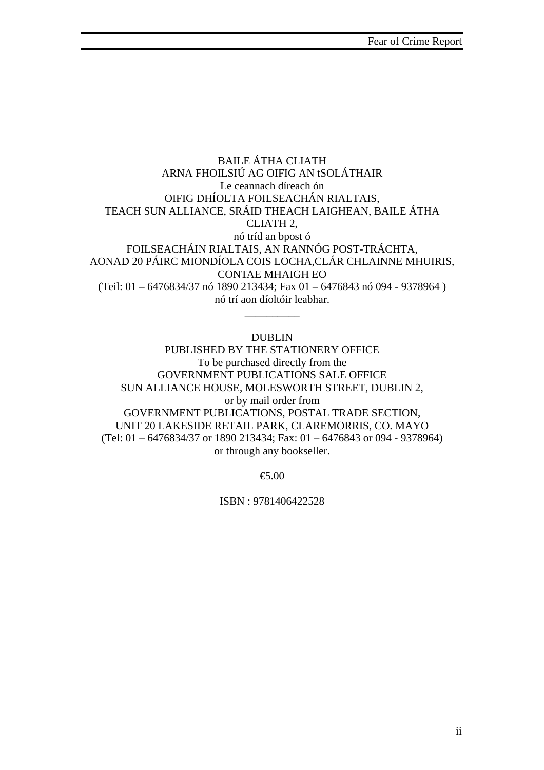### BAILE ÁTHA CLIATH ARNA FHOILSIÚ AG OIFIG AN tSOLÁTHAIR Le ceannach díreach ón OIFIG DHÍOLTA FOILSEACHÁN RIALTAIS, TEACH SUN ALLIANCE, SRÁID THEACH LAIGHEAN, BAILE ÁTHA CLIATH 2, nó tríd an bpost ó FOILSEACHÁIN RIALTAIS, AN RANNÓG POST-TRÁCHTA, AONAD 20 PÁIRC MIONDÍOLA COIS LOCHA,CLÁR CHLAINNE MHUIRIS, CONTAE MHAIGH EO (Teil: 01 – 6476834/37 nó 1890 213434; Fax 01 – 6476843 nó 094 - 9378964 ) nó trí aon díoltóir leabhar.

### DUBLIN

\_\_\_\_\_\_\_\_\_\_

PUBLISHED BY THE STATIONERY OFFICE To be purchased directly from the GOVERNMENT PUBLICATIONS SALE OFFICE SUN ALLIANCE HOUSE, MOLESWORTH STREET, DUBLIN 2, or by mail order from GOVERNMENT PUBLICATIONS, POSTAL TRADE SECTION, UNIT 20 LAKESIDE RETAIL PARK, CLAREMORRIS, CO. MAYO (Tel: 01 – 6476834/37 or 1890 213434; Fax: 01 – 6476843 or 094 - 9378964) or through any bookseller.

€5.00

ISBN : 9781406422528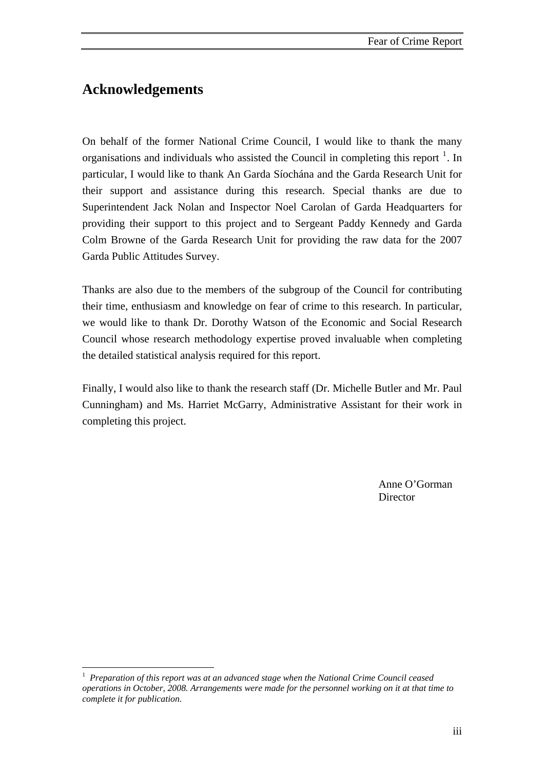## **Acknowledgements**

 $\overline{a}$ 

On behalf of the former National Crime Council, I would like to thank the many organisations and individuals who assisted the Council in completing this report  $<sup>1</sup>$  $<sup>1</sup>$  $<sup>1</sup>$ . In</sup> particular, I would like to thank An Garda Síochána and the Garda Research Unit for their support and assistance during this research. Special thanks are due to Superintendent Jack Nolan and Inspector Noel Carolan of Garda Headquarters for providing their support to this project and to Sergeant Paddy Kennedy and Garda Colm Browne of the Garda Research Unit for providing the raw data for the 2007 Garda Public Attitudes Survey.

Thanks are also due to the members of the subgroup of the Council for contributing their time, enthusiasm and knowledge on fear of crime to this research. In particular, we would like to thank Dr. Dorothy Watson of the Economic and Social Research Council whose research methodology expertise proved invaluable when completing the detailed statistical analysis required for this report.

Finally, I would also like to thank the research staff (Dr. Michelle Butler and Mr. Paul Cunningham) and Ms. Harriet McGarry, Administrative Assistant for their work in completing this project.

 Anne O'Gorman Director

<span id="page-2-0"></span><sup>1</sup> *Preparation of this report was at an advanced stage when the National Crime Council ceased operations in October, 2008. Arrangements were made for the personnel working on it at that time to complete it for publication.*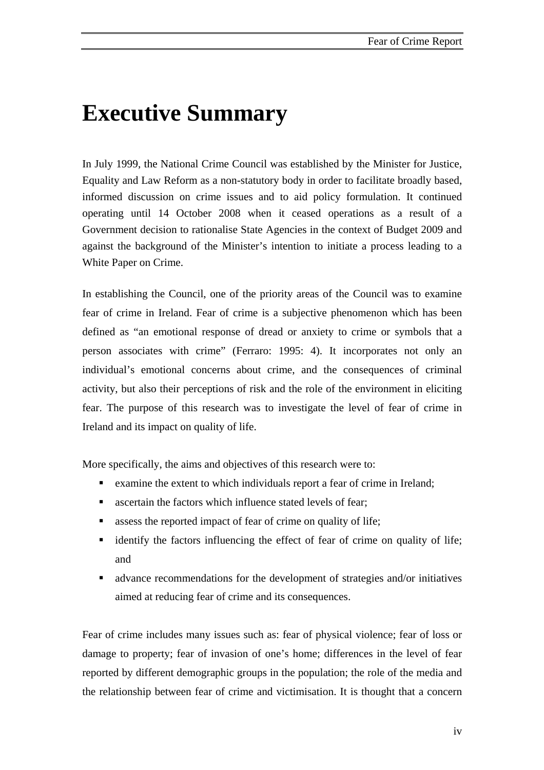## **Executive Summary**

In July 1999, the National Crime Council was established by the Minister for Justice, Equality and Law Reform as a non-statutory body in order to facilitate broadly based, informed discussion on crime issues and to aid policy formulation. It continued operating until 14 October 2008 when it ceased operations as a result of a Government decision to rationalise State Agencies in the context of Budget 2009 and against the background of the Minister's intention to initiate a process leading to a White Paper on Crime.

In establishing the Council, one of the priority areas of the Council was to examine fear of crime in Ireland. Fear of crime is a subjective phenomenon which has been defined as "an emotional response of dread or anxiety to crime or symbols that a person associates with crime" (Ferraro: 1995: 4). It incorporates not only an individual's emotional concerns about crime, and the consequences of criminal activity, but also their perceptions of risk and the role of the environment in eliciting fear. The purpose of this research was to investigate the level of fear of crime in Ireland and its impact on quality of life.

More specifically, the aims and objectives of this research were to:

- examine the extent to which individuals report a fear of crime in Ireland;
- ascertain the factors which influence stated levels of fear;
- **assess the reported impact of fear of crime on quality of life;**
- identify the factors influencing the effect of fear of crime on quality of life; and
- advance recommendations for the development of strategies and/or initiatives aimed at reducing fear of crime and its consequences.

Fear of crime includes many issues such as: fear of physical violence; fear of loss or damage to property; fear of invasion of one's home; differences in the level of fear reported by different demographic groups in the population; the role of the media and the relationship between fear of crime and victimisation. It is thought that a concern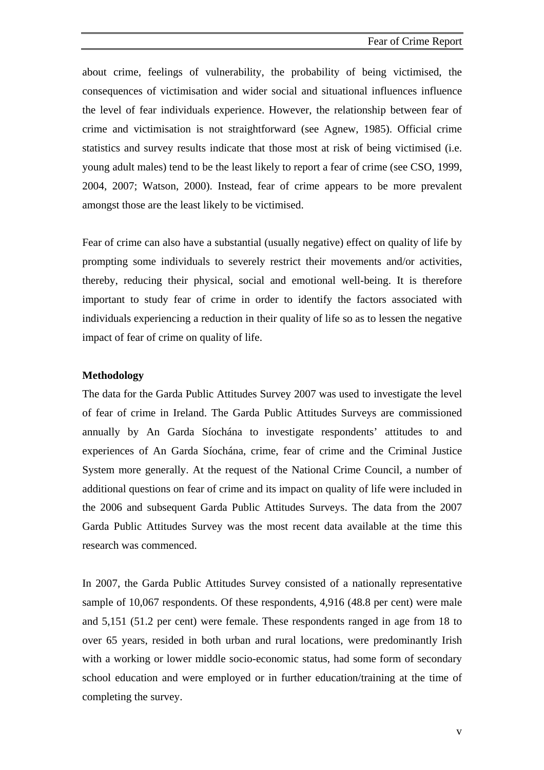about crime, feelings of vulnerability, the probability of being victimised, the consequences of victimisation and wider social and situational influences influence the level of fear individuals experience. However, the relationship between fear of crime and victimisation is not straightforward (see Agnew, 1985). Official crime statistics and survey results indicate that those most at risk of being victimised (i.e. young adult males) tend to be the least likely to report a fear of crime (see CSO, 1999, 2004, 2007; Watson, 2000). Instead, fear of crime appears to be more prevalent amongst those are the least likely to be victimised.

Fear of crime can also have a substantial (usually negative) effect on quality of life by prompting some individuals to severely restrict their movements and/or activities, thereby, reducing their physical, social and emotional well-being. It is therefore important to study fear of crime in order to identify the factors associated with individuals experiencing a reduction in their quality of life so as to lessen the negative impact of fear of crime on quality of life.

### **Methodology**

The data for the Garda Public Attitudes Survey 2007 was used to investigate the level of fear of crime in Ireland. The Garda Public Attitudes Surveys are commissioned annually by An Garda Síochána to investigate respondents' attitudes to and experiences of An Garda Síochána, crime, fear of crime and the Criminal Justice System more generally. At the request of the National Crime Council, a number of additional questions on fear of crime and its impact on quality of life were included in the 2006 and subsequent Garda Public Attitudes Surveys. The data from the 2007 Garda Public Attitudes Survey was the most recent data available at the time this research was commenced.

In 2007, the Garda Public Attitudes Survey consisted of a nationally representative sample of 10,067 respondents. Of these respondents, 4,916 (48.8 per cent) were male and 5,151 (51.2 per cent) were female. These respondents ranged in age from 18 to over 65 years, resided in both urban and rural locations, were predominantly Irish with a working or lower middle socio-economic status, had some form of secondary school education and were employed or in further education/training at the time of completing the survey.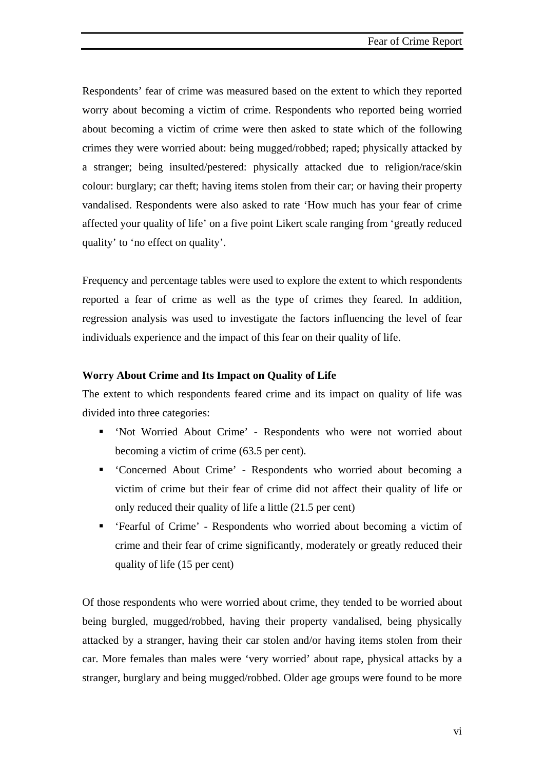Respondents' fear of crime was measured based on the extent to which they reported worry about becoming a victim of crime. Respondents who reported being worried about becoming a victim of crime were then asked to state which of the following crimes they were worried about: being mugged/robbed; raped; physically attacked by a stranger; being insulted/pestered: physically attacked due to religion/race/skin colour: burglary; car theft; having items stolen from their car; or having their property vandalised. Respondents were also asked to rate 'How much has your fear of crime affected your quality of life' on a five point Likert scale ranging from 'greatly reduced quality' to 'no effect on quality'.

Frequency and percentage tables were used to explore the extent to which respondents reported a fear of crime as well as the type of crimes they feared. In addition, regression analysis was used to investigate the factors influencing the level of fear individuals experience and the impact of this fear on their quality of life.

### **Worry About Crime and Its Impact on Quality of Life**

The extent to which respondents feared crime and its impact on quality of life was divided into three categories:

- 'Not Worried About Crime' Respondents who were not worried about becoming a victim of crime (63.5 per cent).
- 'Concerned About Crime' Respondents who worried about becoming a victim of crime but their fear of crime did not affect their quality of life or only reduced their quality of life a little (21.5 per cent)
- 'Fearful of Crime' Respondents who worried about becoming a victim of crime and their fear of crime significantly, moderately or greatly reduced their quality of life (15 per cent)

Of those respondents who were worried about crime, they tended to be worried about being burgled, mugged/robbed, having their property vandalised, being physically attacked by a stranger, having their car stolen and/or having items stolen from their car. More females than males were 'very worried' about rape, physical attacks by a stranger, burglary and being mugged/robbed. Older age groups were found to be more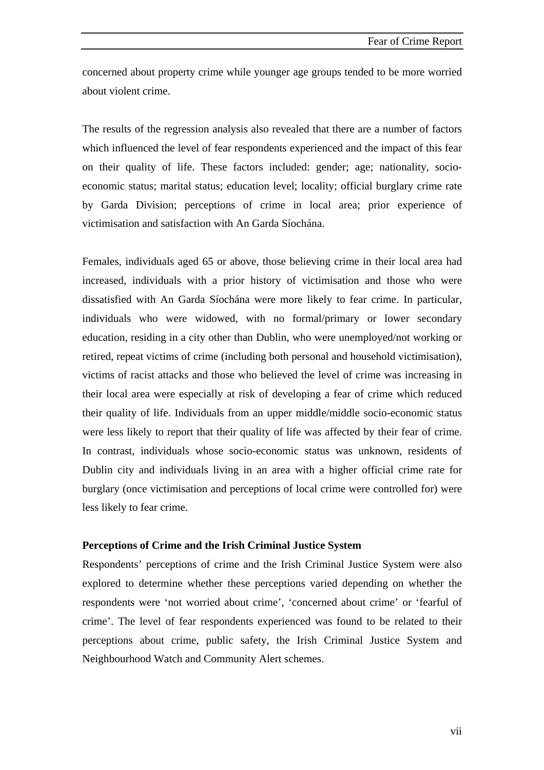concerned about property crime while younger age groups tended to be more worried about violent crime.

The results of the regression analysis also revealed that there are a number of factors which influenced the level of fear respondents experienced and the impact of this fear on their quality of life. These factors included: gender; age; nationality, socioeconomic status; marital status; education level; locality; official burglary crime rate by Garda Division; perceptions of crime in local area; prior experience of victimisation and satisfaction with An Garda Síochána.

Females, individuals aged 65 or above, those believing crime in their local area had increased, individuals with a prior history of victimisation and those who were dissatisfied with An Garda Síochána were more likely to fear crime. In particular, individuals who were widowed, with no formal/primary or lower secondary education, residing in a city other than Dublin, who were unemployed/not working or retired, repeat victims of crime (including both personal and household victimisation), victims of racist attacks and those who believed the level of crime was increasing in their local area were especially at risk of developing a fear of crime which reduced their quality of life. Individuals from an upper middle/middle socio-economic status were less likely to report that their quality of life was affected by their fear of crime. In contrast, individuals whose socio-economic status was unknown, residents of Dublin city and individuals living in an area with a higher official crime rate for burglary (once victimisation and perceptions of local crime were controlled for) were less likely to fear crime.

### **Perceptions of Crime and the Irish Criminal Justice System**

Respondents' perceptions of crime and the Irish Criminal Justice System were also explored to determine whether these perceptions varied depending on whether the respondents were 'not worried about crime', 'concerned about crime' or 'fearful of crime'. The level of fear respondents experienced was found to be related to their perceptions about crime, public safety, the Irish Criminal Justice System and Neighbourhood Watch and Community Alert schemes.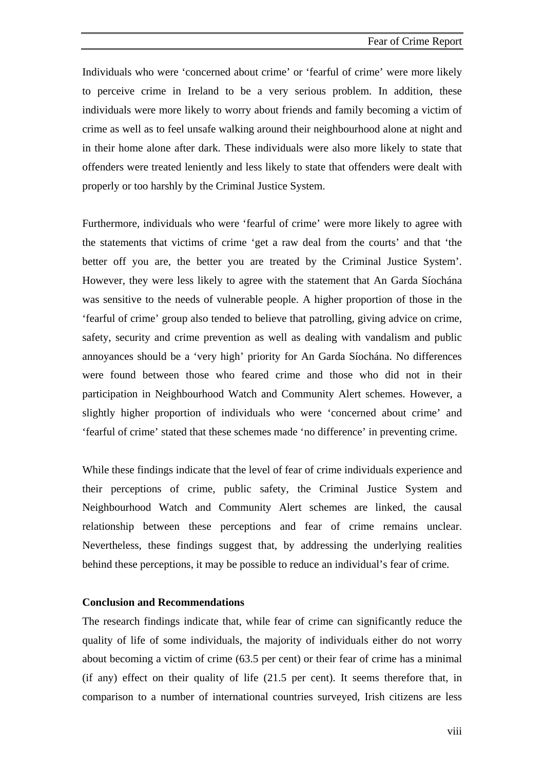Individuals who were 'concerned about crime' or 'fearful of crime' were more likely to perceive crime in Ireland to be a very serious problem. In addition, these individuals were more likely to worry about friends and family becoming a victim of crime as well as to feel unsafe walking around their neighbourhood alone at night and in their home alone after dark. These individuals were also more likely to state that offenders were treated leniently and less likely to state that offenders were dealt with properly or too harshly by the Criminal Justice System.

Furthermore, individuals who were 'fearful of crime' were more likely to agree with the statements that victims of crime 'get a raw deal from the courts' and that 'the better off you are, the better you are treated by the Criminal Justice System'. However, they were less likely to agree with the statement that An Garda Síochána was sensitive to the needs of vulnerable people. A higher proportion of those in the 'fearful of crime' group also tended to believe that patrolling, giving advice on crime, safety, security and crime prevention as well as dealing with vandalism and public annoyances should be a 'very high' priority for An Garda Síochána. No differences were found between those who feared crime and those who did not in their participation in Neighbourhood Watch and Community Alert schemes. However, a slightly higher proportion of individuals who were 'concerned about crime' and 'fearful of crime' stated that these schemes made 'no difference' in preventing crime.

While these findings indicate that the level of fear of crime individuals experience and their perceptions of crime, public safety, the Criminal Justice System and Neighbourhood Watch and Community Alert schemes are linked, the causal relationship between these perceptions and fear of crime remains unclear. Nevertheless, these findings suggest that, by addressing the underlying realities behind these perceptions, it may be possible to reduce an individual's fear of crime.

### **Conclusion and Recommendations**

The research findings indicate that, while fear of crime can significantly reduce the quality of life of some individuals, the majority of individuals either do not worry about becoming a victim of crime (63.5 per cent) or their fear of crime has a minimal (if any) effect on their quality of life (21.5 per cent). It seems therefore that, in comparison to a number of international countries surveyed, Irish citizens are less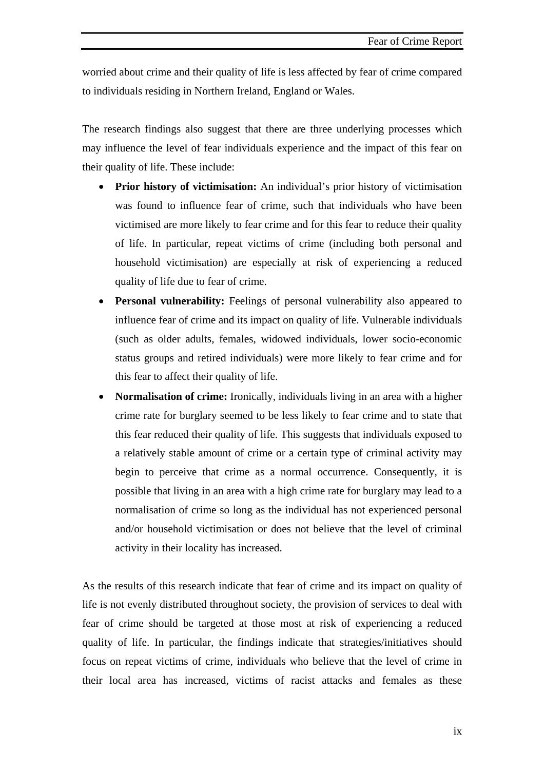worried about crime and their quality of life is less affected by fear of crime compared to individuals residing in Northern Ireland, England or Wales.

The research findings also suggest that there are three underlying processes which may influence the level of fear individuals experience and the impact of this fear on their quality of life. These include:

- **Prior history of victimisation:** An individual's prior history of victimisation was found to influence fear of crime, such that individuals who have been victimised are more likely to fear crime and for this fear to reduce their quality of life. In particular, repeat victims of crime (including both personal and household victimisation) are especially at risk of experiencing a reduced quality of life due to fear of crime.
- **Personal vulnerability:** Feelings of personal vulnerability also appeared to influence fear of crime and its impact on quality of life. Vulnerable individuals (such as older adults, females, widowed individuals, lower socio-economic status groups and retired individuals) were more likely to fear crime and for this fear to affect their quality of life.
- **Normalisation of crime:** Ironically, individuals living in an area with a higher crime rate for burglary seemed to be less likely to fear crime and to state that this fear reduced their quality of life. This suggests that individuals exposed to a relatively stable amount of crime or a certain type of criminal activity may begin to perceive that crime as a normal occurrence. Consequently, it is possible that living in an area with a high crime rate for burglary may lead to a normalisation of crime so long as the individual has not experienced personal and/or household victimisation or does not believe that the level of criminal activity in their locality has increased.

As the results of this research indicate that fear of crime and its impact on quality of life is not evenly distributed throughout society, the provision of services to deal with fear of crime should be targeted at those most at risk of experiencing a reduced quality of life. In particular, the findings indicate that strategies/initiatives should focus on repeat victims of crime, individuals who believe that the level of crime in their local area has increased, victims of racist attacks and females as these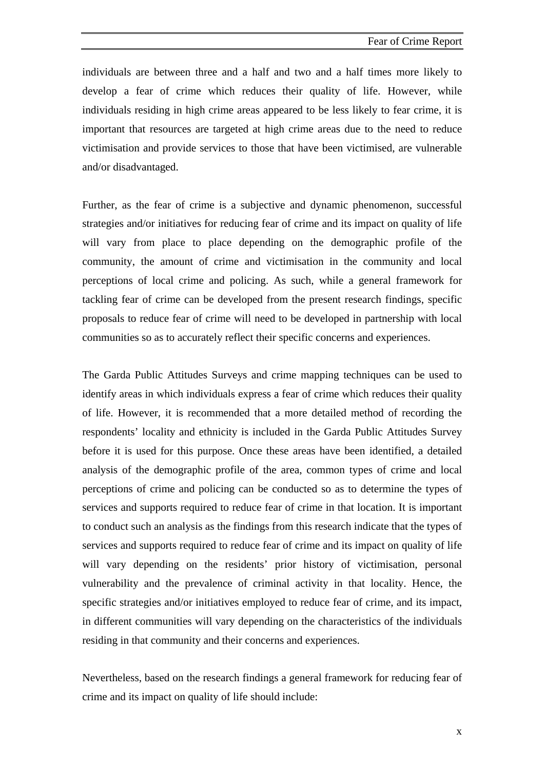individuals are between three and a half and two and a half times more likely to develop a fear of crime which reduces their quality of life. However, while individuals residing in high crime areas appeared to be less likely to fear crime, it is important that resources are targeted at high crime areas due to the need to reduce victimisation and provide services to those that have been victimised, are vulnerable and/or disadvantaged.

Further, as the fear of crime is a subjective and dynamic phenomenon, successful strategies and/or initiatives for reducing fear of crime and its impact on quality of life will vary from place to place depending on the demographic profile of the community, the amount of crime and victimisation in the community and local perceptions of local crime and policing. As such, while a general framework for tackling fear of crime can be developed from the present research findings, specific proposals to reduce fear of crime will need to be developed in partnership with local communities so as to accurately reflect their specific concerns and experiences.

The Garda Public Attitudes Surveys and crime mapping techniques can be used to identify areas in which individuals express a fear of crime which reduces their quality of life. However, it is recommended that a more detailed method of recording the respondents' locality and ethnicity is included in the Garda Public Attitudes Survey before it is used for this purpose. Once these areas have been identified, a detailed analysis of the demographic profile of the area, common types of crime and local perceptions of crime and policing can be conducted so as to determine the types of services and supports required to reduce fear of crime in that location. It is important to conduct such an analysis as the findings from this research indicate that the types of services and supports required to reduce fear of crime and its impact on quality of life will vary depending on the residents' prior history of victimisation, personal vulnerability and the prevalence of criminal activity in that locality. Hence, the specific strategies and/or initiatives employed to reduce fear of crime, and its impact, in different communities will vary depending on the characteristics of the individuals residing in that community and their concerns and experiences.

Nevertheless, based on the research findings a general framework for reducing fear of crime and its impact on quality of life should include:

x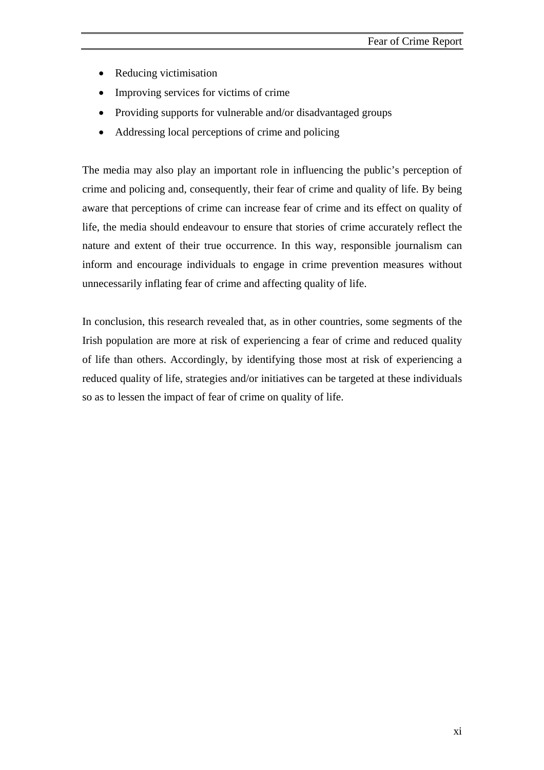- Reducing victimisation
- Improving services for victims of crime
- Providing supports for vulnerable and/or disadvantaged groups
- Addressing local perceptions of crime and policing

The media may also play an important role in influencing the public's perception of crime and policing and, consequently, their fear of crime and quality of life. By being aware that perceptions of crime can increase fear of crime and its effect on quality of life, the media should endeavour to ensure that stories of crime accurately reflect the nature and extent of their true occurrence. In this way, responsible journalism can inform and encourage individuals to engage in crime prevention measures without unnecessarily inflating fear of crime and affecting quality of life.

In conclusion, this research revealed that, as in other countries, some segments of the Irish population are more at risk of experiencing a fear of crime and reduced quality of life than others. Accordingly, by identifying those most at risk of experiencing a reduced quality of life, strategies and/or initiatives can be targeted at these individuals so as to lessen the impact of fear of crime on quality of life.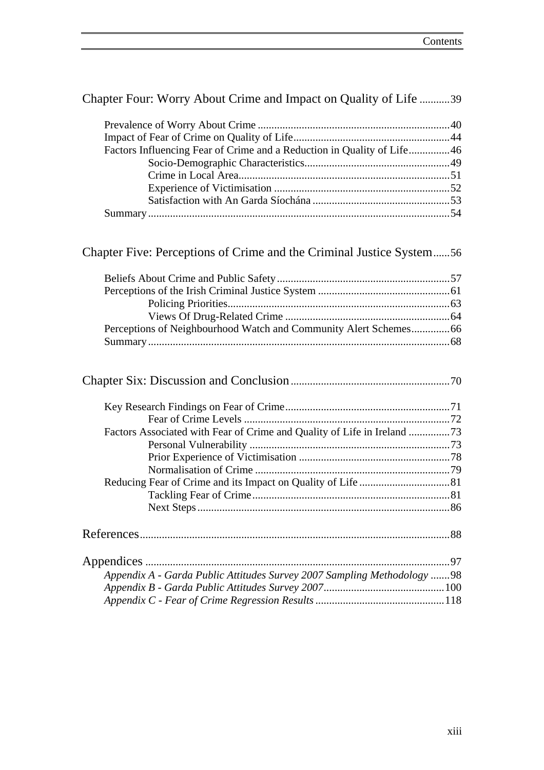| Factors Influencing Fear of Crime and a Reduction in Quality of Life46  |  |
|-------------------------------------------------------------------------|--|
|                                                                         |  |
|                                                                         |  |
|                                                                         |  |
|                                                                         |  |
|                                                                         |  |
|                                                                         |  |
| Chapter Five: Perceptions of Crime and the Criminal Justice System56    |  |
|                                                                         |  |
|                                                                         |  |
|                                                                         |  |
|                                                                         |  |
| Perceptions of Neighbourhood Watch and Community Alert Schemes 66       |  |
|                                                                         |  |
|                                                                         |  |
|                                                                         |  |
|                                                                         |  |
| Factors Associated with Fear of Crime and Quality of Life in Ireland 73 |  |
|                                                                         |  |
|                                                                         |  |
|                                                                         |  |
|                                                                         |  |
|                                                                         |  |

Chapter Four: Worry About Crime and Impact on Quality of Life ...........39

Prevalence of Worry About Crime ......................................................................40

| Appendix A - Garda Public Attitudes Survey 2007 Sampling Methodology 98 |  |
|-------------------------------------------------------------------------|--|
|                                                                         |  |
|                                                                         |  |

Next Steps ............................................................................................86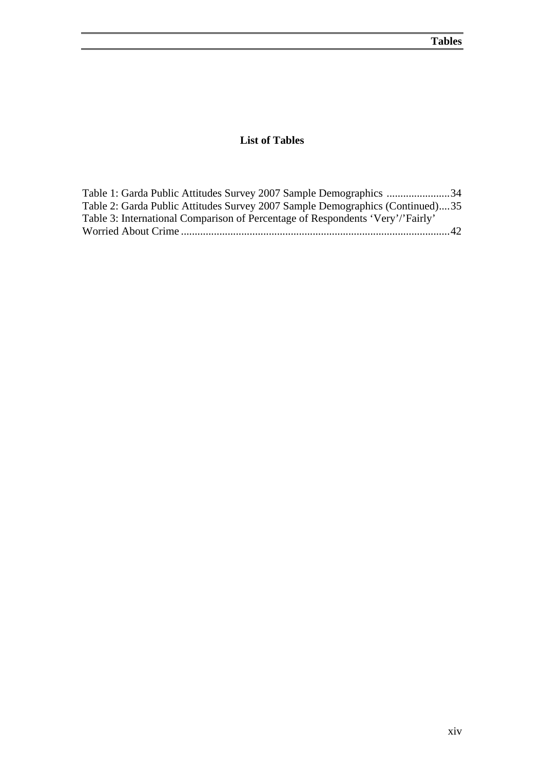### **List of Tables**

<span id="page-13-0"></span>

| Table 1: Garda Public Attitudes Survey 2007 Sample Demographics 34             |  |
|--------------------------------------------------------------------------------|--|
| Table 2: Garda Public Attitudes Survey 2007 Sample Demographics (Continued)35  |  |
| Table 3: International Comparison of Percentage of Respondents 'Very'/'Fairly' |  |
|                                                                                |  |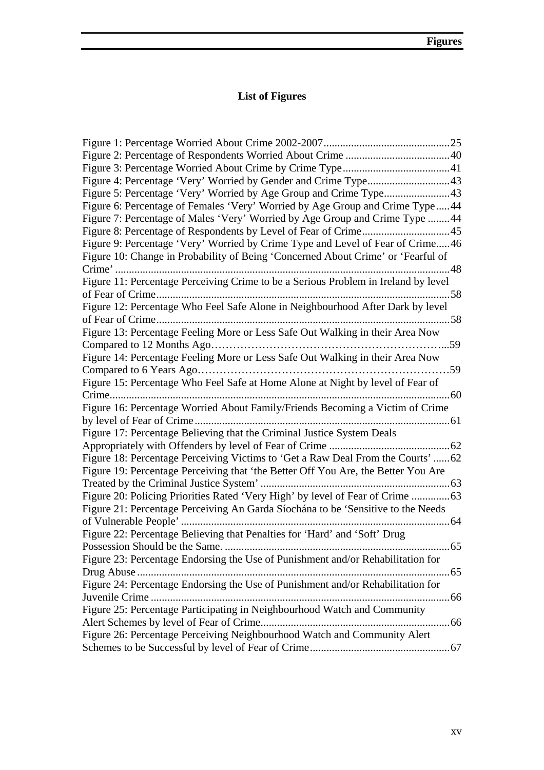### **List of Figures**

<span id="page-14-0"></span>

| Figure 4: Percentage 'Very' Worried by Gender and Crime Type43                     |     |
|------------------------------------------------------------------------------------|-----|
| Figure 5: Percentage 'Very' Worried by Age Group and Crime Type43                  |     |
| Figure 6: Percentage of Females 'Very' Worried by Age Group and Crime Type44       |     |
| Figure 7: Percentage of Males 'Very' Worried by Age Group and Crime Type 44        |     |
|                                                                                    |     |
| Figure 9: Percentage 'Very' Worried by Crime Type and Level of Fear of Crime46     |     |
| Figure 10: Change in Probability of Being 'Concerned About Crime' or 'Fearful of   |     |
|                                                                                    |     |
| Figure 11: Percentage Perceiving Crime to be a Serious Problem in Ireland by level |     |
|                                                                                    |     |
| Figure 12: Percentage Who Feel Safe Alone in Neighbourhood After Dark by level     |     |
|                                                                                    |     |
| Figure 13: Percentage Feeling More or Less Safe Out Walking in their Area Now      |     |
|                                                                                    |     |
| Figure 14: Percentage Feeling More or Less Safe Out Walking in their Area Now      |     |
|                                                                                    |     |
| Figure 15: Percentage Who Feel Safe at Home Alone at Night by level of Fear of     |     |
| Crime                                                                              |     |
| Figure 16: Percentage Worried About Family/Friends Becoming a Victim of Crime      |     |
|                                                                                    |     |
| Figure 17: Percentage Believing that the Criminal Justice System Deals             |     |
|                                                                                    |     |
| Figure 18: Percentage Perceiving Victims to 'Get a Raw Deal From the Courts' 62    |     |
| Figure 19: Percentage Perceiving that 'the Better Off You Are, the Better You Are  |     |
|                                                                                    |     |
| Figure 20: Policing Priorities Rated 'Very High' by level of Fear of Crime         |     |
| Figure 21: Percentage Perceiving An Garda Síochána to be 'Sensitive to the Needs   |     |
|                                                                                    |     |
| Figure 22: Percentage Believing that Penalties for 'Hard' and 'Soft' Drug          |     |
| Possession Should be the Same                                                      | .65 |
| Figure 23: Percentage Endorsing the Use of Punishment and/or Rehabilitation for    |     |
|                                                                                    |     |
| Figure 24: Percentage Endorsing the Use of Punishment and/or Rehabilitation for    |     |
|                                                                                    |     |
| Figure 25: Percentage Participating in Neighbourhood Watch and Community           |     |
|                                                                                    |     |
| Figure 26: Percentage Perceiving Neighbourhood Watch and Community Alert           |     |
|                                                                                    |     |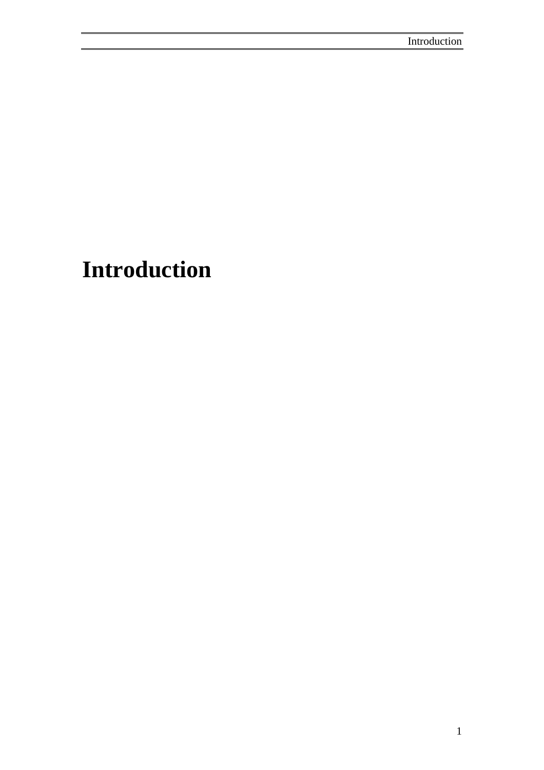# **Introduction**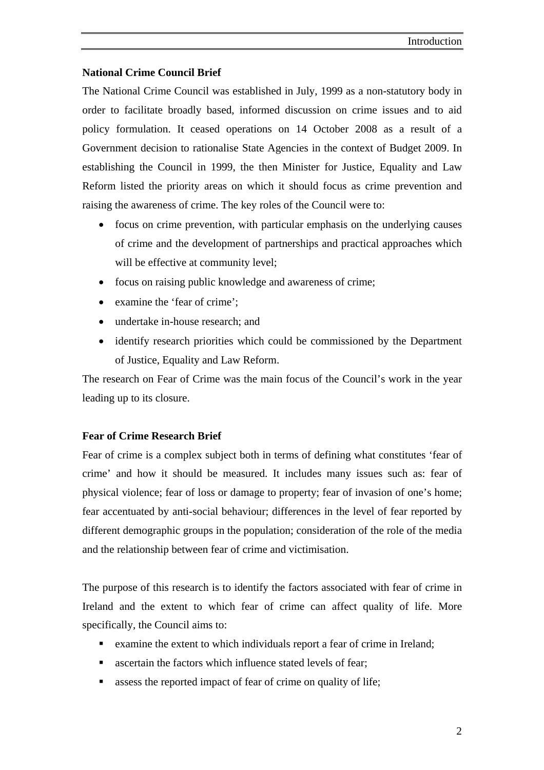### **National Crime Council Brief**

The National Crime Council was established in July, 1999 as a non-statutory body in order to facilitate broadly based, informed discussion on crime issues and to aid policy formulation. It ceased operations on 14 October 2008 as a result of a Government decision to rationalise State Agencies in the context of Budget 2009. In establishing the Council in 1999, the then Minister for Justice, Equality and Law Reform listed the priority areas on which it should focus as crime prevention and raising the awareness of crime. The key roles of the Council were to:

- focus on crime prevention, with particular emphasis on the underlying causes of crime and the development of partnerships and practical approaches which will be effective at community level;
- focus on raising public knowledge and awareness of crime;
- examine the 'fear of crime':
- undertake in-house research; and
- identify research priorities which could be commissioned by the Department of Justice, Equality and Law Reform.

The research on Fear of Crime was the main focus of the Council's work in the year leading up to its closure.

### **Fear of Crime Research Brief**

Fear of crime is a complex subject both in terms of defining what constitutes 'fear of crime' and how it should be measured. It includes many issues such as: fear of physical violence; fear of loss or damage to property; fear of invasion of one's home; fear accentuated by anti-social behaviour; differences in the level of fear reported by different demographic groups in the population; consideration of the role of the media and the relationship between fear of crime and victimisation.

The purpose of this research is to identify the factors associated with fear of crime in Ireland and the extent to which fear of crime can affect quality of life. More specifically, the Council aims to:

- examine the extent to which individuals report a fear of crime in Ireland;
- ascertain the factors which influence stated levels of fear;
- assess the reported impact of fear of crime on quality of life;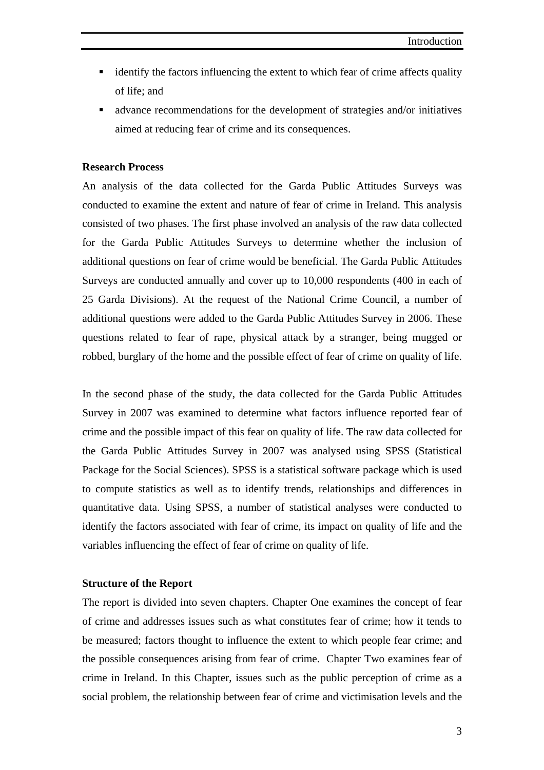- identify the factors influencing the extent to which fear of crime affects quality of life; and
- advance recommendations for the development of strategies and/or initiatives aimed at reducing fear of crime and its consequences.

### **Research Process**

An analysis of the data collected for the Garda Public Attitudes Surveys was conducted to examine the extent and nature of fear of crime in Ireland. This analysis consisted of two phases. The first phase involved an analysis of the raw data collected for the Garda Public Attitudes Surveys to determine whether the inclusion of additional questions on fear of crime would be beneficial. The Garda Public Attitudes Surveys are conducted annually and cover up to 10,000 respondents (400 in each of 25 Garda Divisions). At the request of the National Crime Council, a number of additional questions were added to the Garda Public Attitudes Survey in 2006. These questions related to fear of rape, physical attack by a stranger, being mugged or robbed, burglary of the home and the possible effect of fear of crime on quality of life.

In the second phase of the study, the data collected for the Garda Public Attitudes Survey in 2007 was examined to determine what factors influence reported fear of crime and the possible impact of this fear on quality of life. The raw data collected for the Garda Public Attitudes Survey in 2007 was analysed using SPSS (Statistical Package for the Social Sciences). SPSS is a statistical software package which is used to compute statistics as well as to identify trends, relationships and differences in quantitative data. Using SPSS, a number of statistical analyses were conducted to identify the factors associated with fear of crime, its impact on quality of life and the variables influencing the effect of fear of crime on quality of life.

#### **Structure of the Report**

The report is divided into seven chapters. Chapter One examines the concept of fear of crime and addresses issues such as what constitutes fear of crime; how it tends to be measured; factors thought to influence the extent to which people fear crime; and the possible consequences arising from fear of crime. Chapter Two examines fear of crime in Ireland. In this Chapter, issues such as the public perception of crime as a social problem, the relationship between fear of crime and victimisation levels and the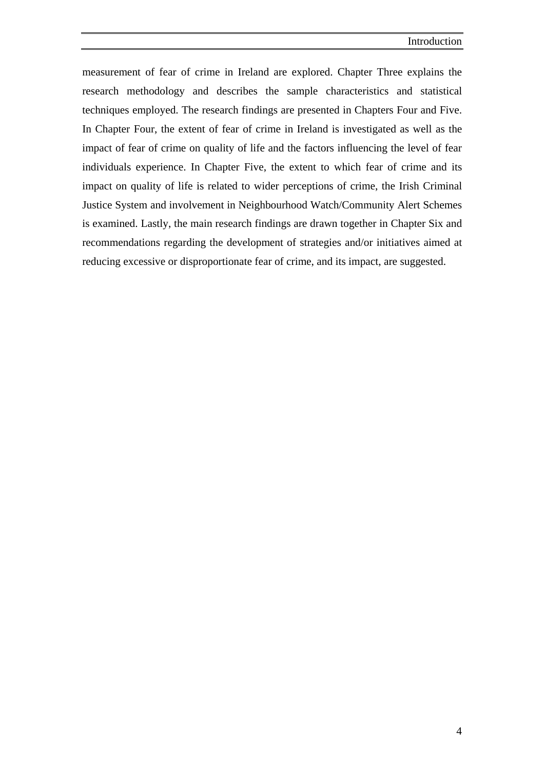measurement of fear of crime in Ireland are explored. Chapter Three explains the research methodology and describes the sample characteristics and statistical techniques employed. The research findings are presented in Chapters Four and Five. In Chapter Four, the extent of fear of crime in Ireland is investigated as well as the impact of fear of crime on quality of life and the factors influencing the level of fear individuals experience. In Chapter Five, the extent to which fear of crime and its impact on quality of life is related to wider perceptions of crime, the Irish Criminal Justice System and involvement in Neighbourhood Watch/Community Alert Schemes is examined. Lastly, the main research findings are drawn together in Chapter Six and recommendations regarding the development of strategies and/or initiatives aimed at reducing excessive or disproportionate fear of crime, and its impact, are suggested.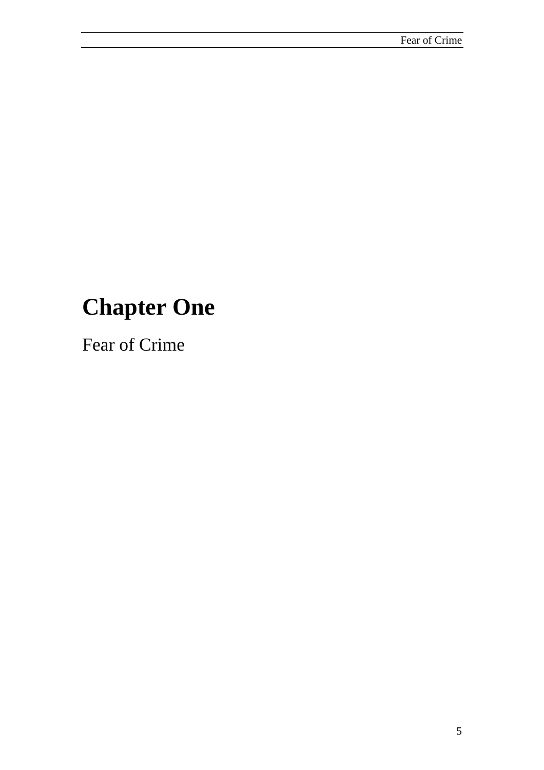# **Chapter One**

Fear of Crime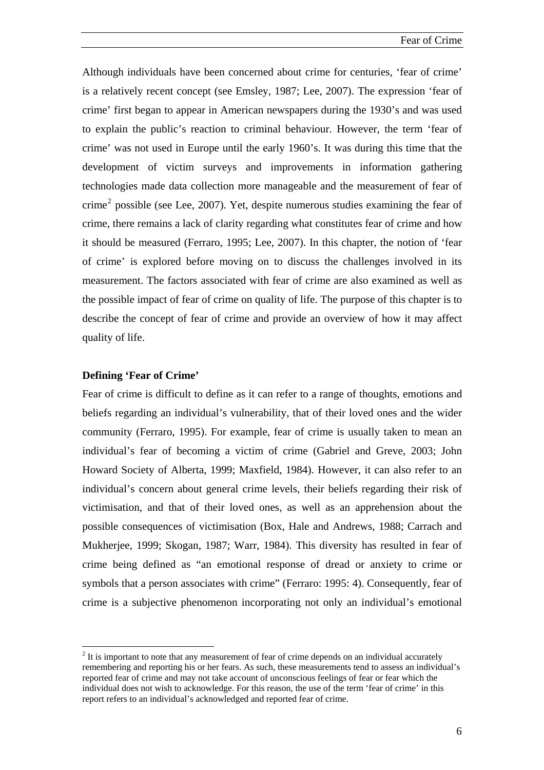Although individuals have been concerned about crime for centuries, 'fear of crime' is a relatively recent concept (see Emsley, 1987; Lee, 2007). The expression 'fear of crime' first began to appear in American newspapers during the 1930's and was used to explain the public's reaction to criminal behaviour. However, the term 'fear of crime' was not used in Europe until the early 1960's. It was during this time that the development of victim surveys and improvements in information gathering technologies made data collection more manageable and the measurement of fear of crime<sup>[2](#page-20-0)</sup> possible (see Lee, 2007). Yet, despite numerous studies examining the fear of crime, there remains a lack of clarity regarding what constitutes fear of crime and how it should be measured (Ferraro, 1995; Lee, 2007). In this chapter, the notion of 'fear of crime' is explored before moving on to discuss the challenges involved in its measurement. The factors associated with fear of crime are also examined as well as the possible impact of fear of crime on quality of life. The purpose of this chapter is to describe the concept of fear of crime and provide an overview of how it may affect quality of life.

### **Defining 'Fear of Crime'**

 $\overline{a}$ 

Fear of crime is difficult to define as it can refer to a range of thoughts, emotions and beliefs regarding an individual's vulnerability, that of their loved ones and the wider community (Ferraro, 1995). For example, fear of crime is usually taken to mean an individual's fear of becoming a victim of crime (Gabriel and Greve, 2003; John Howard Society of Alberta, 1999; Maxfield, 1984). However, it can also refer to an individual's concern about general crime levels, their beliefs regarding their risk of victimisation, and that of their loved ones, as well as an apprehension about the possible consequences of victimisation (Box, Hale and Andrews, 1988; Carrach and Mukherjee, 1999; Skogan, 1987; Warr, 1984). This diversity has resulted in fear of crime being defined as "an emotional response of dread or anxiety to crime or symbols that a person associates with crime" (Ferraro: 1995: 4). Consequently, fear of crime is a subjective phenomenon incorporating not only an individual's emotional

<span id="page-20-0"></span> $2<sup>2</sup>$  It is important to note that any measurement of fear of crime depends on an individual accurately remembering and reporting his or her fears. As such, these measurements tend to assess an individual's reported fear of crime and may not take account of unconscious feelings of fear or fear which the individual does not wish to acknowledge. For this reason, the use of the term 'fear of crime' in this report refers to an individual's acknowledged and reported fear of crime.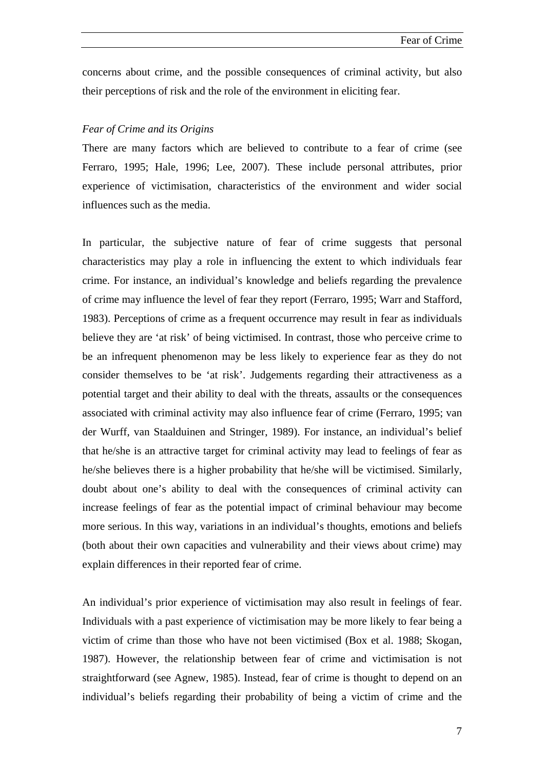concerns about crime, and the possible consequences of criminal activity, but also their perceptions of risk and the role of the environment in eliciting fear.

### *Fear of Crime and its Origins*

There are many factors which are believed to contribute to a fear of crime (see Ferraro, 1995; Hale, 1996; Lee, 2007). These include personal attributes, prior experience of victimisation, characteristics of the environment and wider social influences such as the media.

In particular, the subjective nature of fear of crime suggests that personal characteristics may play a role in influencing the extent to which individuals fear crime. For instance, an individual's knowledge and beliefs regarding the prevalence of crime may influence the level of fear they report (Ferraro, 1995; Warr and Stafford, 1983). Perceptions of crime as a frequent occurrence may result in fear as individuals believe they are 'at risk' of being victimised. In contrast, those who perceive crime to be an infrequent phenomenon may be less likely to experience fear as they do not consider themselves to be 'at risk'. Judgements regarding their attractiveness as a potential target and their ability to deal with the threats, assaults or the consequences associated with criminal activity may also influence fear of crime (Ferraro, 1995; van der Wurff, van Staalduinen and Stringer, 1989). For instance, an individual's belief that he/she is an attractive target for criminal activity may lead to feelings of fear as he/she believes there is a higher probability that he/she will be victimised. Similarly, doubt about one's ability to deal with the consequences of criminal activity can increase feelings of fear as the potential impact of criminal behaviour may become more serious. In this way, variations in an individual's thoughts, emotions and beliefs (both about their own capacities and vulnerability and their views about crime) may explain differences in their reported fear of crime.

An individual's prior experience of victimisation may also result in feelings of fear. Individuals with a past experience of victimisation may be more likely to fear being a victim of crime than those who have not been victimised (Box et al. 1988; Skogan, 1987). However, the relationship between fear of crime and victimisation is not straightforward (see Agnew, 1985). Instead, fear of crime is thought to depend on an individual's beliefs regarding their probability of being a victim of crime and the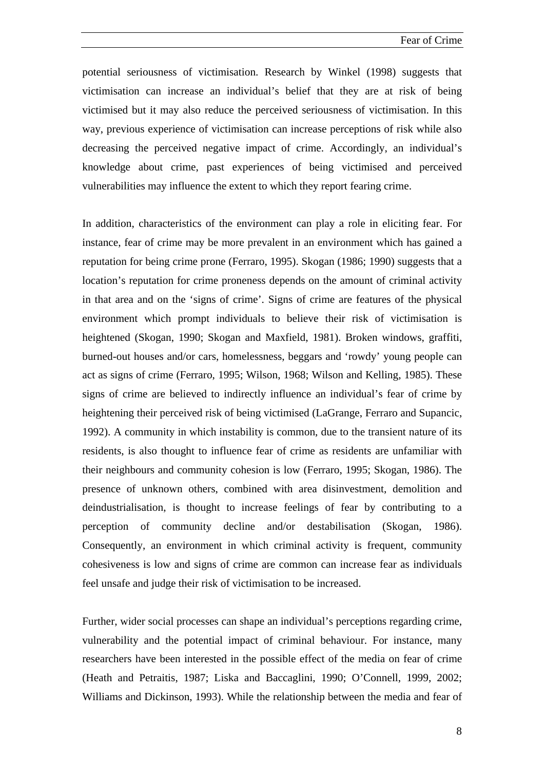potential seriousness of victimisation. Research by Winkel (1998) suggests that victimisation can increase an individual's belief that they are at risk of being victimised but it may also reduce the perceived seriousness of victimisation. In this way, previous experience of victimisation can increase perceptions of risk while also decreasing the perceived negative impact of crime. Accordingly, an individual's knowledge about crime, past experiences of being victimised and perceived vulnerabilities may influence the extent to which they report fearing crime.

In addition, characteristics of the environment can play a role in eliciting fear. For instance, fear of crime may be more prevalent in an environment which has gained a reputation for being crime prone (Ferraro, 1995). Skogan (1986; 1990) suggests that a location's reputation for crime proneness depends on the amount of criminal activity in that area and on the 'signs of crime'. Signs of crime are features of the physical environment which prompt individuals to believe their risk of victimisation is heightened (Skogan, 1990; Skogan and Maxfield, 1981). Broken windows, graffiti, burned-out houses and/or cars, homelessness, beggars and 'rowdy' young people can act as signs of crime (Ferraro, 1995; Wilson, 1968; Wilson and Kelling, 1985). These signs of crime are believed to indirectly influence an individual's fear of crime by heightening their perceived risk of being victimised (LaGrange, Ferraro and Supancic, 1992). A community in which instability is common, due to the transient nature of its residents, is also thought to influence fear of crime as residents are unfamiliar with their neighbours and community cohesion is low (Ferraro, 1995; Skogan, 1986). The presence of unknown others, combined with area disinvestment, demolition and deindustrialisation, is thought to increase feelings of fear by contributing to a perception of community decline and/or destabilisation (Skogan, 1986). Consequently, an environment in which criminal activity is frequent, community cohesiveness is low and signs of crime are common can increase fear as individuals feel unsafe and judge their risk of victimisation to be increased.

Further, wider social processes can shape an individual's perceptions regarding crime, vulnerability and the potential impact of criminal behaviour. For instance, many researchers have been interested in the possible effect of the media on fear of crime (Heath and Petraitis, 1987; Liska and Baccaglini, 1990; O'Connell, 1999, 2002; Williams and Dickinson, 1993). While the relationship between the media and fear of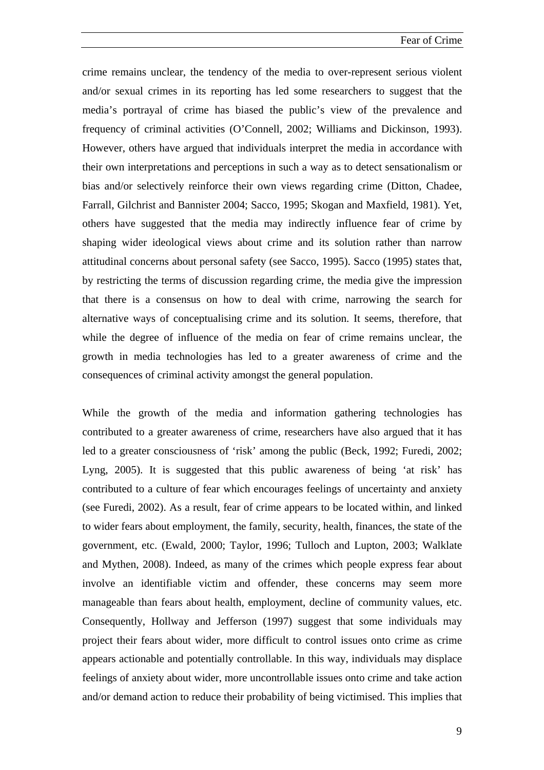crime remains unclear, the tendency of the media to over-represent serious violent and/or sexual crimes in its reporting has led some researchers to suggest that the media's portrayal of crime has biased the public's view of the prevalence and frequency of criminal activities (O'Connell, 2002; Williams and Dickinson, 1993). However, others have argued that individuals interpret the media in accordance with their own interpretations and perceptions in such a way as to detect sensationalism or bias and/or selectively reinforce their own views regarding crime (Ditton, Chadee, Farrall, Gilchrist and Bannister 2004; Sacco, 1995; Skogan and Maxfield, 1981). Yet, others have suggested that the media may indirectly influence fear of crime by shaping wider ideological views about crime and its solution rather than narrow attitudinal concerns about personal safety (see Sacco, 1995). Sacco (1995) states that, by restricting the terms of discussion regarding crime, the media give the impression that there is a consensus on how to deal with crime, narrowing the search for alternative ways of conceptualising crime and its solution. It seems, therefore, that while the degree of influence of the media on fear of crime remains unclear, the growth in media technologies has led to a greater awareness of crime and the consequences of criminal activity amongst the general population.

While the growth of the media and information gathering technologies has contributed to a greater awareness of crime, researchers have also argued that it has led to a greater consciousness of 'risk' among the public (Beck, 1992; Furedi, 2002; Lyng, 2005). It is suggested that this public awareness of being 'at risk' has contributed to a culture of fear which encourages feelings of uncertainty and anxiety (see Furedi, 2002). As a result, fear of crime appears to be located within, and linked to wider fears about employment, the family, security, health, finances, the state of the government, etc. (Ewald, 2000; Taylor, 1996; Tulloch and Lupton, 2003; Walklate and Mythen, 2008). Indeed, as many of the crimes which people express fear about involve an identifiable victim and offender, these concerns may seem more manageable than fears about health, employment, decline of community values, etc. Consequently, Hollway and Jefferson (1997) suggest that some individuals may project their fears about wider, more difficult to control issues onto crime as crime appears actionable and potentially controllable. In this way, individuals may displace feelings of anxiety about wider, more uncontrollable issues onto crime and take action and/or demand action to reduce their probability of being victimised. This implies that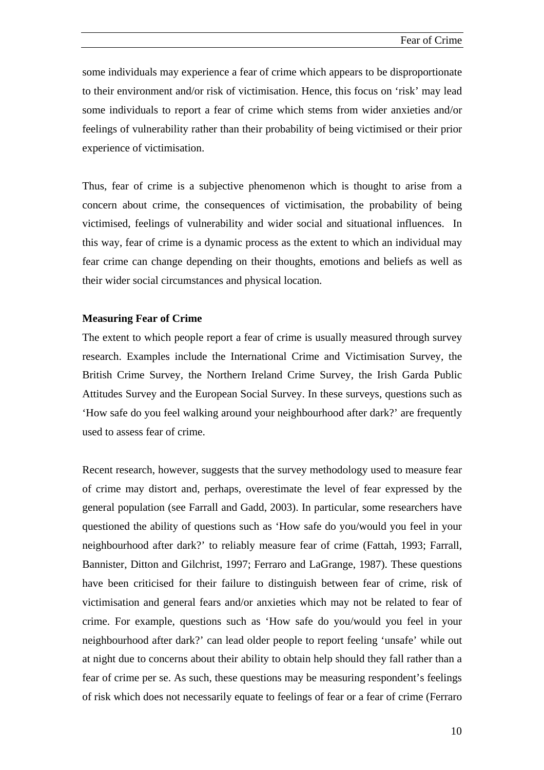some individuals may experience a fear of crime which appears to be disproportionate to their environment and/or risk of victimisation. Hence, this focus on 'risk' may lead some individuals to report a fear of crime which stems from wider anxieties and/or feelings of vulnerability rather than their probability of being victimised or their prior experience of victimisation.

Thus, fear of crime is a subjective phenomenon which is thought to arise from a concern about crime, the consequences of victimisation, the probability of being victimised, feelings of vulnerability and wider social and situational influences. In this way, fear of crime is a dynamic process as the extent to which an individual may fear crime can change depending on their thoughts, emotions and beliefs as well as their wider social circumstances and physical location.

### **Measuring Fear of Crime**

The extent to which people report a fear of crime is usually measured through survey research. Examples include the International Crime and Victimisation Survey, the British Crime Survey, the Northern Ireland Crime Survey, the Irish Garda Public Attitudes Survey and the European Social Survey. In these surveys, questions such as 'How safe do you feel walking around your neighbourhood after dark?' are frequently used to assess fear of crime.

Recent research, however, suggests that the survey methodology used to measure fear of crime may distort and, perhaps, overestimate the level of fear expressed by the general population (see Farrall and Gadd, 2003). In particular, some researchers have questioned the ability of questions such as 'How safe do you/would you feel in your neighbourhood after dark?' to reliably measure fear of crime (Fattah, 1993; Farrall, Bannister, Ditton and Gilchrist, 1997; Ferraro and LaGrange, 1987). These questions have been criticised for their failure to distinguish between fear of crime, risk of victimisation and general fears and/or anxieties which may not be related to fear of crime. For example, questions such as 'How safe do you/would you feel in your neighbourhood after dark?' can lead older people to report feeling 'unsafe' while out at night due to concerns about their ability to obtain help should they fall rather than a fear of crime per se. As such, these questions may be measuring respondent's feelings of risk which does not necessarily equate to feelings of fear or a fear of crime (Ferraro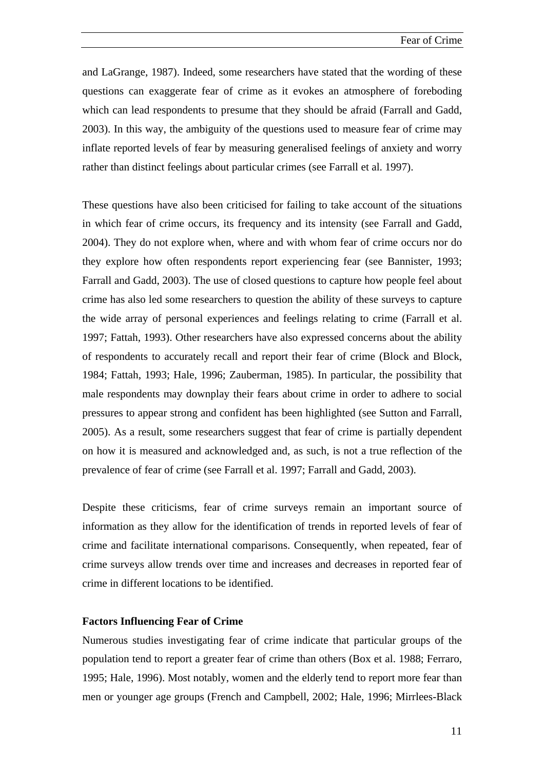and LaGrange, 1987). Indeed, some researchers have stated that the wording of these questions can exaggerate fear of crime as it evokes an atmosphere of foreboding which can lead respondents to presume that they should be afraid (Farrall and Gadd, 2003). In this way, the ambiguity of the questions used to measure fear of crime may inflate reported levels of fear by measuring generalised feelings of anxiety and worry rather than distinct feelings about particular crimes (see Farrall et al. 1997).

These questions have also been criticised for failing to take account of the situations in which fear of crime occurs, its frequency and its intensity (see Farrall and Gadd, 2004). They do not explore when, where and with whom fear of crime occurs nor do they explore how often respondents report experiencing fear (see Bannister, 1993; Farrall and Gadd, 2003). The use of closed questions to capture how people feel about crime has also led some researchers to question the ability of these surveys to capture the wide array of personal experiences and feelings relating to crime (Farrall et al. 1997; Fattah, 1993). Other researchers have also expressed concerns about the ability of respondents to accurately recall and report their fear of crime (Block and Block, 1984; Fattah, 1993; Hale, 1996; Zauberman, 1985). In particular, the possibility that male respondents may downplay their fears about crime in order to adhere to social pressures to appear strong and confident has been highlighted (see Sutton and Farrall, 2005). As a result, some researchers suggest that fear of crime is partially dependent on how it is measured and acknowledged and, as such, is not a true reflection of the prevalence of fear of crime (see Farrall et al. 1997; Farrall and Gadd, 2003).

Despite these criticisms, fear of crime surveys remain an important source of information as they allow for the identification of trends in reported levels of fear of crime and facilitate international comparisons. Consequently, when repeated, fear of crime surveys allow trends over time and increases and decreases in reported fear of crime in different locations to be identified.

### **Factors Influencing Fear of Crime**

Numerous studies investigating fear of crime indicate that particular groups of the population tend to report a greater fear of crime than others (Box et al. 1988; Ferraro, 1995; Hale, 1996). Most notably, women and the elderly tend to report more fear than men or younger age groups (French and Campbell, 2002; Hale, 1996; Mirrlees-Black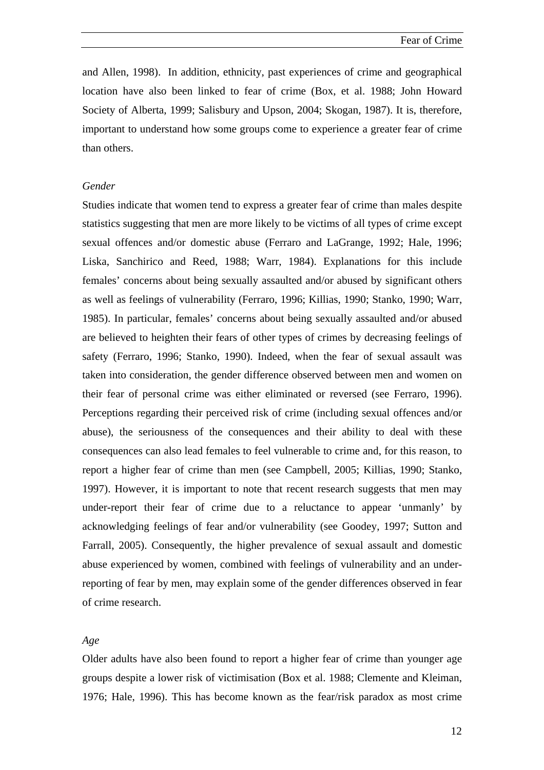and Allen, 1998). In addition, ethnicity, past experiences of crime and geographical location have also been linked to fear of crime (Box, et al. 1988; John Howard Society of Alberta, 1999; Salisbury and Upson, 2004; Skogan, 1987). It is, therefore, important to understand how some groups come to experience a greater fear of crime than others.

### *Gender*

Studies indicate that women tend to express a greater fear of crime than males despite statistics suggesting that men are more likely to be victims of all types of crime except sexual offences and/or domestic abuse (Ferraro and LaGrange, 1992; Hale, 1996; Liska, Sanchirico and Reed, 1988; Warr, 1984). Explanations for this include females' concerns about being sexually assaulted and/or abused by significant others as well as feelings of vulnerability (Ferraro, 1996; Killias, 1990; Stanko, 1990; Warr, 1985). In particular, females' concerns about being sexually assaulted and/or abused are believed to heighten their fears of other types of crimes by decreasing feelings of safety (Ferraro, 1996; Stanko, 1990). Indeed, when the fear of sexual assault was taken into consideration, the gender difference observed between men and women on their fear of personal crime was either eliminated or reversed (see Ferraro, 1996). Perceptions regarding their perceived risk of crime (including sexual offences and/or abuse), the seriousness of the consequences and their ability to deal with these consequences can also lead females to feel vulnerable to crime and, for this reason, to report a higher fear of crime than men (see Campbell, 2005; Killias, 1990; Stanko, 1997). However, it is important to note that recent research suggests that men may under-report their fear of crime due to a reluctance to appear 'unmanly' by acknowledging feelings of fear and/or vulnerability (see Goodey, 1997; Sutton and Farrall, 2005). Consequently, the higher prevalence of sexual assault and domestic abuse experienced by women, combined with feelings of vulnerability and an underreporting of fear by men, may explain some of the gender differences observed in fear of crime research.

### *Age*

Older adults have also been found to report a higher fear of crime than younger age groups despite a lower risk of victimisation (Box et al. 1988; Clemente and Kleiman, 1976; Hale, 1996). This has become known as the fear/risk paradox as most crime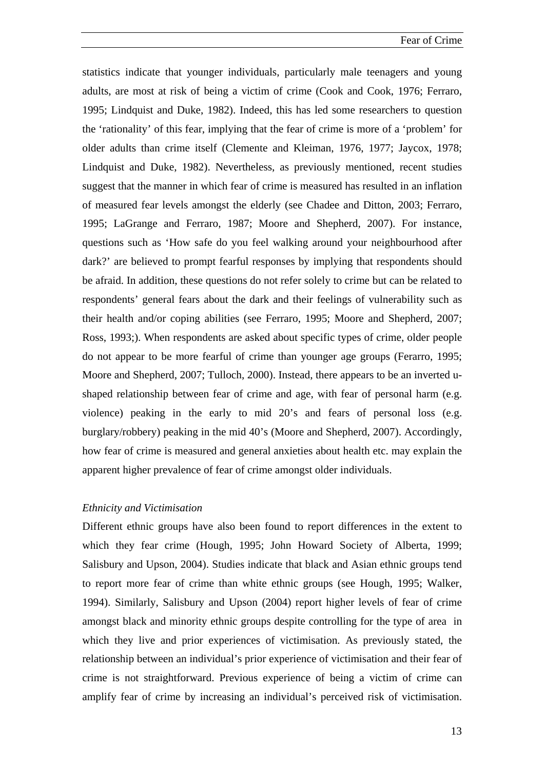statistics indicate that younger individuals, particularly male teenagers and young adults, are most at risk of being a victim of crime (Cook and Cook, 1976; Ferraro, 1995; Lindquist and Duke, 1982). Indeed, this has led some researchers to question the 'rationality' of this fear, implying that the fear of crime is more of a 'problem' for older adults than crime itself (Clemente and Kleiman, 1976, 1977; Jaycox, 1978; Lindquist and Duke, 1982). Nevertheless, as previously mentioned, recent studies suggest that the manner in which fear of crime is measured has resulted in an inflation of measured fear levels amongst the elderly (see Chadee and Ditton, 2003; Ferraro, 1995; LaGrange and Ferraro, 1987; Moore and Shepherd, 2007). For instance, questions such as 'How safe do you feel walking around your neighbourhood after dark?' are believed to prompt fearful responses by implying that respondents should be afraid. In addition, these questions do not refer solely to crime but can be related to respondents' general fears about the dark and their feelings of vulnerability such as their health and/or coping abilities (see Ferraro, 1995; Moore and Shepherd, 2007; Ross, 1993;). When respondents are asked about specific types of crime, older people do not appear to be more fearful of crime than younger age groups (Ferarro, 1995; Moore and Shepherd, 2007; Tulloch, 2000). Instead, there appears to be an inverted ushaped relationship between fear of crime and age, with fear of personal harm (e.g. violence) peaking in the early to mid 20's and fears of personal loss (e.g. burglary/robbery) peaking in the mid 40's (Moore and Shepherd, 2007). Accordingly, how fear of crime is measured and general anxieties about health etc. may explain the apparent higher prevalence of fear of crime amongst older individuals.

#### *Ethnicity and Victimisation*

Different ethnic groups have also been found to report differences in the extent to which they fear crime (Hough, 1995; John Howard Society of Alberta, 1999; Salisbury and Upson, 2004). Studies indicate that black and Asian ethnic groups tend to report more fear of crime than white ethnic groups (see Hough, 1995; Walker, 1994). Similarly, Salisbury and Upson (2004) report higher levels of fear of crime amongst black and minority ethnic groups despite controlling for the type of area in which they live and prior experiences of victimisation. As previously stated, the relationship between an individual's prior experience of victimisation and their fear of crime is not straightforward. Previous experience of being a victim of crime can amplify fear of crime by increasing an individual's perceived risk of victimisation.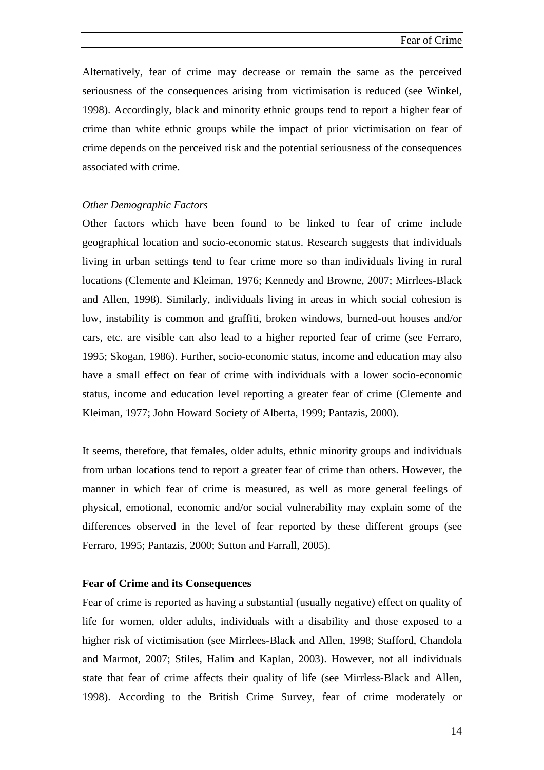Alternatively, fear of crime may decrease or remain the same as the perceived seriousness of the consequences arising from victimisation is reduced (see Winkel, 1998). Accordingly, black and minority ethnic groups tend to report a higher fear of crime than white ethnic groups while the impact of prior victimisation on fear of crime depends on the perceived risk and the potential seriousness of the consequences associated with crime.

### *Other Demographic Factors*

Other factors which have been found to be linked to fear of crime include geographical location and socio-economic status. Research suggests that individuals living in urban settings tend to fear crime more so than individuals living in rural locations (Clemente and Kleiman, 1976; Kennedy and Browne, 2007; Mirrlees-Black and Allen, 1998). Similarly, individuals living in areas in which social cohesion is low, instability is common and graffiti, broken windows, burned-out houses and/or cars, etc. are visible can also lead to a higher reported fear of crime (see Ferraro, 1995; Skogan, 1986). Further, socio-economic status, income and education may also have a small effect on fear of crime with individuals with a lower socio-economic status, income and education level reporting a greater fear of crime (Clemente and Kleiman, 1977; John Howard Society of Alberta, 1999; Pantazis, 2000).

It seems, therefore, that females, older adults, ethnic minority groups and individuals from urban locations tend to report a greater fear of crime than others. However, the manner in which fear of crime is measured, as well as more general feelings of physical, emotional, economic and/or social vulnerability may explain some of the differences observed in the level of fear reported by these different groups (see Ferraro, 1995; Pantazis, 2000; Sutton and Farrall, 2005).

#### **Fear of Crime and its Consequences**

Fear of crime is reported as having a substantial (usually negative) effect on quality of life for women, older adults, individuals with a disability and those exposed to a higher risk of victimisation (see Mirrlees-Black and Allen, 1998; Stafford, Chandola and Marmot, 2007; Stiles, Halim and Kaplan, 2003). However, not all individuals state that fear of crime affects their quality of life (see Mirrless-Black and Allen, 1998). According to the British Crime Survey, fear of crime moderately or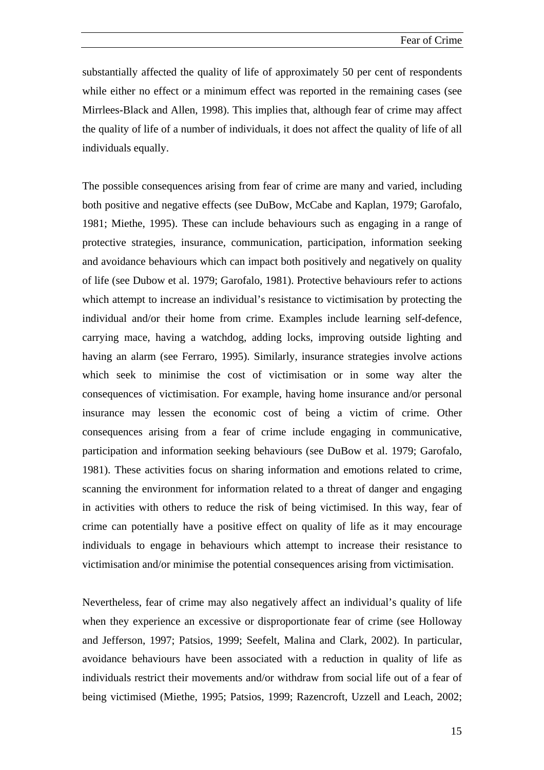substantially affected the quality of life of approximately 50 per cent of respondents while either no effect or a minimum effect was reported in the remaining cases (see Mirrlees-Black and Allen, 1998). This implies that, although fear of crime may affect the quality of life of a number of individuals, it does not affect the quality of life of all individuals equally.

The possible consequences arising from fear of crime are many and varied, including both positive and negative effects (see DuBow, McCabe and Kaplan, 1979; Garofalo, 1981; Miethe, 1995). These can include behaviours such as engaging in a range of protective strategies, insurance, communication, participation, information seeking and avoidance behaviours which can impact both positively and negatively on quality of life (see Dubow et al. 1979; Garofalo, 1981). Protective behaviours refer to actions which attempt to increase an individual's resistance to victimisation by protecting the individual and/or their home from crime. Examples include learning self-defence, carrying mace, having a watchdog, adding locks, improving outside lighting and having an alarm (see Ferraro, 1995). Similarly, insurance strategies involve actions which seek to minimise the cost of victimisation or in some way alter the consequences of victimisation. For example, having home insurance and/or personal insurance may lessen the economic cost of being a victim of crime. Other consequences arising from a fear of crime include engaging in communicative, participation and information seeking behaviours (see DuBow et al. 1979; Garofalo, 1981). These activities focus on sharing information and emotions related to crime, scanning the environment for information related to a threat of danger and engaging in activities with others to reduce the risk of being victimised. In this way, fear of crime can potentially have a positive effect on quality of life as it may encourage individuals to engage in behaviours which attempt to increase their resistance to victimisation and/or minimise the potential consequences arising from victimisation.

Nevertheless, fear of crime may also negatively affect an individual's quality of life when they experience an excessive or disproportionate fear of crime (see Holloway and Jefferson, 1997; Patsios, 1999; Seefelt, Malina and Clark, 2002). In particular, avoidance behaviours have been associated with a reduction in quality of life as individuals restrict their movements and/or withdraw from social life out of a fear of being victimised (Miethe, 1995; Patsios, 1999; Razencroft, Uzzell and Leach, 2002;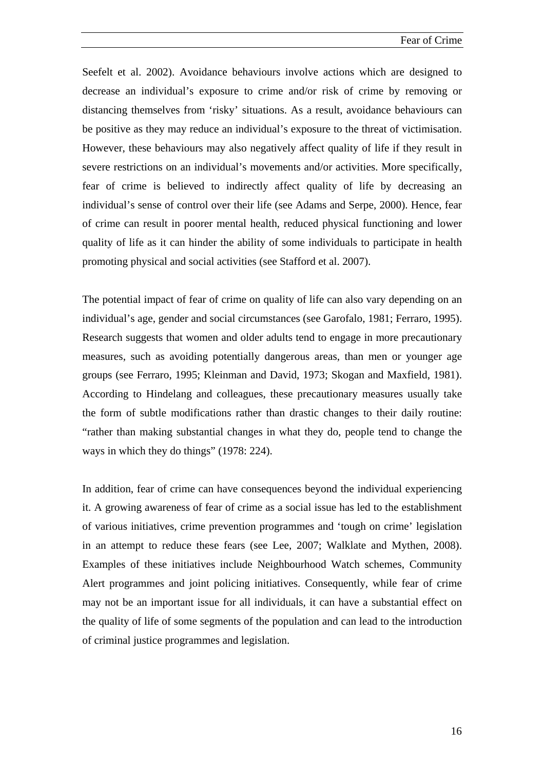Fear of Crime

Seefelt et al. 2002). Avoidance behaviours involve actions which are designed to decrease an individual's exposure to crime and/or risk of crime by removing or distancing themselves from 'risky' situations. As a result, avoidance behaviours can be positive as they may reduce an individual's exposure to the threat of victimisation. However, these behaviours may also negatively affect quality of life if they result in severe restrictions on an individual's movements and/or activities. More specifically, fear of crime is believed to indirectly affect quality of life by decreasing an individual's sense of control over their life (see Adams and Serpe, 2000). Hence, fear of crime can result in poorer mental health, reduced physical functioning and lower quality of life as it can hinder the ability of some individuals to participate in health promoting physical and social activities (see Stafford et al. 2007).

The potential impact of fear of crime on quality of life can also vary depending on an individual's age, gender and social circumstances (see Garofalo, 1981; Ferraro, 1995). Research suggests that women and older adults tend to engage in more precautionary measures, such as avoiding potentially dangerous areas, than men or younger age groups (see Ferraro, 1995; Kleinman and David, 1973; Skogan and Maxfield, 1981). According to Hindelang and colleagues, these precautionary measures usually take the form of subtle modifications rather than drastic changes to their daily routine: "rather than making substantial changes in what they do, people tend to change the ways in which they do things" (1978: 224).

In addition, fear of crime can have consequences beyond the individual experiencing it. A growing awareness of fear of crime as a social issue has led to the establishment of various initiatives, crime prevention programmes and 'tough on crime' legislation in an attempt to reduce these fears (see Lee, 2007; Walklate and Mythen, 2008). Examples of these initiatives include Neighbourhood Watch schemes, Community Alert programmes and joint policing initiatives. Consequently, while fear of crime may not be an important issue for all individuals, it can have a substantial effect on the quality of life of some segments of the population and can lead to the introduction of criminal justice programmes and legislation.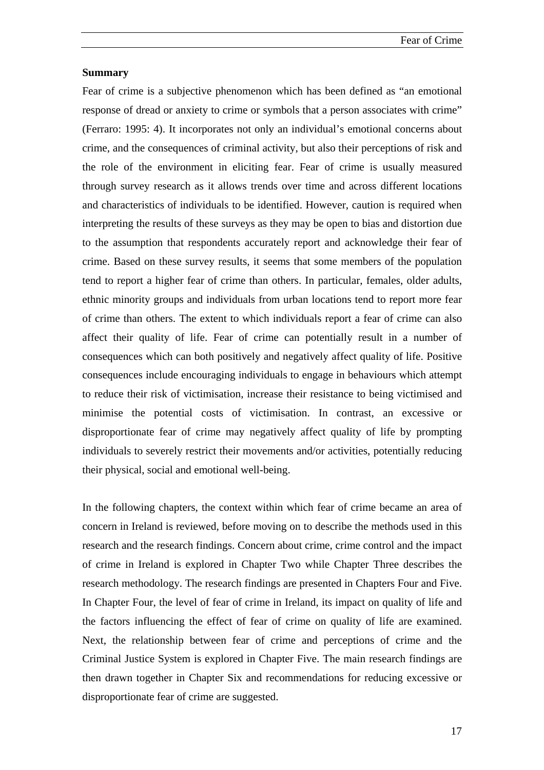### **Summary**

Fear of crime is a subjective phenomenon which has been defined as "an emotional response of dread or anxiety to crime or symbols that a person associates with crime" (Ferraro: 1995: 4). It incorporates not only an individual's emotional concerns about crime, and the consequences of criminal activity, but also their perceptions of risk and the role of the environment in eliciting fear. Fear of crime is usually measured through survey research as it allows trends over time and across different locations and characteristics of individuals to be identified. However, caution is required when interpreting the results of these surveys as they may be open to bias and distortion due to the assumption that respondents accurately report and acknowledge their fear of crime. Based on these survey results, it seems that some members of the population tend to report a higher fear of crime than others. In particular, females, older adults, ethnic minority groups and individuals from urban locations tend to report more fear of crime than others. The extent to which individuals report a fear of crime can also affect their quality of life. Fear of crime can potentially result in a number of consequences which can both positively and negatively affect quality of life. Positive consequences include encouraging individuals to engage in behaviours which attempt to reduce their risk of victimisation, increase their resistance to being victimised and minimise the potential costs of victimisation. In contrast, an excessive or disproportionate fear of crime may negatively affect quality of life by prompting individuals to severely restrict their movements and/or activities, potentially reducing their physical, social and emotional well-being.

In the following chapters, the context within which fear of crime became an area of concern in Ireland is reviewed, before moving on to describe the methods used in this research and the research findings. Concern about crime, crime control and the impact of crime in Ireland is explored in Chapter Two while Chapter Three describes the research methodology. The research findings are presented in Chapters Four and Five. In Chapter Four, the level of fear of crime in Ireland, its impact on quality of life and the factors influencing the effect of fear of crime on quality of life are examined. Next, the relationship between fear of crime and perceptions of crime and the Criminal Justice System is explored in Chapter Five. The main research findings are then drawn together in Chapter Six and recommendations for reducing excessive or disproportionate fear of crime are suggested.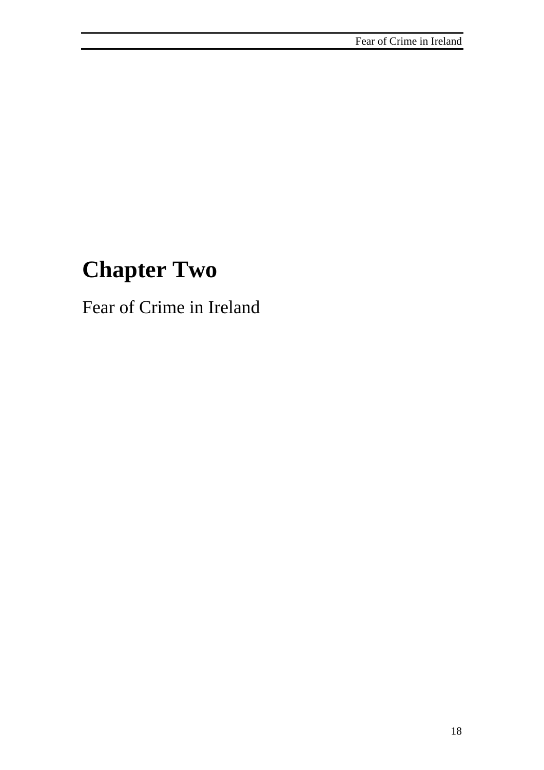# **Chapter Two**

Fear of Crime in Ireland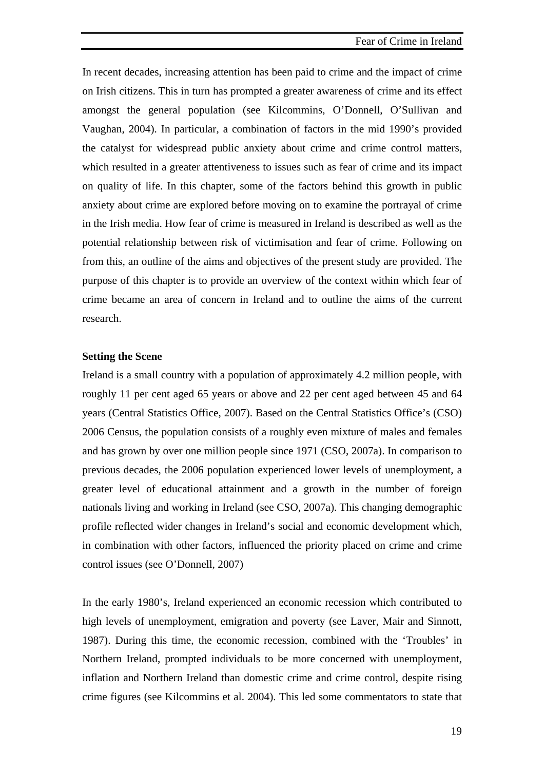In recent decades, increasing attention has been paid to crime and the impact of crime on Irish citizens. This in turn has prompted a greater awareness of crime and its effect amongst the general population (see Kilcommins, O'Donnell, O'Sullivan and Vaughan, 2004). In particular, a combination of factors in the mid 1990's provided the catalyst for widespread public anxiety about crime and crime control matters, which resulted in a greater attentiveness to issues such as fear of crime and its impact on quality of life. In this chapter, some of the factors behind this growth in public anxiety about crime are explored before moving on to examine the portrayal of crime in the Irish media. How fear of crime is measured in Ireland is described as well as the potential relationship between risk of victimisation and fear of crime. Following on from this, an outline of the aims and objectives of the present study are provided. The purpose of this chapter is to provide an overview of the context within which fear of crime became an area of concern in Ireland and to outline the aims of the current research.

### **Setting the Scene**

Ireland is a small country with a population of approximately 4.2 million people, with roughly 11 per cent aged 65 years or above and 22 per cent aged between 45 and 64 years (Central Statistics Office, 2007). Based on the Central Statistics Office's (CSO) 2006 Census, the population consists of a roughly even mixture of males and females and has grown by over one million people since 1971 (CSO, 2007a). In comparison to previous decades, the 2006 population experienced lower levels of unemployment, a greater level of educational attainment and a growth in the number of foreign nationals living and working in Ireland (see CSO, 2007a). This changing demographic profile reflected wider changes in Ireland's social and economic development which, in combination with other factors, influenced the priority placed on crime and crime control issues (see O'Donnell, 2007)

In the early 1980's, Ireland experienced an economic recession which contributed to high levels of unemployment, emigration and poverty (see Laver, Mair and Sinnott, 1987). During this time, the economic recession, combined with the 'Troubles' in Northern Ireland, prompted individuals to be more concerned with unemployment, inflation and Northern Ireland than domestic crime and crime control, despite rising crime figures (see Kilcommins et al. 2004). This led some commentators to state that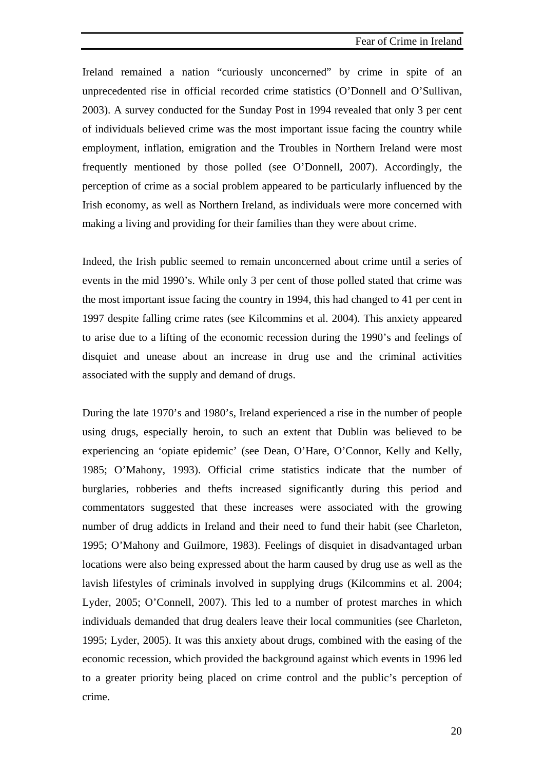Ireland remained a nation "curiously unconcerned" by crime in spite of an unprecedented rise in official recorded crime statistics (O'Donnell and O'Sullivan, 2003). A survey conducted for the Sunday Post in 1994 revealed that only 3 per cent of individuals believed crime was the most important issue facing the country while employment, inflation, emigration and the Troubles in Northern Ireland were most frequently mentioned by those polled (see O'Donnell, 2007). Accordingly, the perception of crime as a social problem appeared to be particularly influenced by the Irish economy, as well as Northern Ireland, as individuals were more concerned with making a living and providing for their families than they were about crime.

Indeed, the Irish public seemed to remain unconcerned about crime until a series of events in the mid 1990's. While only 3 per cent of those polled stated that crime was the most important issue facing the country in 1994, this had changed to 41 per cent in 1997 despite falling crime rates (see Kilcommins et al. 2004). This anxiety appeared to arise due to a lifting of the economic recession during the 1990's and feelings of disquiet and unease about an increase in drug use and the criminal activities associated with the supply and demand of drugs.

During the late 1970's and 1980's, Ireland experienced a rise in the number of people using drugs, especially heroin, to such an extent that Dublin was believed to be experiencing an 'opiate epidemic' (see Dean, O'Hare, O'Connor, Kelly and Kelly, 1985; O'Mahony, 1993). Official crime statistics indicate that the number of burglaries, robberies and thefts increased significantly during this period and commentators suggested that these increases were associated with the growing number of drug addicts in Ireland and their need to fund their habit (see Charleton, 1995; O'Mahony and Guilmore, 1983). Feelings of disquiet in disadvantaged urban locations were also being expressed about the harm caused by drug use as well as the lavish lifestyles of criminals involved in supplying drugs (Kilcommins et al. 2004; Lyder, 2005; O'Connell, 2007). This led to a number of protest marches in which individuals demanded that drug dealers leave their local communities (see Charleton, 1995; Lyder, 2005). It was this anxiety about drugs, combined with the easing of the economic recession, which provided the background against which events in 1996 led to a greater priority being placed on crime control and the public's perception of crime.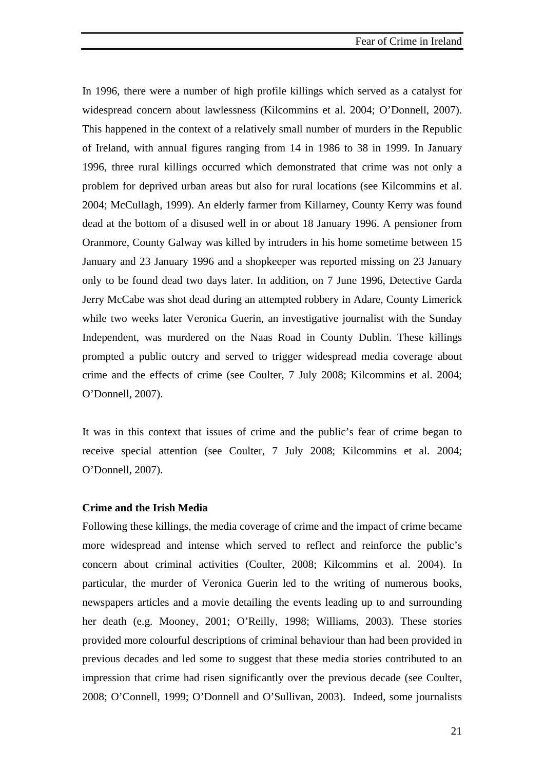In 1996, there were a number of high profile killings which served as a catalyst for widespread concern about lawlessness (Kilcommins et al. 2004; O'Donnell, 2007). This happened in the context of a relatively small number of murders in the Republic of Ireland, with annual figures ranging from 14 in 1986 to 38 in 1999. In January 1996, three rural killings occurred which demonstrated that crime was not only a problem for deprived urban areas but also for rural locations (see Kilcommins et al. 2004; McCullagh, 1999). An elderly farmer from Killarney, County Kerry was found dead at the bottom of a disused well in or about 18 January 1996. A pensioner from Oranmore, County Galway was killed by intruders in his home sometime between 15 January and 23 January 1996 and a shopkeeper was reported missing on 23 January only to be found dead two days later. In addition, on 7 June 1996, Detective Garda Jerry McCabe was shot dead during an attempted robbery in Adare, County Limerick while two weeks later Veronica Guerin, an investigative journalist with the Sunday Independent, was murdered on the Naas Road in County Dublin. These killings prompted a public outcry and served to trigger widespread media coverage about crime and the effects of crime (see Coulter, 7 July 2008; Kilcommins et al. 2004; O'Donnell, 2007).

It was in this context that issues of crime and the public's fear of crime began to receive special attention (see Coulter, 7 July 2008; Kilcommins et al. 2004; O'Donnell, 2007).

### **Crime and the Irish Media**

Following these killings, the media coverage of crime and the impact of crime became more widespread and intense which served to reflect and reinforce the public's concern about criminal activities (Coulter, 2008; Kilcommins et al. 2004). In particular, the murder of Veronica Guerin led to the writing of numerous books, newspapers articles and a movie detailing the events leading up to and surrounding her death (e.g. Mooney, 2001; O'Reilly, 1998; Williams, 2003). These stories provided more colourful descriptions of criminal behaviour than had been provided in previous decades and led some to suggest that these media stories contributed to an impression that crime had risen significantly over the previous decade (see Coulter, 2008; O'Connell, 1999; O'Donnell and O'Sullivan, 2003). Indeed, some journalists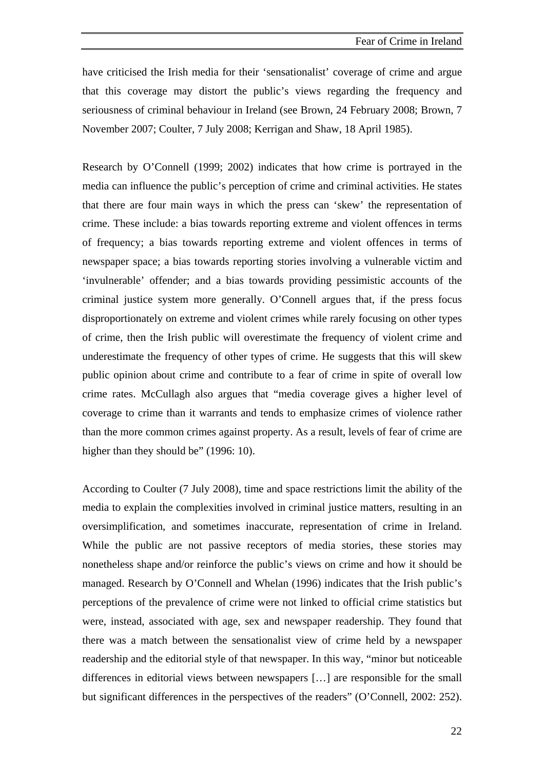have criticised the Irish media for their 'sensationalist' coverage of crime and argue that this coverage may distort the public's views regarding the frequency and seriousness of criminal behaviour in Ireland (see Brown, 24 February 2008; Brown, 7 November 2007; Coulter, 7 July 2008; Kerrigan and Shaw, 18 April 1985).

Research by O'Connell (1999; 2002) indicates that how crime is portrayed in the media can influence the public's perception of crime and criminal activities. He states that there are four main ways in which the press can 'skew' the representation of crime. These include: a bias towards reporting extreme and violent offences in terms of frequency; a bias towards reporting extreme and violent offences in terms of newspaper space; a bias towards reporting stories involving a vulnerable victim and 'invulnerable' offender; and a bias towards providing pessimistic accounts of the criminal justice system more generally. O'Connell argues that, if the press focus disproportionately on extreme and violent crimes while rarely focusing on other types of crime, then the Irish public will overestimate the frequency of violent crime and underestimate the frequency of other types of crime. He suggests that this will skew public opinion about crime and contribute to a fear of crime in spite of overall low crime rates. McCullagh also argues that "media coverage gives a higher level of coverage to crime than it warrants and tends to emphasize crimes of violence rather than the more common crimes against property. As a result, levels of fear of crime are higher than they should be" (1996: 10).

According to Coulter (7 July 2008), time and space restrictions limit the ability of the media to explain the complexities involved in criminal justice matters, resulting in an oversimplification, and sometimes inaccurate, representation of crime in Ireland. While the public are not passive receptors of media stories, these stories may nonetheless shape and/or reinforce the public's views on crime and how it should be managed. Research by O'Connell and Whelan (1996) indicates that the Irish public's perceptions of the prevalence of crime were not linked to official crime statistics but were, instead, associated with age, sex and newspaper readership. They found that there was a match between the sensationalist view of crime held by a newspaper readership and the editorial style of that newspaper. In this way, "minor but noticeable differences in editorial views between newspapers […] are responsible for the small but significant differences in the perspectives of the readers" (O'Connell, 2002: 252).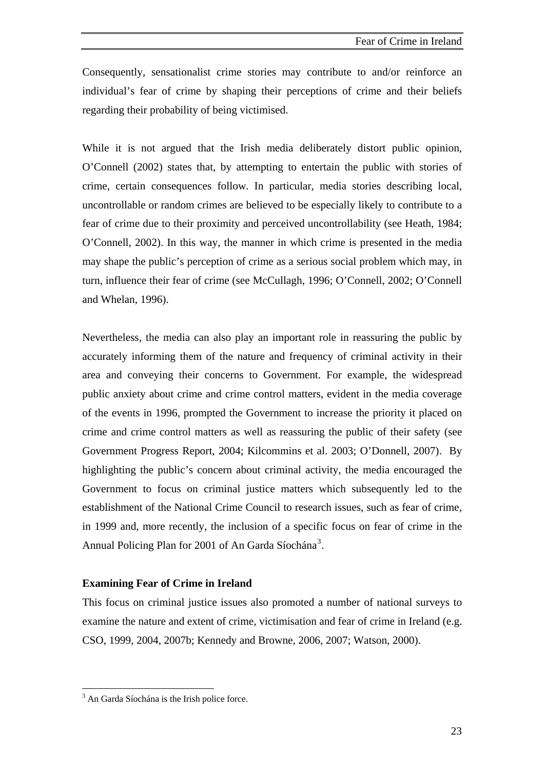<span id="page-37-0"></span>Consequently, sensationalist crime stories may contribute to and/or reinforce an individual's fear of crime by shaping their perceptions of crime and their beliefs regarding their probability of being victimised.

While it is not argued that the Irish media deliberately distort public opinion, O'Connell (2002) states that, by attempting to entertain the public with stories of crime, certain consequences follow. In particular, media stories describing local, uncontrollable or random crimes are believed to be especially likely to contribute to a fear of crime due to their proximity and perceived uncontrollability (see Heath, 1984; O'Connell, 2002). In this way, the manner in which crime is presented in the media may shape the public's perception of crime as a serious social problem which may, in turn, influence their fear of crime (see McCullagh, 1996; O'Connell, 2002; O'Connell and Whelan, 1996).

Nevertheless, the media can also play an important role in reassuring the public by accurately informing them of the nature and frequency of criminal activity in their area and conveying their concerns to Government. For example, the widespread public anxiety about crime and crime control matters, evident in the media coverage of the events in 1996, prompted the Government to increase the priority it placed on crime and crime control matters as well as reassuring the public of their safety (see Government Progress Report, 2004; Kilcommins et al. 2003; O'Donnell, 2007). By highlighting the public's concern about criminal activity, the media encouraged the Government to focus on criminal justice matters which subsequently led to the establishment of the National Crime Council to research issues, such as fear of crime, in 1999 and, more recently, the inclusion of a specific focus on fear of crime in the Annual Policing Plan for 2001 of An Garda Síochána<sup>[3](#page-37-0)</sup>.

### **Examining Fear of Crime in Ireland**

This focus on criminal justice issues also promoted a number of national surveys to examine the nature and extent of crime, victimisation and fear of crime in Ireland (e.g. CSO, 1999, 2004, 2007b; Kennedy and Browne, 2006, 2007; Watson, 2000).

 $\overline{a}$ 

<sup>&</sup>lt;sup>3</sup> An Garda Síochána is the Irish police force.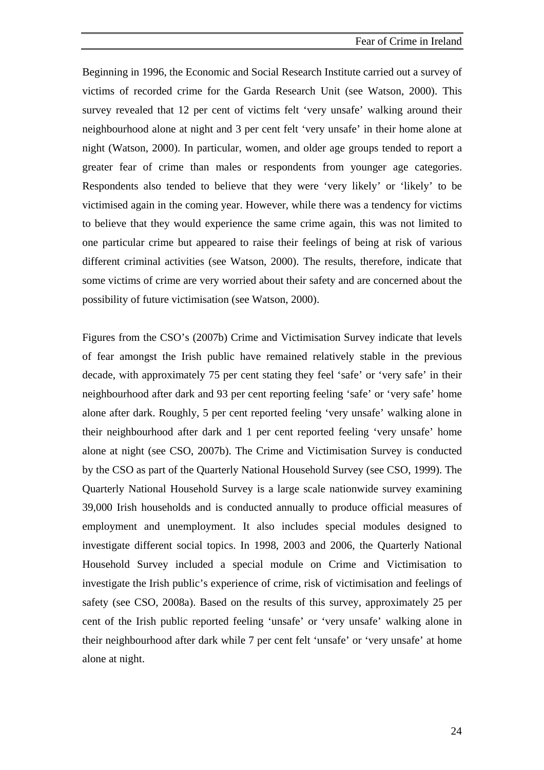Beginning in 1996, the Economic and Social Research Institute carried out a survey of victims of recorded crime for the Garda Research Unit (see Watson, 2000). This survey revealed that 12 per cent of victims felt 'very unsafe' walking around their neighbourhood alone at night and 3 per cent felt 'very unsafe' in their home alone at night (Watson, 2000). In particular, women, and older age groups tended to report a greater fear of crime than males or respondents from younger age categories. Respondents also tended to believe that they were 'very likely' or 'likely' to be victimised again in the coming year. However, while there was a tendency for victims to believe that they would experience the same crime again, this was not limited to one particular crime but appeared to raise their feelings of being at risk of various different criminal activities (see Watson, 2000). The results, therefore, indicate that some victims of crime are very worried about their safety and are concerned about the possibility of future victimisation (see Watson, 2000).

Figures from the CSO's (2007b) Crime and Victimisation Survey indicate that levels of fear amongst the Irish public have remained relatively stable in the previous decade, with approximately 75 per cent stating they feel 'safe' or 'very safe' in their neighbourhood after dark and 93 per cent reporting feeling 'safe' or 'very safe' home alone after dark. Roughly, 5 per cent reported feeling 'very unsafe' walking alone in their neighbourhood after dark and 1 per cent reported feeling 'very unsafe' home alone at night (see CSO, 2007b). The Crime and Victimisation Survey is conducted by the CSO as part of the Quarterly National Household Survey (see CSO, 1999). The Quarterly National Household Survey is a large scale nationwide survey examining 39,000 Irish households and is conducted annually to produce official measures of employment and unemployment. It also includes special modules designed to investigate different social topics. In 1998, 2003 and 2006, the Quarterly National Household Survey included a special module on Crime and Victimisation to investigate the Irish public's experience of crime, risk of victimisation and feelings of safety (see CSO, 2008a). Based on the results of this survey, approximately 25 per cent of the Irish public reported feeling 'unsafe' or 'very unsafe' walking alone in their neighbourhood after dark while 7 per cent felt 'unsafe' or 'very unsafe' at home alone at night.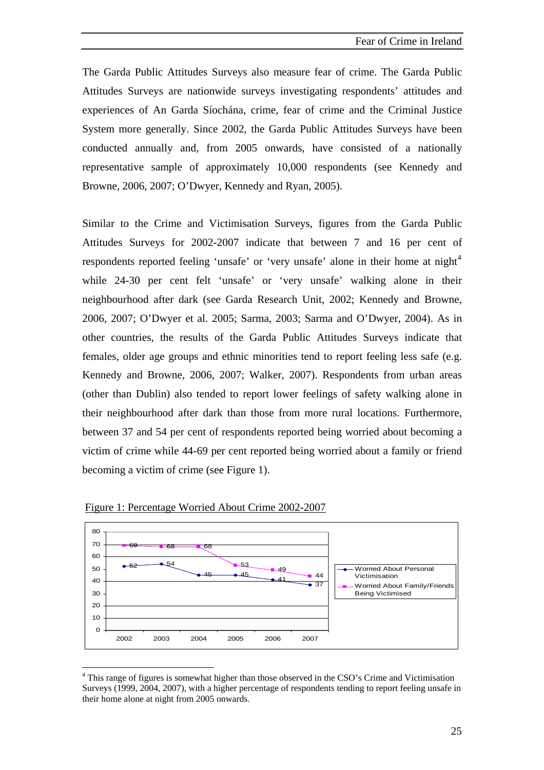<span id="page-39-0"></span>The Garda Public Attitudes Surveys also measure fear of crime. The Garda Public Attitudes Surveys are nationwide surveys investigating respondents' attitudes and experiences of An Garda Síochána, crime, fear of crime and the Criminal Justice System more generally. Since 2002, the Garda Public Attitudes Surveys have been conducted annually and, from 2005 onwards, have consisted of a nationally representative sample of approximately 10,000 respondents (see Kennedy and Browne, 2006, 2007; O'Dwyer, Kennedy and Ryan, 2005).

Similar to the Crime and Victimisation Surveys, figures from the Garda Public Attitudes Surveys for 2002-2007 indicate that between 7 and 16 per cent of respondents reported feeling 'unsafe' or 'very unsafe' alone in their home at night<sup>[4](#page-39-0)</sup> while 24-30 per cent felt 'unsafe' or 'very unsafe' walking alone in their neighbourhood after dark (see Garda Research Unit, 2002; Kennedy and Browne, 2006, 2007; O'Dwyer et al. 2005; Sarma, 2003; Sarma and O'Dwyer, 2004). As in other countries, the results of the Garda Public Attitudes Surveys indicate that females, older age groups and ethnic minorities tend to report feeling less safe (e.g. Kennedy and Browne, 2006, 2007; Walker, 2007). Respondents from urban areas (other than Dublin) also tended to report lower feelings of safety walking alone in their neighbourhood after dark than those from more rural locations. Furthermore, between 37 and 54 per cent of respondents reported being worried about becoming a victim of crime while 44-69 per cent reported being worried about a family or friend becoming a victim of crime (see Figure 1).



Figure 1: Percentage Worried About Crime 2002-2007

 $\overline{a}$ 

<sup>&</sup>lt;sup>4</sup> This range of figures is somewhat higher than those observed in the CSO's Crime and Victimisation Surveys (1999, 2004, 2007), with a higher percentage of respondents tending to report feeling unsafe in their home alone at night from 2005 onwards.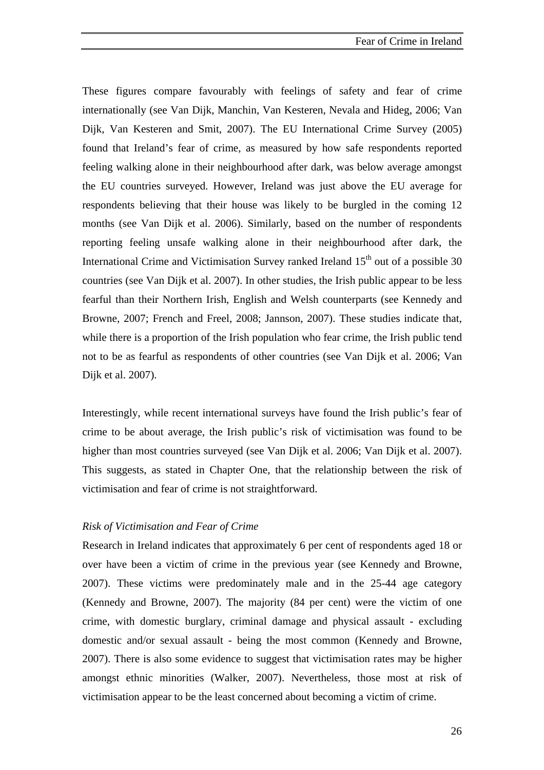These figures compare favourably with feelings of safety and fear of crime internationally (see Van Dijk, Manchin, Van Kesteren, Nevala and Hideg, 2006; Van Dijk, Van Kesteren and Smit, 2007). The EU International Crime Survey (2005) found that Ireland's fear of crime, as measured by how safe respondents reported feeling walking alone in their neighbourhood after dark, was below average amongst the EU countries surveyed. However, Ireland was just above the EU average for respondents believing that their house was likely to be burgled in the coming 12 months (see Van Dijk et al. 2006). Similarly, based on the number of respondents reporting feeling unsafe walking alone in their neighbourhood after dark, the International Crime and Victimisation Survey ranked Ireland  $15<sup>th</sup>$  out of a possible 30 countries (see Van Dijk et al. 2007). In other studies, the Irish public appear to be less fearful than their Northern Irish, English and Welsh counterparts (see Kennedy and Browne, 2007; French and Freel, 2008; Jannson, 2007). These studies indicate that, while there is a proportion of the Irish population who fear crime, the Irish public tend not to be as fearful as respondents of other countries (see Van Dijk et al. 2006; Van Dijk et al. 2007).

Interestingly, while recent international surveys have found the Irish public's fear of crime to be about average, the Irish public's risk of victimisation was found to be higher than most countries surveyed (see Van Dijk et al. 2006; Van Dijk et al. 2007). This suggests, as stated in Chapter One, that the relationship between the risk of victimisation and fear of crime is not straightforward.

#### *Risk of Victimisation and Fear of Crime*

Research in Ireland indicates that approximately 6 per cent of respondents aged 18 or over have been a victim of crime in the previous year (see Kennedy and Browne, 2007). These victims were predominately male and in the 25-44 age category (Kennedy and Browne, 2007). The majority (84 per cent) were the victim of one crime, with domestic burglary, criminal damage and physical assault - excluding domestic and/or sexual assault - being the most common (Kennedy and Browne, 2007). There is also some evidence to suggest that victimisation rates may be higher amongst ethnic minorities (Walker, 2007). Nevertheless, those most at risk of victimisation appear to be the least concerned about becoming a victim of crime.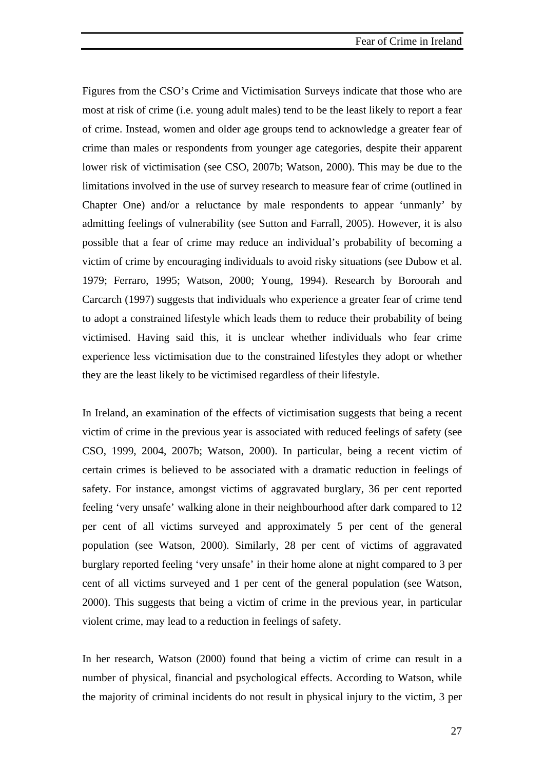Figures from the CSO's Crime and Victimisation Surveys indicate that those who are most at risk of crime (i.e. young adult males) tend to be the least likely to report a fear of crime. Instead, women and older age groups tend to acknowledge a greater fear of crime than males or respondents from younger age categories, despite their apparent lower risk of victimisation (see CSO, 2007b; Watson, 2000). This may be due to the limitations involved in the use of survey research to measure fear of crime (outlined in Chapter One) and/or a reluctance by male respondents to appear 'unmanly' by admitting feelings of vulnerability (see Sutton and Farrall, 2005). However, it is also possible that a fear of crime may reduce an individual's probability of becoming a victim of crime by encouraging individuals to avoid risky situations (see Dubow et al. 1979; Ferraro, 1995; Watson, 2000; Young, 1994). Research by Boroorah and Carcarch (1997) suggests that individuals who experience a greater fear of crime tend to adopt a constrained lifestyle which leads them to reduce their probability of being victimised. Having said this, it is unclear whether individuals who fear crime experience less victimisation due to the constrained lifestyles they adopt or whether they are the least likely to be victimised regardless of their lifestyle.

In Ireland, an examination of the effects of victimisation suggests that being a recent victim of crime in the previous year is associated with reduced feelings of safety (see CSO, 1999, 2004, 2007b; Watson, 2000). In particular, being a recent victim of certain crimes is believed to be associated with a dramatic reduction in feelings of safety. For instance, amongst victims of aggravated burglary, 36 per cent reported feeling 'very unsafe' walking alone in their neighbourhood after dark compared to 12 per cent of all victims surveyed and approximately 5 per cent of the general population (see Watson, 2000). Similarly, 28 per cent of victims of aggravated burglary reported feeling 'very unsafe' in their home alone at night compared to 3 per cent of all victims surveyed and 1 per cent of the general population (see Watson, 2000). This suggests that being a victim of crime in the previous year, in particular violent crime, may lead to a reduction in feelings of safety.

In her research, Watson (2000) found that being a victim of crime can result in a number of physical, financial and psychological effects. According to Watson, while the majority of criminal incidents do not result in physical injury to the victim, 3 per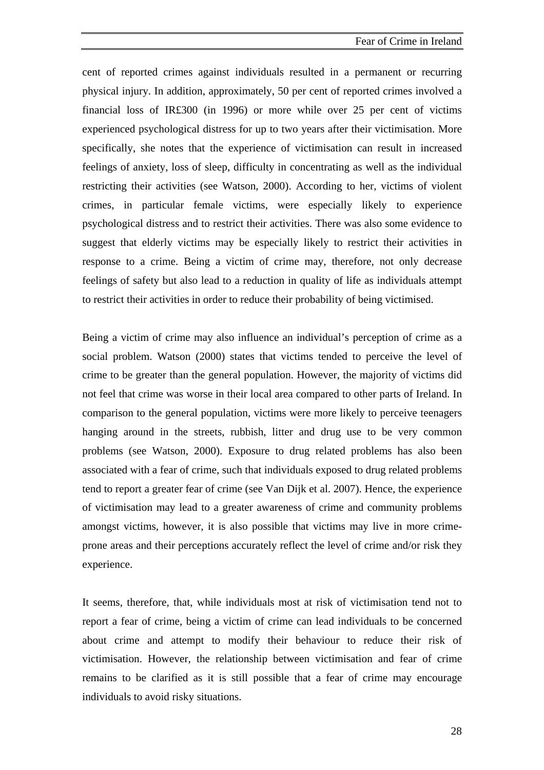cent of reported crimes against individuals resulted in a permanent or recurring physical injury. In addition, approximately, 50 per cent of reported crimes involved a financial loss of IR£300 (in 1996) or more while over 25 per cent of victims experienced psychological distress for up to two years after their victimisation. More specifically, she notes that the experience of victimisation can result in increased feelings of anxiety, loss of sleep, difficulty in concentrating as well as the individual restricting their activities (see Watson, 2000). According to her, victims of violent crimes, in particular female victims, were especially likely to experience psychological distress and to restrict their activities. There was also some evidence to suggest that elderly victims may be especially likely to restrict their activities in response to a crime. Being a victim of crime may, therefore, not only decrease feelings of safety but also lead to a reduction in quality of life as individuals attempt to restrict their activities in order to reduce their probability of being victimised.

Being a victim of crime may also influence an individual's perception of crime as a social problem. Watson (2000) states that victims tended to perceive the level of crime to be greater than the general population. However, the majority of victims did not feel that crime was worse in their local area compared to other parts of Ireland. In comparison to the general population, victims were more likely to perceive teenagers hanging around in the streets, rubbish, litter and drug use to be very common problems (see Watson, 2000). Exposure to drug related problems has also been associated with a fear of crime, such that individuals exposed to drug related problems tend to report a greater fear of crime (see Van Dijk et al. 2007). Hence, the experience of victimisation may lead to a greater awareness of crime and community problems amongst victims, however, it is also possible that victims may live in more crimeprone areas and their perceptions accurately reflect the level of crime and/or risk they experience.

It seems, therefore, that, while individuals most at risk of victimisation tend not to report a fear of crime, being a victim of crime can lead individuals to be concerned about crime and attempt to modify their behaviour to reduce their risk of victimisation. However, the relationship between victimisation and fear of crime remains to be clarified as it is still possible that a fear of crime may encourage individuals to avoid risky situations.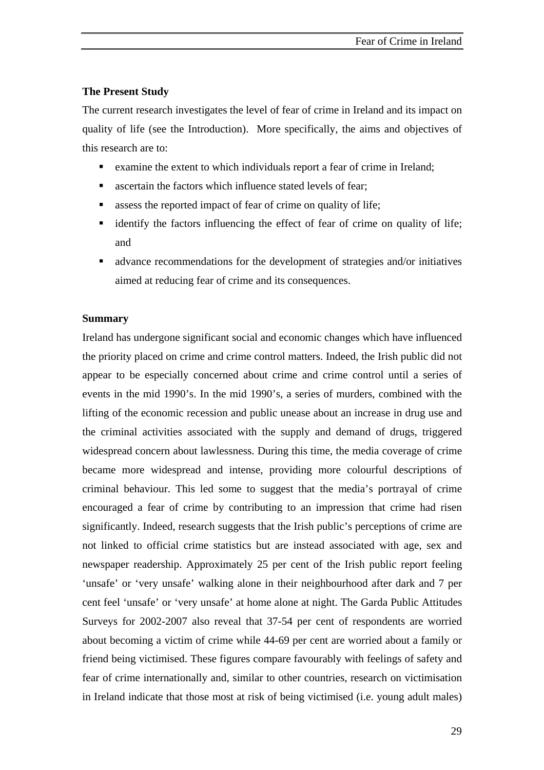## **The Present Study**

The current research investigates the level of fear of crime in Ireland and its impact on quality of life (see the Introduction). More specifically, the aims and objectives of this research are to:

- examine the extent to which individuals report a fear of crime in Ireland;
- ascertain the factors which influence stated levels of fear;
- assess the reported impact of fear of crime on quality of life;
- identify the factors influencing the effect of fear of crime on quality of life; and
- advance recommendations for the development of strategies and/or initiatives aimed at reducing fear of crime and its consequences.

#### **Summary**

Ireland has undergone significant social and economic changes which have influenced the priority placed on crime and crime control matters. Indeed, the Irish public did not appear to be especially concerned about crime and crime control until a series of events in the mid 1990's. In the mid 1990's, a series of murders, combined with the lifting of the economic recession and public unease about an increase in drug use and the criminal activities associated with the supply and demand of drugs, triggered widespread concern about lawlessness. During this time, the media coverage of crime became more widespread and intense, providing more colourful descriptions of criminal behaviour. This led some to suggest that the media's portrayal of crime encouraged a fear of crime by contributing to an impression that crime had risen significantly. Indeed, research suggests that the Irish public's perceptions of crime are not linked to official crime statistics but are instead associated with age, sex and newspaper readership. Approximately 25 per cent of the Irish public report feeling 'unsafe' or 'very unsafe' walking alone in their neighbourhood after dark and 7 per cent feel 'unsafe' or 'very unsafe' at home alone at night. The Garda Public Attitudes Surveys for 2002-2007 also reveal that 37-54 per cent of respondents are worried about becoming a victim of crime while 44-69 per cent are worried about a family or friend being victimised. These figures compare favourably with feelings of safety and fear of crime internationally and, similar to other countries, research on victimisation in Ireland indicate that those most at risk of being victimised (i.e. young adult males)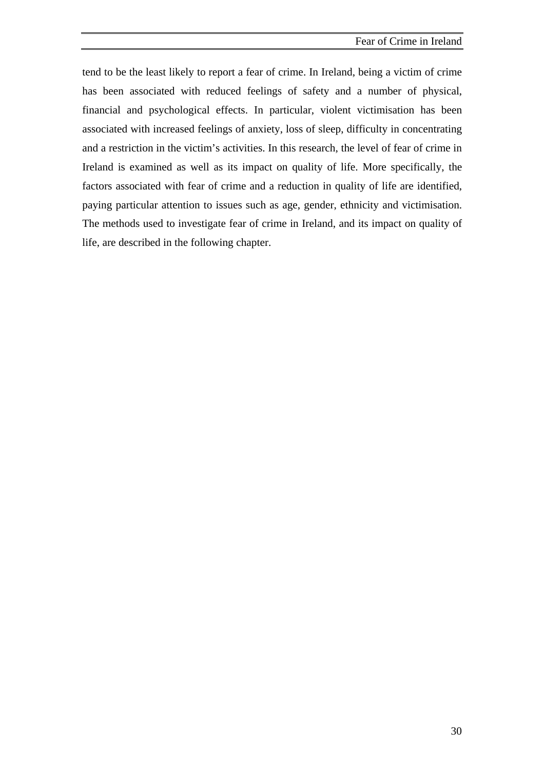tend to be the least likely to report a fear of crime. In Ireland, being a victim of crime has been associated with reduced feelings of safety and a number of physical, financial and psychological effects. In particular, violent victimisation has been associated with increased feelings of anxiety, loss of sleep, difficulty in concentrating and a restriction in the victim's activities. In this research, the level of fear of crime in Ireland is examined as well as its impact on quality of life. More specifically, the factors associated with fear of crime and a reduction in quality of life are identified, paying particular attention to issues such as age, gender, ethnicity and victimisation. The methods used to investigate fear of crime in Ireland, and its impact on quality of life, are described in the following chapter.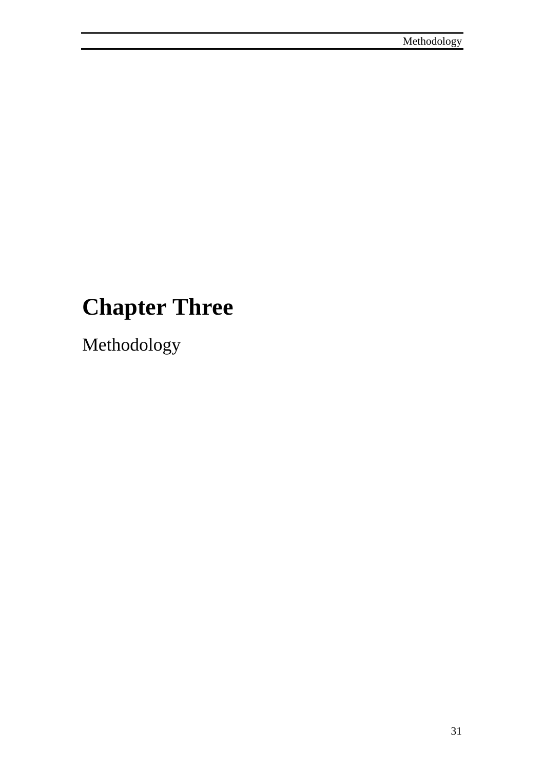# **Chapter Three**

Methodology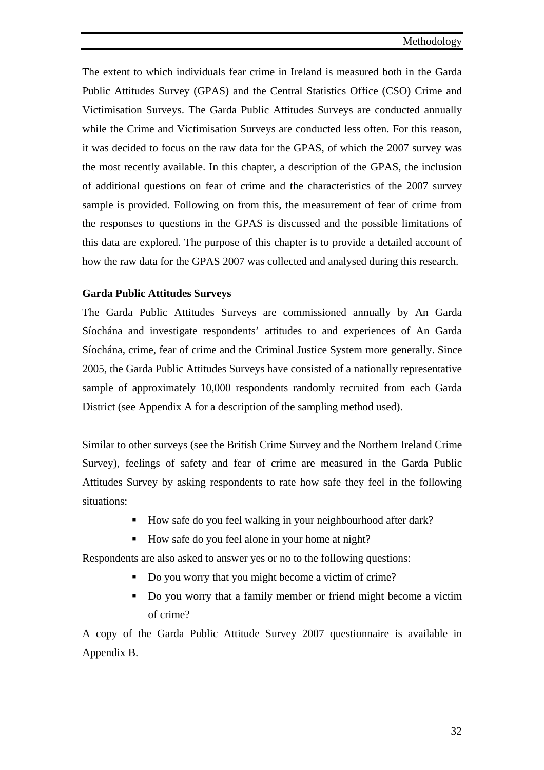The extent to which individuals fear crime in Ireland is measured both in the Garda Public Attitudes Survey (GPAS) and the Central Statistics Office (CSO) Crime and Victimisation Surveys. The Garda Public Attitudes Surveys are conducted annually while the Crime and Victimisation Surveys are conducted less often. For this reason, it was decided to focus on the raw data for the GPAS, of which the 2007 survey was the most recently available. In this chapter, a description of the GPAS, the inclusion of additional questions on fear of crime and the characteristics of the 2007 survey sample is provided. Following on from this, the measurement of fear of crime from the responses to questions in the GPAS is discussed and the possible limitations of this data are explored. The purpose of this chapter is to provide a detailed account of how the raw data for the GPAS 2007 was collected and analysed during this research.

## **Garda Public Attitudes Surveys**

The Garda Public Attitudes Surveys are commissioned annually by An Garda Síochána and investigate respondents' attitudes to and experiences of An Garda Síochána, crime, fear of crime and the Criminal Justice System more generally. Since 2005, the Garda Public Attitudes Surveys have consisted of a nationally representative sample of approximately 10,000 respondents randomly recruited from each Garda District (see Appendix A for a description of the sampling method used).

Similar to other surveys (see the British Crime Survey and the Northern Ireland Crime Survey), feelings of safety and fear of crime are measured in the Garda Public Attitudes Survey by asking respondents to rate how safe they feel in the following situations:

- How safe do you feel walking in your neighbourhood after dark?
- How safe do you feel alone in your home at night?

Respondents are also asked to answer yes or no to the following questions:

- Do you worry that you might become a victim of crime?
- Do you worry that a family member or friend might become a victim of crime?

A copy of the Garda Public Attitude Survey 2007 questionnaire is available in Appendix B.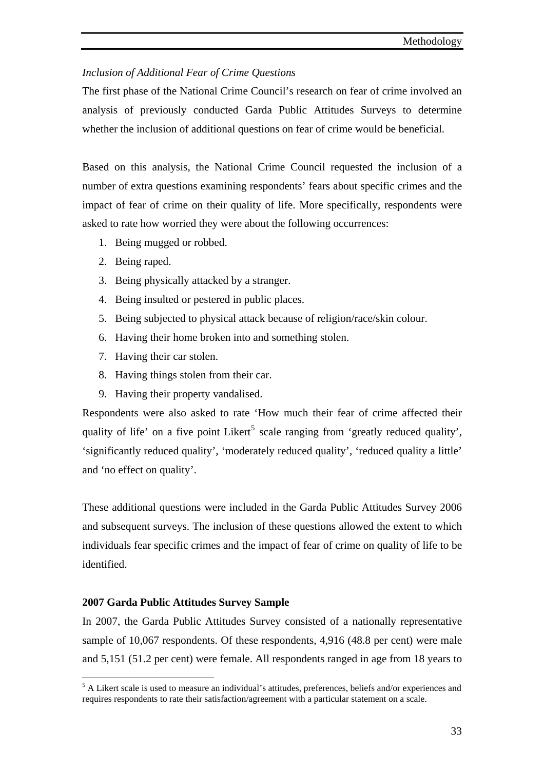## <span id="page-47-0"></span>*Inclusion of Additional Fear of Crime Questions*

The first phase of the National Crime Council's research on fear of crime involved an analysis of previously conducted Garda Public Attitudes Surveys to determine whether the inclusion of additional questions on fear of crime would be beneficial.

Based on this analysis, the National Crime Council requested the inclusion of a number of extra questions examining respondents' fears about specific crimes and the impact of fear of crime on their quality of life. More specifically, respondents were asked to rate how worried they were about the following occurrences:

- 1. Being mugged or robbed.
- 2. Being raped.
- 3. Being physically attacked by a stranger.
- 4. Being insulted or pestered in public places.
- 5. Being subjected to physical attack because of religion/race/skin colour.
- 6. Having their home broken into and something stolen.
- 7. Having their car stolen.
- 8. Having things stolen from their car.
- 9. Having their property vandalised.

Respondents were also asked to rate 'How much their fear of crime affected their quality of life' on a five point Likert<sup>[5](#page-47-0)</sup> scale ranging from 'greatly reduced quality', 'significantly reduced quality', 'moderately reduced quality', 'reduced quality a little' and 'no effect on quality'.

These additional questions were included in the Garda Public Attitudes Survey 2006 and subsequent surveys. The inclusion of these questions allowed the extent to which individuals fear specific crimes and the impact of fear of crime on quality of life to be identified.

## **2007 Garda Public Attitudes Survey Sample**

 $\overline{a}$ 

In 2007, the Garda Public Attitudes Survey consisted of a nationally representative sample of 10,067 respondents. Of these respondents, 4,916 (48.8 per cent) were male and 5,151 (51.2 per cent) were female. All respondents ranged in age from 18 years to

<sup>&</sup>lt;sup>5</sup> A Likert scale is used to measure an individual's attitudes, preferences, beliefs and/or experiences and requires respondents to rate their satisfaction/agreement with a particular statement on a scale.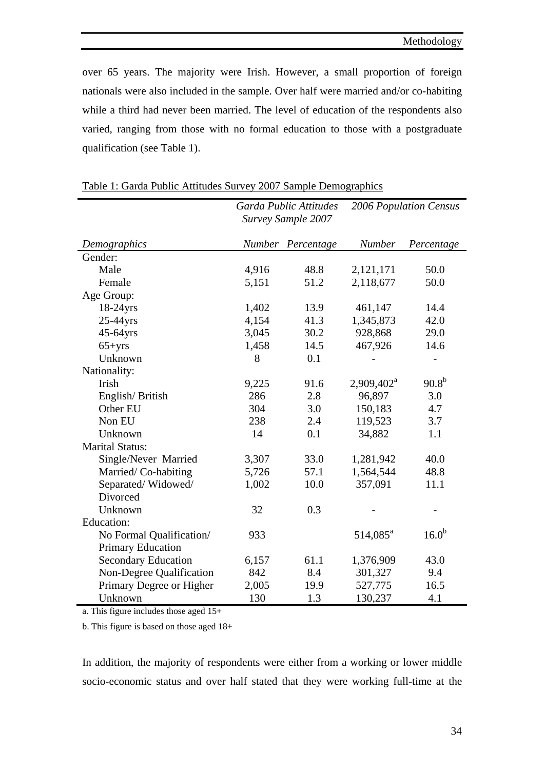over 65 years. The majority were Irish. However, a small proportion of foreign nationals were also included in the sample. Over half were married and/or co-habiting while a third had never been married. The level of education of the respondents also varied, ranging from those with no formal education to those with a postgraduate qualification (see Table 1).

|                            | Garda Public Attitudes<br>Survey Sample 2007 |            | 2006 Population Census |                   |
|----------------------------|----------------------------------------------|------------|------------------------|-------------------|
| Demographics               | <b>Number</b>                                | Percentage | Number                 | Percentage        |
| Gender:                    |                                              |            |                        |                   |
| Male                       | 4,916                                        | 48.8       | 2,121,171              | 50.0              |
| Female                     | 5,151                                        | 51.2       | 2,118,677              | 50.0              |
| Age Group:                 |                                              |            |                        |                   |
| $18-24$ yrs                | 1,402                                        | 13.9       | 461,147                | 14.4              |
| 25-44yrs                   | 4,154                                        | 41.3       | 1,345,873              | 42.0              |
| 45-64yrs                   | 3,045                                        | 30.2       | 928,868                | 29.0              |
| $65 + yrs$                 | 1,458                                        | 14.5       | 467,926                | 14.6              |
| Unknown                    | 8                                            | 0.1        |                        |                   |
| Nationality:               |                                              |            |                        |                   |
| <b>Irish</b>               | 9,225                                        | 91.6       | 2,909,402 <sup>a</sup> | $90.8^{b}$        |
| English/British            | 286                                          | 2.8        | 96,897                 | 3.0               |
| Other EU                   | 304                                          | 3.0        | 150,183                | 4.7               |
| Non EU                     | 238                                          | 2.4        | 119,523                | 3.7               |
| Unknown                    | 14                                           | 0.1        | 34,882                 | 1.1               |
| <b>Marital Status:</b>     |                                              |            |                        |                   |
| Single/Never Married       | 3,307                                        | 33.0       | 1,281,942              | 40.0              |
| Married/Co-habiting        | 5,726                                        | 57.1       | 1,564,544              | 48.8              |
| Separated/Widowed/         | 1,002                                        | 10.0       | 357,091                | 11.1              |
| Divorced                   |                                              |            |                        |                   |
| Unknown                    | 32                                           | 0.3        |                        |                   |
| Education:                 |                                              |            |                        |                   |
| No Formal Qualification/   | 933                                          |            | $514,085^{\circ}$      | 16.0 <sup>b</sup> |
| <b>Primary Education</b>   |                                              |            |                        |                   |
| <b>Secondary Education</b> | 6,157                                        | 61.1       | 1,376,909              | 43.0              |
| Non-Degree Qualification   | 842                                          | 8.4        | 301,327                | 9.4               |
| Primary Degree or Higher   | 2,005                                        | 19.9       | 527,775                | 16.5              |
| Unknown                    | 130                                          | 1.3        | 130,237                | 4.1               |

| Table 1: Garda Public Attitudes Survey 2007 Sample Demographics |
|-----------------------------------------------------------------|
|-----------------------------------------------------------------|

a. This figure includes those aged 15+

b. This figure is based on those aged 18+

In addition, the majority of respondents were either from a working or lower middle socio-economic status and over half stated that they were working full-time at the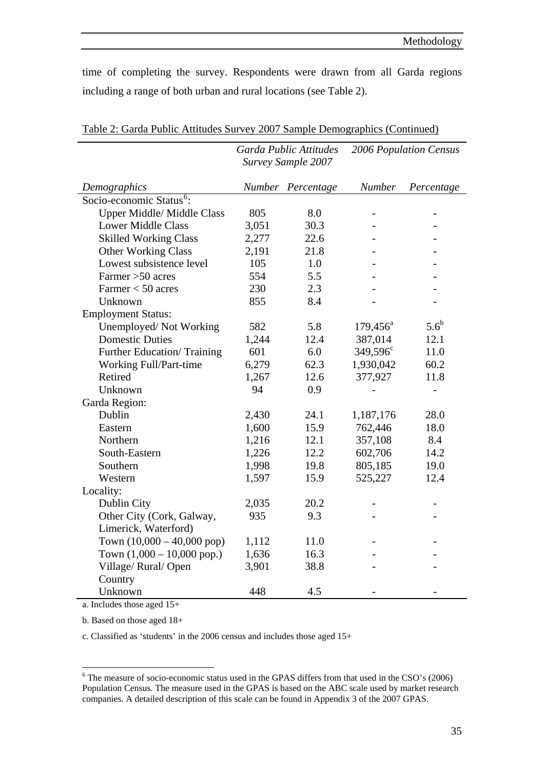*2006 Population Census* 

<span id="page-49-0"></span>time of completing the survey. Respondents were drawn from all Garda regions including a range of both urban and rural locations (see Table 2).

*Garda Public Attitudes* 

|                                      | Survey Sample 2007 |                   |                   |               |
|--------------------------------------|--------------------|-------------------|-------------------|---------------|
| Demographics                         |                    | Number Percentage | <b>Number</b>     | Percentage    |
| Socio-economic Status <sup>6</sup> : |                    |                   |                   |               |
| <b>Upper Middle/ Middle Class</b>    | 805                | 8.0               |                   |               |
| <b>Lower Middle Class</b>            | 3,051              | 30.3              |                   |               |
| <b>Skilled Working Class</b>         | 2,277              | 22.6              |                   |               |
| <b>Other Working Class</b>           | 2,191              | 21.8              |                   |               |
| Lowest subsistence level             | 105                | 1.0               | $\overline{a}$    |               |
| Farmer > 50 acres                    | 554                | 5.5               |                   |               |
| Farmer $<$ 50 acres                  | 230                | 2.3               |                   |               |
| Unknown                              | 855                | 8.4               |                   |               |
| <b>Employment Status:</b>            |                    |                   |                   |               |
| Unemployed/Not Working               | 582                | 5.8               | $179,456^{\circ}$ | $5.6^{\rm b}$ |
| <b>Domestic Duties</b>               | 1,244              | 12.4              | 387,014           | 12.1          |
| Further Education/Training           | 601                | 6.0               | $349,596^{\circ}$ | 11.0          |
| Working Full/Part-time               | 6,279              | 62.3              | 1,930,042         | 60.2          |
| Retired                              | 1,267              | 12.6              | 377,927           | 11.8          |
| Unknown                              | 94                 | 0.9               |                   |               |
| Garda Region:                        |                    |                   |                   |               |
| Dublin                               | 2,430              | 24.1              | 1,187,176         | 28.0          |
| Eastern                              | 1,600              | 15.9              | 762,446           | 18.0          |
| Northern                             | 1,216              | 12.1              | 357,108           | 8.4           |
| South-Eastern                        | 1,226              | 12.2              | 602,706           | 14.2          |
| Southern                             | 1,998              | 19.8              | 805,185           | 19.0          |
| Western                              | 1,597              | 15.9              | 525,227           | 12.4          |
| Locality:                            |                    |                   |                   |               |
| Dublin City                          | 2,035              | 20.2              |                   |               |
| Other City (Cork, Galway,            | 935                | 9.3               |                   |               |
| Limerick, Waterford)                 |                    |                   |                   |               |
| Town $(10,000 - 40,000$ pop)         | 1,112              | 11.0              |                   |               |
| Town $(1,000 - 10,000$ pop.)         | 1,636              | 16.3              |                   |               |
| Village/Rural/Open                   | 3,901              | 38.8              |                   |               |
| Country                              |                    |                   |                   |               |
| Unknown                              | 448                | 4.5               |                   |               |

Table 2: Garda Public Attitudes Survey 2007 Sample Demographics (Continued)

a. Includes those aged 15+

b. Based on those aged 18+

 $\overline{a}$ 

c. Classified as 'students' in the 2006 census and includes those aged 15+

<sup>&</sup>lt;sup>6</sup> The measure of socio-economic status used in the GPAS differs from that used in the CSO's (2006) Population Census. The measure used in the GPAS is based on the ABC scale used by market research companies. A detailed description of this scale can be found in Appendix 3 of the 2007 GPAS.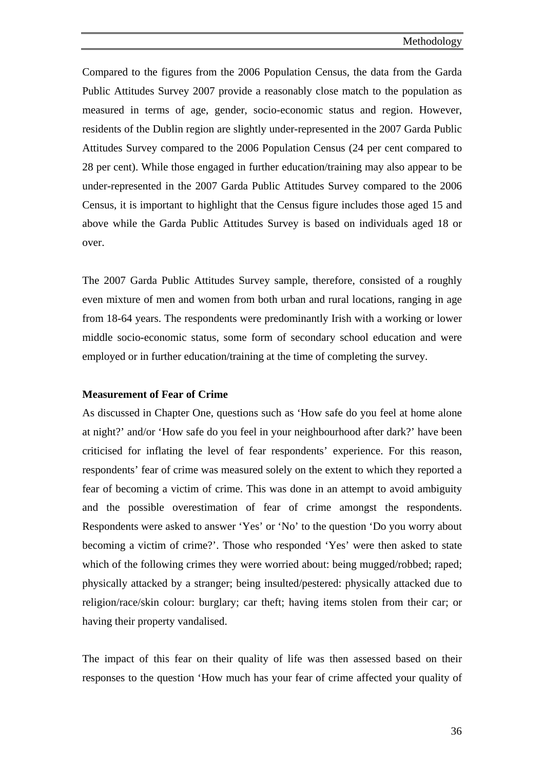Compared to the figures from the 2006 Population Census, the data from the Garda Public Attitudes Survey 2007 provide a reasonably close match to the population as measured in terms of age, gender, socio-economic status and region. However, residents of the Dublin region are slightly under-represented in the 2007 Garda Public Attitudes Survey compared to the 2006 Population Census (24 per cent compared to 28 per cent). While those engaged in further education/training may also appear to be under-represented in the 2007 Garda Public Attitudes Survey compared to the 2006 Census, it is important to highlight that the Census figure includes those aged 15 and above while the Garda Public Attitudes Survey is based on individuals aged 18 or over.

The 2007 Garda Public Attitudes Survey sample, therefore, consisted of a roughly even mixture of men and women from both urban and rural locations, ranging in age from 18-64 years. The respondents were predominantly Irish with a working or lower middle socio-economic status, some form of secondary school education and were employed or in further education/training at the time of completing the survey.

## **Measurement of Fear of Crime**

As discussed in Chapter One, questions such as 'How safe do you feel at home alone at night?' and/or 'How safe do you feel in your neighbourhood after dark?' have been criticised for inflating the level of fear respondents' experience. For this reason, respondents' fear of crime was measured solely on the extent to which they reported a fear of becoming a victim of crime. This was done in an attempt to avoid ambiguity and the possible overestimation of fear of crime amongst the respondents. Respondents were asked to answer 'Yes' or 'No' to the question 'Do you worry about becoming a victim of crime?'. Those who responded 'Yes' were then asked to state which of the following crimes they were worried about: being mugged/robbed; raped; physically attacked by a stranger; being insulted/pestered: physically attacked due to religion/race/skin colour: burglary; car theft; having items stolen from their car; or having their property vandalised.

The impact of this fear on their quality of life was then assessed based on their responses to the question 'How much has your fear of crime affected your quality of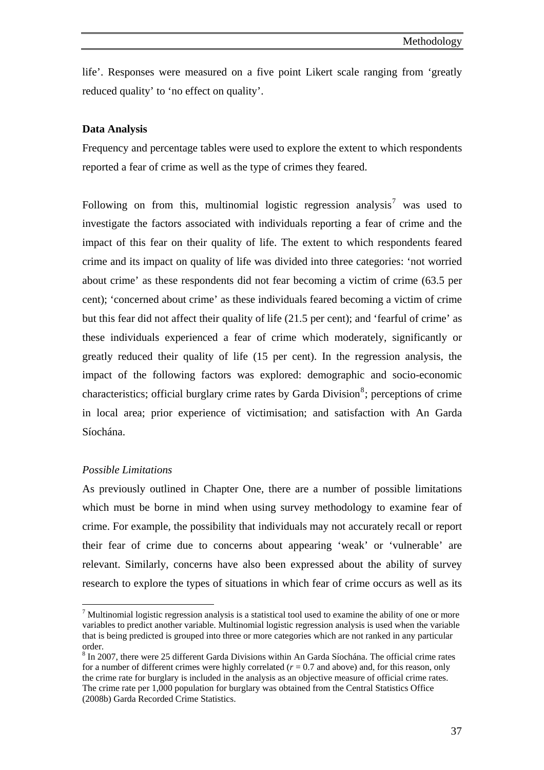<span id="page-51-0"></span>life'. Responses were measured on a five point Likert scale ranging from 'greatly reduced quality' to 'no effect on quality'.

#### **Data Analysis**

Frequency and percentage tables were used to explore the extent to which respondents reported a fear of crime as well as the type of crimes they feared.

Following on from this, multinomial logistic regression analysis<sup>[7](#page-51-0)</sup> was used to investigate the factors associated with individuals reporting a fear of crime and the impact of this fear on their quality of life. The extent to which respondents feared crime and its impact on quality of life was divided into three categories: 'not worried about crime' as these respondents did not fear becoming a victim of crime (63.5 per cent); 'concerned about crime' as these individuals feared becoming a victim of crime but this fear did not affect their quality of life (21.5 per cent); and 'fearful of crime' as these individuals experienced a fear of crime which moderately, significantly or greatly reduced their quality of life (15 per cent). In the regression analysis, the impact of the following factors was explored: demographic and socio-economic characteristics; official burglary crime rates by Garda Division<sup>[8](#page-51-0)</sup>; perceptions of crime in local area; prior experience of victimisation; and satisfaction with An Garda Síochána.

### *Possible Limitations*

 $\overline{a}$ 

As previously outlined in Chapter One, there are a number of possible limitations which must be borne in mind when using survey methodology to examine fear of crime. For example, the possibility that individuals may not accurately recall or report their fear of crime due to concerns about appearing 'weak' or 'vulnerable' are relevant. Similarly, concerns have also been expressed about the ability of survey research to explore the types of situations in which fear of crime occurs as well as its

 $<sup>7</sup>$  Multinomial logistic regression analysis is a statistical tool used to examine the ability of one or more</sup> variables to predict another variable. Multinomial logistic regression analysis is used when the variable that is being predicted is grouped into three or more categories which are not ranked in any particular order.

<sup>&</sup>lt;sup>8</sup> In 2007, there were 25 different Garda Divisions within An Garda Síochána. The official crime rates for a number of different crimes were highly correlated  $(r = 0.7$  and above) and, for this reason, only the crime rate for burglary is included in the analysis as an objective measure of official crime rates. The crime rate per 1,000 population for burglary was obtained from the Central Statistics Office (2008b) Garda Recorded Crime Statistics.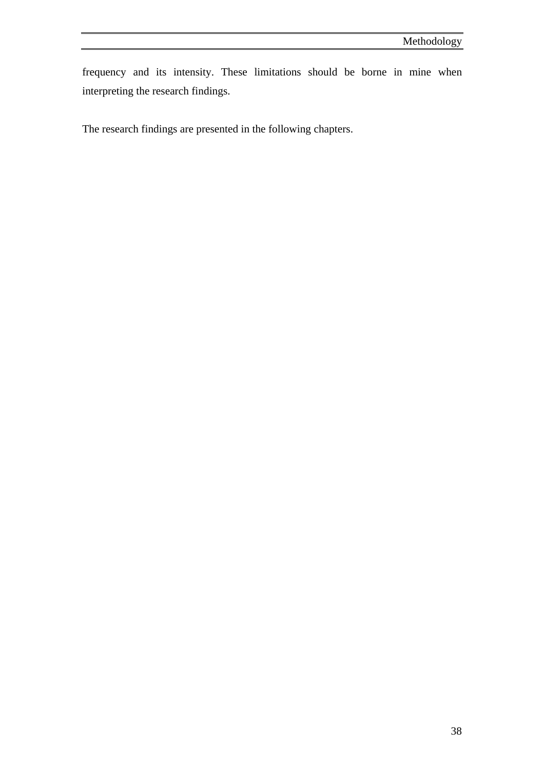frequency and its intensity. These limitations should be borne in mine when interpreting the research findings.

The research findings are presented in the following chapters.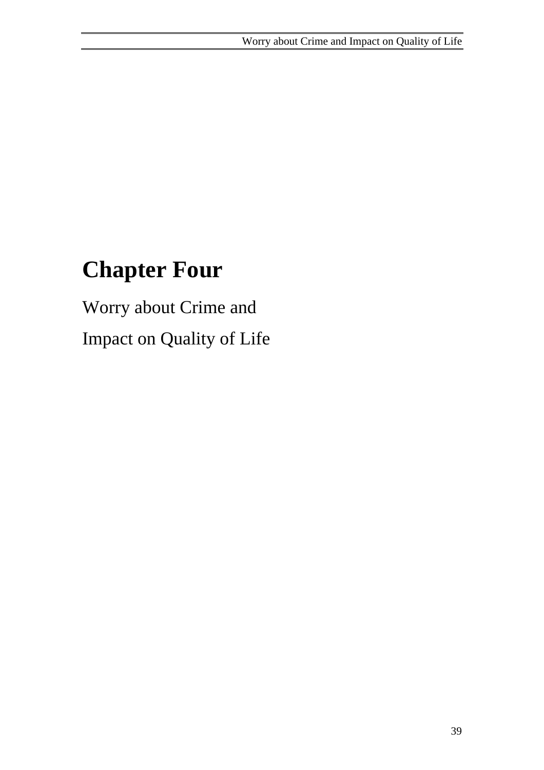# **Chapter Four**

Worry about Crime and Impact on Quality of Life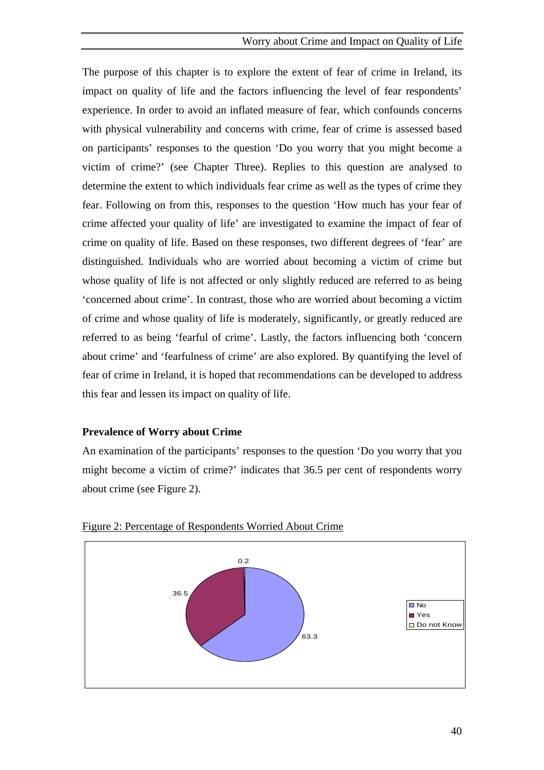## Worry about Crime and Impact on Quality of Life

The purpose of this chapter is to explore the extent of fear of crime in Ireland, its impact on quality of life and the factors influencing the level of fear respondents' experience. In order to avoid an inflated measure of fear, which confounds concerns with physical vulnerability and concerns with crime, fear of crime is assessed based on participants' responses to the question 'Do you worry that you might become a victim of crime?' (see Chapter Three). Replies to this question are analysed to determine the extent to which individuals fear crime as well as the types of crime they fear. Following on from this, responses to the question 'How much has your fear of crime affected your quality of life' are investigated to examine the impact of fear of crime on quality of life. Based on these responses, two different degrees of 'fear' are distinguished. Individuals who are worried about becoming a victim of crime but whose quality of life is not affected or only slightly reduced are referred to as being 'concerned about crime'. In contrast, those who are worried about becoming a victim of crime and whose quality of life is moderately, significantly, or greatly reduced are referred to as being 'fearful of crime'. Lastly, the factors influencing both 'concern about crime' and 'fearfulness of crime' are also explored. By quantifying the level of fear of crime in Ireland, it is hoped that recommendations can be developed to address this fear and lessen its impact on quality of life.

## **Prevalence of Worry about Crime**

An examination of the participants' responses to the question 'Do you worry that you might become a victim of crime?' indicates that 36.5 per cent of respondents worry about crime (see Figure 2).



Figure 2: Percentage of Respondents Worried About Crime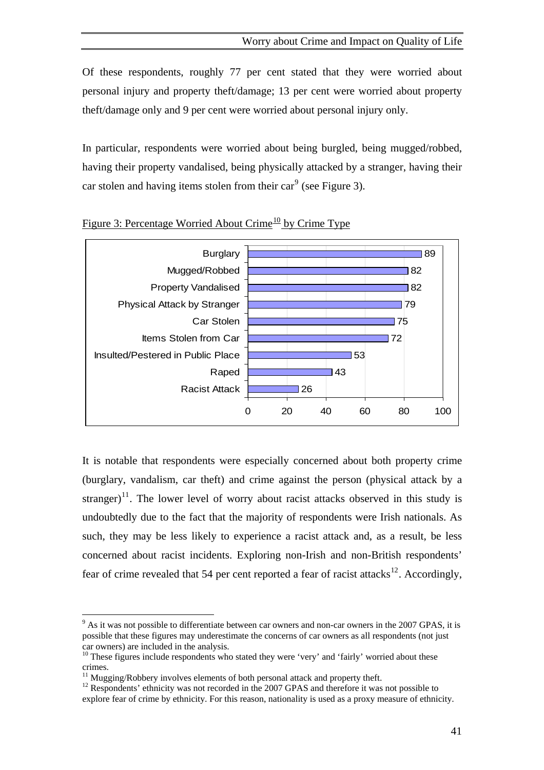<span id="page-55-0"></span>Of these respondents, roughly 77 per cent stated that they were worried about personal injury and property theft/damage; 13 per cent were worried about property theft/damage only and 9 per cent were worried about personal injury only.

In particular, respondents were worried about being burgled, being mugged/robbed, having their property vandalised, being physically attacked by a stranger, having their car stolen and having items stolen from their car<sup>[9](#page-55-0)</sup> (see Figure 3).



Figure 3: Percentage Worried About Crime<sup>[10](#page-55-0)</sup> by Crime Type

It is notable that respondents were especially concerned about both property crime (burglary, vandalism, car theft) and crime against the person (physical attack by a stranger)<sup>[11](#page-55-0)</sup>. The lower level of worry about racist attacks observed in this study is undoubtedly due to the fact that the majority of respondents were Irish nationals. As such, they may be less likely to experience a racist attack and, as a result, be less concerned about racist incidents. Exploring non-Irish and non-British respondents' fear of crime revealed that 54 per cent reported a fear of racist attacks<sup>[12](#page-55-0)</sup>. Accordingly,

 $\overline{a}$ 

 $9<sup>9</sup>$  As it was not possible to differentiate between car owners and non-car owners in the 2007 GPAS, it is possible that these figures may underestimate the concerns of car owners as all respondents (not just car owners) are included in the analysis.

<sup>&</sup>lt;sup>10</sup> These figures include respondents who stated they were 'very' and 'fairly' worried about these crimes.

<sup>&</sup>lt;sup>11</sup> Mugging/Robbery involves elements of both personal attack and property theft.

<sup>&</sup>lt;sup>12</sup> Respondents' ethnicity was not recorded in the 2007 GPAS and therefore it was not possible to explore fear of crime by ethnicity. For this reason, nationality is used as a proxy measure of ethnicity.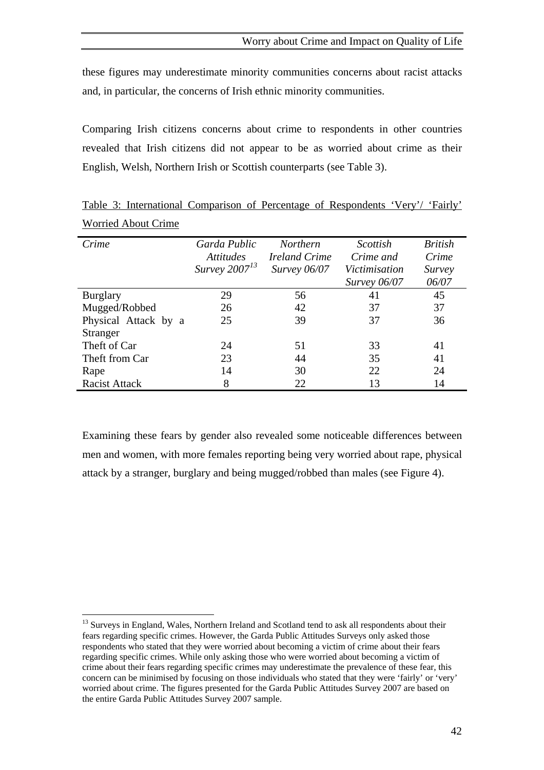<span id="page-56-0"></span>these figures may underestimate minority communities concerns about racist attacks and, in particular, the concerns of Irish ethnic minority communities.

Comparing Irish citizens concerns about crime to respondents in other countries revealed that Irish citizens did not appear to be as worried about crime as their English, Welsh, Northern Irish or Scottish counterparts (see Table 3).

| Crime                | Garda Public<br><i>Attitudes</i> | <b>Northern</b><br><i>Ireland Crime</i> | Scottish<br>Crime and | <b>British</b><br>Crime |
|----------------------|----------------------------------|-----------------------------------------|-----------------------|-------------------------|
|                      | Survey $2007^{13}$               | Survey 06/07                            | Victimisation         | <i>Survey</i>           |
|                      |                                  |                                         | <i>Survey</i> 06/07   | 06/07                   |
| <b>Burglary</b>      | 29                               | 56                                      | 41                    | 45                      |
| Mugged/Robbed        | 26                               | 42                                      | 37                    | 37                      |
| Physical Attack by a | 25                               | 39                                      | 37                    | 36                      |
| Stranger             |                                  |                                         |                       |                         |
| Theft of Car         | 24                               | 51                                      | 33                    | 41                      |
| Theft from Car       | 23                               | 44                                      | 35                    | 41                      |
| Rape                 | 14                               | 30                                      | 22                    | 24                      |
| <b>Racist Attack</b> | 8                                | 22                                      | 13                    | 14                      |

Table 3: International Comparison of Percentage of Respondents 'Very'/ 'Fairly' Worried About Crime

Examining these fears by gender also revealed some noticeable differences between men and women, with more females reporting being very worried about rape, physical attack by a stranger, burglary and being mugged/robbed than males (see Figure 4).

 $\overline{a}$ 

<sup>&</sup>lt;sup>13</sup> Surveys in England, Wales, Northern Ireland and Scotland tend to ask all respondents about their fears regarding specific crimes. However, the Garda Public Attitudes Surveys only asked those respondents who stated that they were worried about becoming a victim of crime about their fears regarding specific crimes. While only asking those who were worried about becoming a victim of crime about their fears regarding specific crimes may underestimate the prevalence of these fear, this concern can be minimised by focusing on those individuals who stated that they were 'fairly' or 'very' worried about crime. The figures presented for the Garda Public Attitudes Survey 2007 are based on the entire Garda Public Attitudes Survey 2007 sample.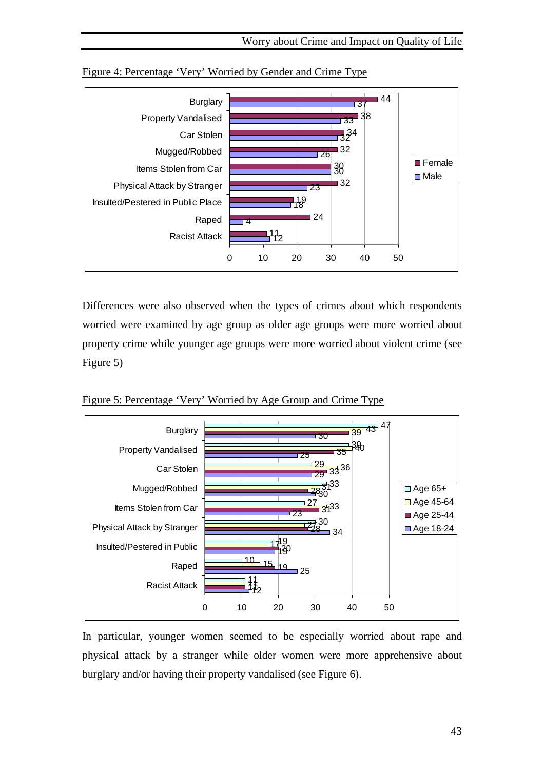

Figure 4: Percentage 'Very' Worried by Gender and Crime Type

Differences were also observed when the types of crimes about which respondents worried were examined by age group as older age groups were more worried about property crime while younger age groups were more worried about violent crime (see Figure 5)

Figure 5: Percentage 'Very' Worried by Age Group and Crime Type



In particular, younger women seemed to be especially worried about rape and physical attack by a stranger while older women were more apprehensive about burglary and/or having their property vandalised (see Figure 6).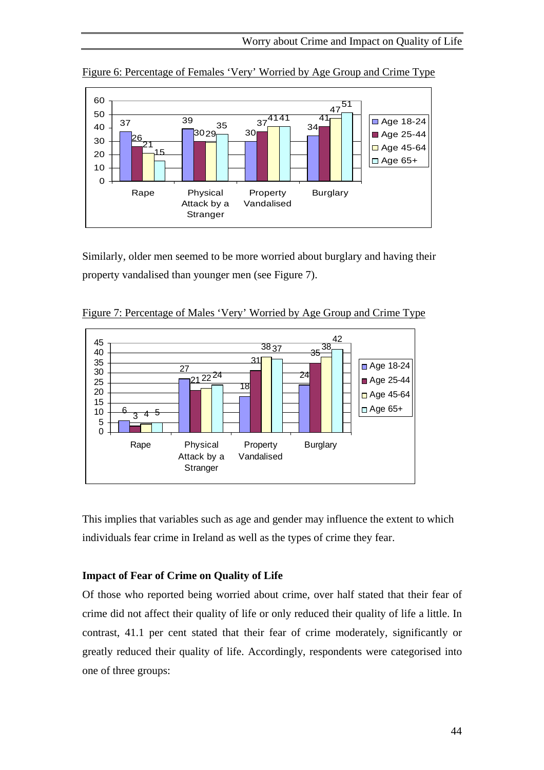

Figure 6: Percentage of Females 'Very' Worried by Age Group and Crime Type

Similarly, older men seemed to be more worried about burglary and having their property vandalised than younger men (see Figure 7).



Figure 7: Percentage of Males 'Very' Worried by Age Group and Crime Type

This implies that variables such as age and gender may influence the extent to which individuals fear crime in Ireland as well as the types of crime they fear.

## **Impact of Fear of Crime on Quality of Life**

Of those who reported being worried about crime, over half stated that their fear of crime did not affect their quality of life or only reduced their quality of life a little. In contrast, 41.1 per cent stated that their fear of crime moderately, significantly or greatly reduced their quality of life. Accordingly, respondents were categorised into one of three groups: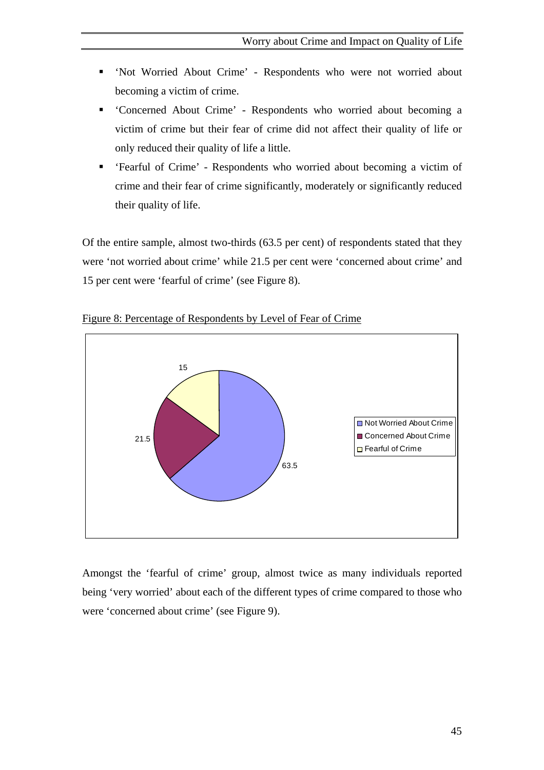- 'Not Worried About Crime' Respondents who were not worried about becoming a victim of crime.
- 'Concerned About Crime' Respondents who worried about becoming a victim of crime but their fear of crime did not affect their quality of life or only reduced their quality of life a little.
- 'Fearful of Crime' Respondents who worried about becoming a victim of crime and their fear of crime significantly, moderately or significantly reduced their quality of life.

Of the entire sample, almost two-thirds (63.5 per cent) of respondents stated that they were 'not worried about crime' while 21.5 per cent were 'concerned about crime' and 15 per cent were 'fearful of crime' (see Figure 8).



Figure 8: Percentage of Respondents by Level of Fear of Crime

Amongst the 'fearful of crime' group, almost twice as many individuals reported being 'very worried' about each of the different types of crime compared to those who were 'concerned about crime' (see Figure 9).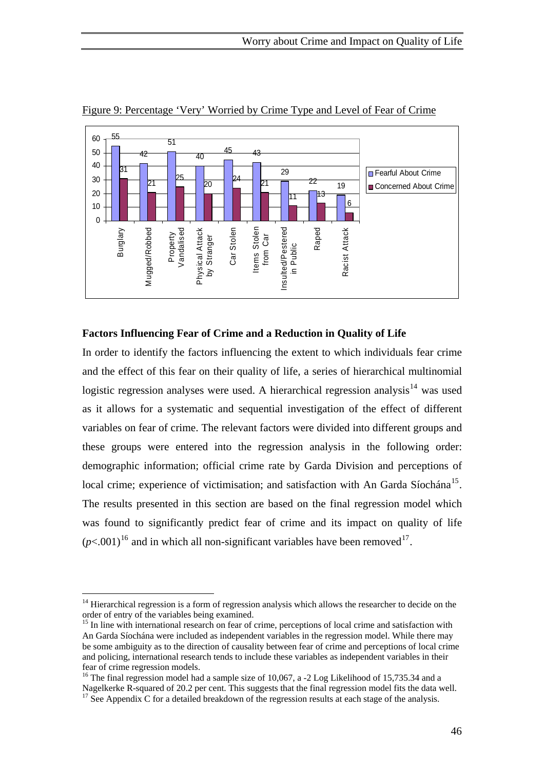

<span id="page-60-0"></span>Figure 9: Percentage 'Very' Worried by Crime Type and Level of Fear of Crime

## **Factors Influencing Fear of Crime and a Reduction in Quality of Life**

In order to identify the factors influencing the extent to which individuals fear crime and the effect of this fear on their quality of life, a series of hierarchical multinomial logistic regression analyses were used. A hierarchical regression analysis<sup>[14](#page-60-0)</sup> was used as it allows for a systematic and sequential investigation of the effect of different variables on fear of crime. The relevant factors were divided into different groups and these groups were entered into the regression analysis in the following order: demographic information; official crime rate by Garda Division and perceptions of local crime; experience of victimisation; and satisfaction with An Garda Síochána<sup>[15](#page-60-0)</sup>. The results presented in this section are based on the final regression model which was found to significantly predict fear of crime and its impact on quality of life  $(p<.001)^{16}$  $(p<.001)^{16}$  $(p<.001)^{16}$  and in which all non-significant variables have been removed<sup>[17](#page-60-0)</sup>.

 $\overline{a}$ 

<sup>&</sup>lt;sup>14</sup> Hierarchical regression is a form of regression analysis which allows the researcher to decide on the order of entry of the variables being examined.

<sup>&</sup>lt;sup>15</sup> In line with international research on fear of crime, perceptions of local crime and satisfaction with An Garda Síochána were included as independent variables in the regression model. While there may be some ambiguity as to the direction of causality between fear of crime and perceptions of local crime and policing, international research tends to include these variables as independent variables in their fear of crime regression models.

<sup>&</sup>lt;sup>16</sup> The final regression model had a sample size of 10,067, a -2 Log Likelihood of 15,735.34 and a Nagelkerke R-squared of 20.2 per cent. This suggests that the final regression model fits the data well. <sup>17</sup> See Appendix C for a detailed breakdown of the regression results at each stage of the analysis.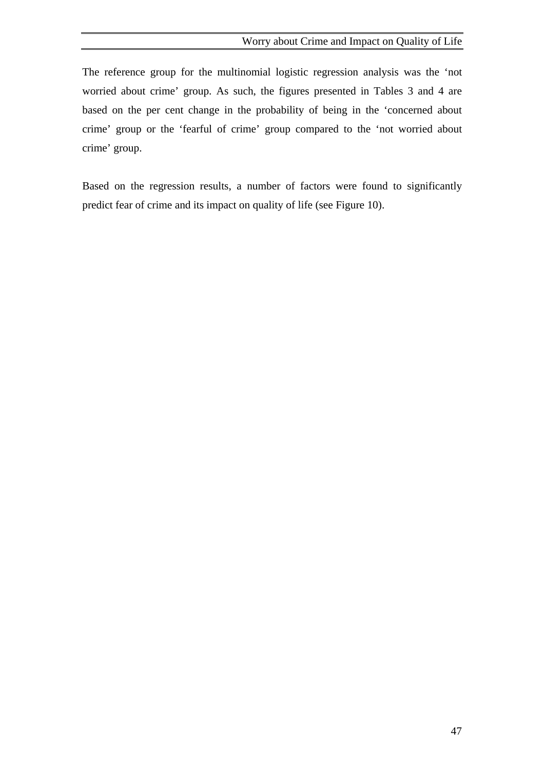The reference group for the multinomial logistic regression analysis was the 'not worried about crime' group. As such, the figures presented in Tables 3 and 4 are based on the per cent change in the probability of being in the 'concerned about crime' group or the 'fearful of crime' group compared to the 'not worried about crime' group.

Based on the regression results, a number of factors were found to significantly predict fear of crime and its impact on quality of life (see Figure 10).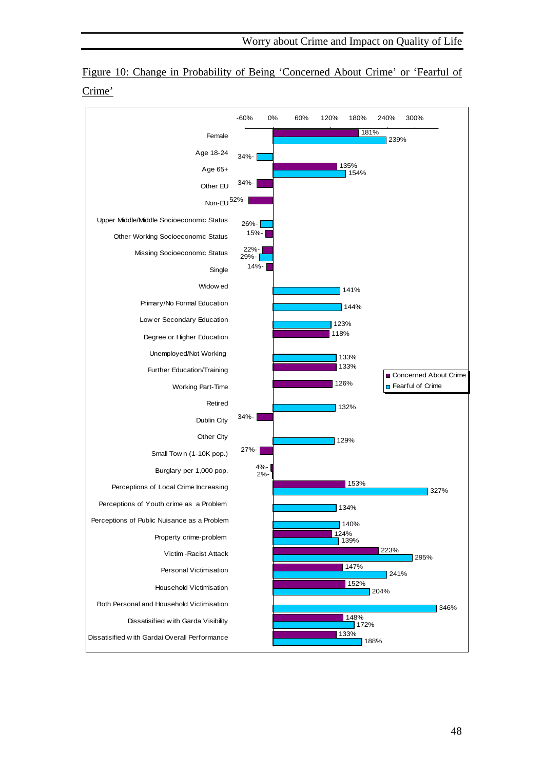

Figure 10: Change in Probability of Being 'Concerned About Crime' or 'Fearful of Crime'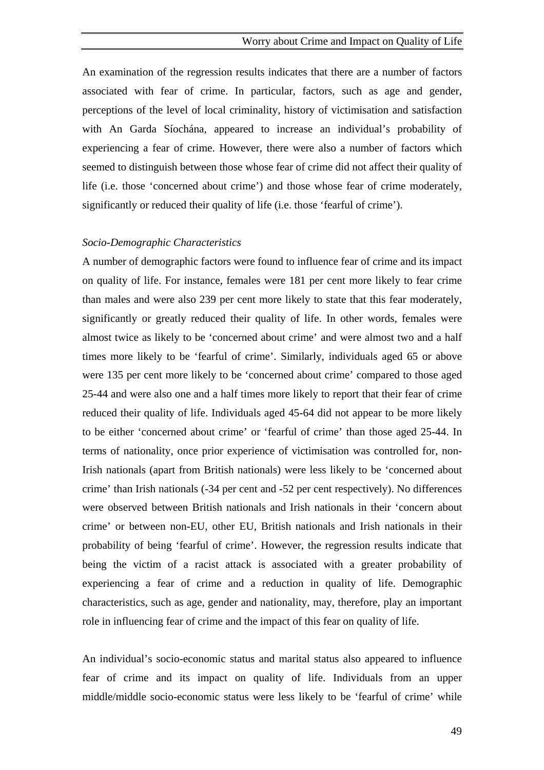An examination of the regression results indicates that there are a number of factors associated with fear of crime. In particular, factors, such as age and gender, perceptions of the level of local criminality, history of victimisation and satisfaction with An Garda Síochána, appeared to increase an individual's probability of experiencing a fear of crime. However, there were also a number of factors which seemed to distinguish between those whose fear of crime did not affect their quality of life (i.e. those 'concerned about crime') and those whose fear of crime moderately, significantly or reduced their quality of life (i.e. those 'fearful of crime').

#### *Socio-Demographic Characteristics*

A number of demographic factors were found to influence fear of crime and its impact on quality of life. For instance, females were 181 per cent more likely to fear crime than males and were also 239 per cent more likely to state that this fear moderately, significantly or greatly reduced their quality of life. In other words, females were almost twice as likely to be 'concerned about crime' and were almost two and a half times more likely to be 'fearful of crime'. Similarly, individuals aged 65 or above were 135 per cent more likely to be 'concerned about crime' compared to those aged 25-44 and were also one and a half times more likely to report that their fear of crime reduced their quality of life. Individuals aged 45-64 did not appear to be more likely to be either 'concerned about crime' or 'fearful of crime' than those aged 25-44. In terms of nationality, once prior experience of victimisation was controlled for, non-Irish nationals (apart from British nationals) were less likely to be 'concerned about crime' than Irish nationals (-34 per cent and -52 per cent respectively). No differences were observed between British nationals and Irish nationals in their 'concern about crime' or between non-EU, other EU, British nationals and Irish nationals in their probability of being 'fearful of crime'. However, the regression results indicate that being the victim of a racist attack is associated with a greater probability of experiencing a fear of crime and a reduction in quality of life. Demographic characteristics, such as age, gender and nationality, may, therefore, play an important role in influencing fear of crime and the impact of this fear on quality of life.

An individual's socio-economic status and marital status also appeared to influence fear of crime and its impact on quality of life. Individuals from an upper middle/middle socio-economic status were less likely to be 'fearful of crime' while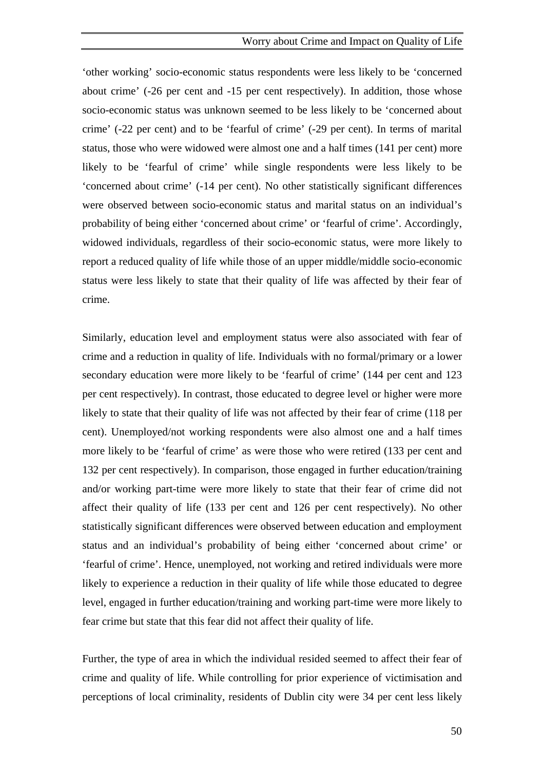'other working' socio-economic status respondents were less likely to be 'concerned about crime' (-26 per cent and -15 per cent respectively). In addition, those whose socio-economic status was unknown seemed to be less likely to be 'concerned about crime' (-22 per cent) and to be 'fearful of crime' (-29 per cent). In terms of marital status, those who were widowed were almost one and a half times (141 per cent) more likely to be 'fearful of crime' while single respondents were less likely to be 'concerned about crime' (-14 per cent). No other statistically significant differences were observed between socio-economic status and marital status on an individual's probability of being either 'concerned about crime' or 'fearful of crime'. Accordingly, widowed individuals, regardless of their socio-economic status, were more likely to report a reduced quality of life while those of an upper middle/middle socio-economic status were less likely to state that their quality of life was affected by their fear of crime.

Similarly, education level and employment status were also associated with fear of crime and a reduction in quality of life. Individuals with no formal/primary or a lower secondary education were more likely to be 'fearful of crime' (144 per cent and 123 per cent respectively). In contrast, those educated to degree level or higher were more likely to state that their quality of life was not affected by their fear of crime (118 per cent). Unemployed/not working respondents were also almost one and a half times more likely to be 'fearful of crime' as were those who were retired (133 per cent and 132 per cent respectively). In comparison, those engaged in further education/training and/or working part-time were more likely to state that their fear of crime did not affect their quality of life (133 per cent and 126 per cent respectively). No other statistically significant differences were observed between education and employment status and an individual's probability of being either 'concerned about crime' or 'fearful of crime'. Hence, unemployed, not working and retired individuals were more likely to experience a reduction in their quality of life while those educated to degree level, engaged in further education/training and working part-time were more likely to fear crime but state that this fear did not affect their quality of life.

Further, the type of area in which the individual resided seemed to affect their fear of crime and quality of life. While controlling for prior experience of victimisation and perceptions of local criminality, residents of Dublin city were 34 per cent less likely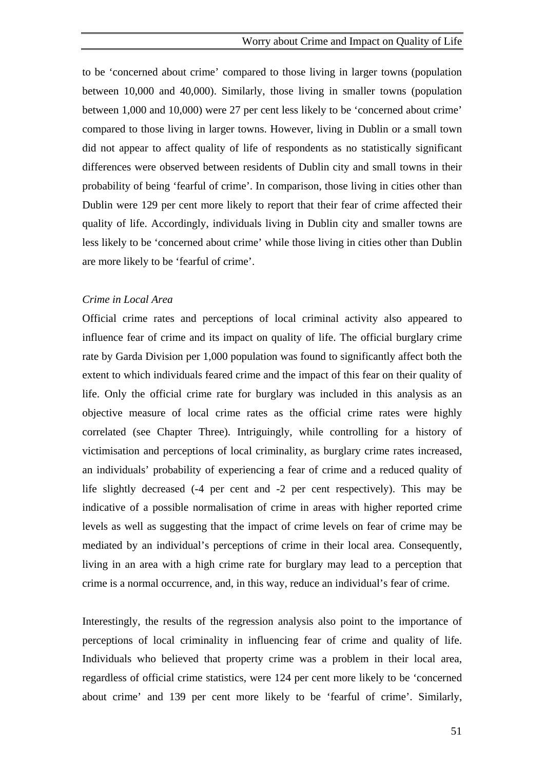to be 'concerned about crime' compared to those living in larger towns (population between 10,000 and 40,000). Similarly, those living in smaller towns (population between 1,000 and 10,000) were 27 per cent less likely to be 'concerned about crime' compared to those living in larger towns. However, living in Dublin or a small town did not appear to affect quality of life of respondents as no statistically significant differences were observed between residents of Dublin city and small towns in their probability of being 'fearful of crime'. In comparison, those living in cities other than Dublin were 129 per cent more likely to report that their fear of crime affected their quality of life. Accordingly, individuals living in Dublin city and smaller towns are less likely to be 'concerned about crime' while those living in cities other than Dublin are more likely to be 'fearful of crime'.

#### *Crime in Local Area*

Official crime rates and perceptions of local criminal activity also appeared to influence fear of crime and its impact on quality of life. The official burglary crime rate by Garda Division per 1,000 population was found to significantly affect both the extent to which individuals feared crime and the impact of this fear on their quality of life. Only the official crime rate for burglary was included in this analysis as an objective measure of local crime rates as the official crime rates were highly correlated (see Chapter Three). Intriguingly, while controlling for a history of victimisation and perceptions of local criminality, as burglary crime rates increased, an individuals' probability of experiencing a fear of crime and a reduced quality of life slightly decreased (-4 per cent and -2 per cent respectively). This may be indicative of a possible normalisation of crime in areas with higher reported crime levels as well as suggesting that the impact of crime levels on fear of crime may be mediated by an individual's perceptions of crime in their local area. Consequently, living in an area with a high crime rate for burglary may lead to a perception that crime is a normal occurrence, and, in this way, reduce an individual's fear of crime.

Interestingly, the results of the regression analysis also point to the importance of perceptions of local criminality in influencing fear of crime and quality of life. Individuals who believed that property crime was a problem in their local area, regardless of official crime statistics, were 124 per cent more likely to be 'concerned about crime' and 139 per cent more likely to be 'fearful of crime'. Similarly,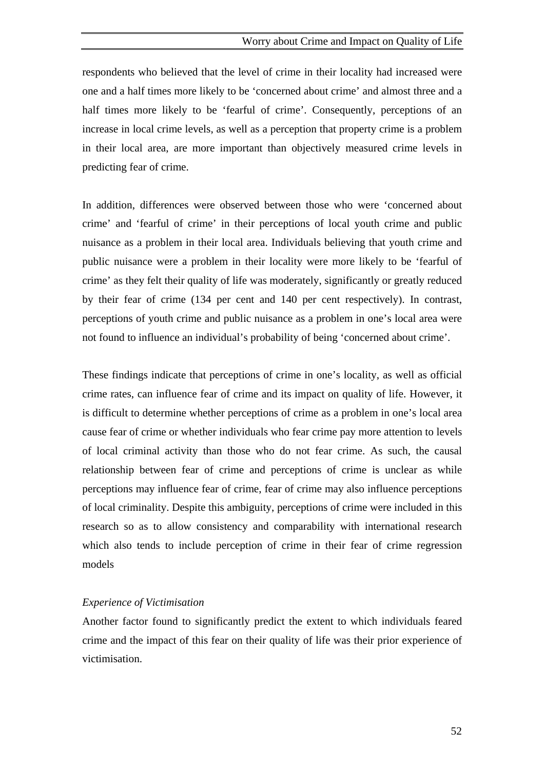respondents who believed that the level of crime in their locality had increased were one and a half times more likely to be 'concerned about crime' and almost three and a half times more likely to be 'fearful of crime'. Consequently, perceptions of an increase in local crime levels, as well as a perception that property crime is a problem in their local area, are more important than objectively measured crime levels in predicting fear of crime.

In addition, differences were observed between those who were 'concerned about crime' and 'fearful of crime' in their perceptions of local youth crime and public nuisance as a problem in their local area. Individuals believing that youth crime and public nuisance were a problem in their locality were more likely to be 'fearful of crime' as they felt their quality of life was moderately, significantly or greatly reduced by their fear of crime (134 per cent and 140 per cent respectively). In contrast, perceptions of youth crime and public nuisance as a problem in one's local area were not found to influence an individual's probability of being 'concerned about crime'.

These findings indicate that perceptions of crime in one's locality, as well as official crime rates, can influence fear of crime and its impact on quality of life. However, it is difficult to determine whether perceptions of crime as a problem in one's local area cause fear of crime or whether individuals who fear crime pay more attention to levels of local criminal activity than those who do not fear crime. As such, the causal relationship between fear of crime and perceptions of crime is unclear as while perceptions may influence fear of crime, fear of crime may also influence perceptions of local criminality. Despite this ambiguity, perceptions of crime were included in this research so as to allow consistency and comparability with international research which also tends to include perception of crime in their fear of crime regression models

### *Experience of Victimisation*

Another factor found to significantly predict the extent to which individuals feared crime and the impact of this fear on their quality of life was their prior experience of victimisation.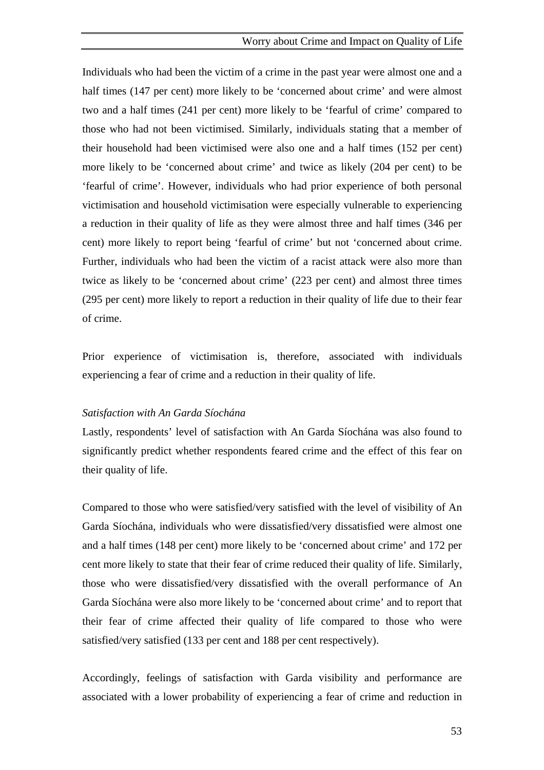Individuals who had been the victim of a crime in the past year were almost one and a half times (147 per cent) more likely to be 'concerned about crime' and were almost two and a half times (241 per cent) more likely to be 'fearful of crime' compared to those who had not been victimised. Similarly, individuals stating that a member of their household had been victimised were also one and a half times (152 per cent) more likely to be 'concerned about crime' and twice as likely (204 per cent) to be 'fearful of crime'. However, individuals who had prior experience of both personal victimisation and household victimisation were especially vulnerable to experiencing a reduction in their quality of life as they were almost three and half times (346 per cent) more likely to report being 'fearful of crime' but not 'concerned about crime. Further, individuals who had been the victim of a racist attack were also more than twice as likely to be 'concerned about crime' (223 per cent) and almost three times (295 per cent) more likely to report a reduction in their quality of life due to their fear of crime.

Prior experience of victimisation is, therefore, associated with individuals experiencing a fear of crime and a reduction in their quality of life.

#### *Satisfaction with An Garda Síochána*

Lastly, respondents' level of satisfaction with An Garda Síochána was also found to significantly predict whether respondents feared crime and the effect of this fear on their quality of life.

Compared to those who were satisfied/very satisfied with the level of visibility of An Garda Síochána, individuals who were dissatisfied/very dissatisfied were almost one and a half times (148 per cent) more likely to be 'concerned about crime' and 172 per cent more likely to state that their fear of crime reduced their quality of life. Similarly, those who were dissatisfied/very dissatisfied with the overall performance of An Garda Síochána were also more likely to be 'concerned about crime' and to report that their fear of crime affected their quality of life compared to those who were satisfied/very satisfied (133 per cent and 188 per cent respectively).

Accordingly, feelings of satisfaction with Garda visibility and performance are associated with a lower probability of experiencing a fear of crime and reduction in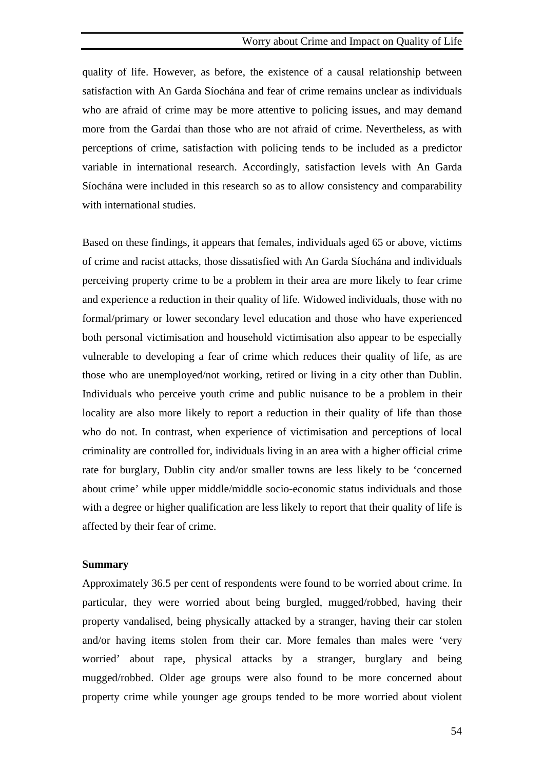#### Worry about Crime and Impact on Quality of Life

quality of life. However, as before, the existence of a causal relationship between satisfaction with An Garda Síochána and fear of crime remains unclear as individuals who are afraid of crime may be more attentive to policing issues, and may demand more from the Gardaí than those who are not afraid of crime. Nevertheless, as with perceptions of crime, satisfaction with policing tends to be included as a predictor variable in international research. Accordingly, satisfaction levels with An Garda Síochána were included in this research so as to allow consistency and comparability with international studies.

Based on these findings, it appears that females, individuals aged 65 or above, victims of crime and racist attacks, those dissatisfied with An Garda Síochána and individuals perceiving property crime to be a problem in their area are more likely to fear crime and experience a reduction in their quality of life. Widowed individuals, those with no formal/primary or lower secondary level education and those who have experienced both personal victimisation and household victimisation also appear to be especially vulnerable to developing a fear of crime which reduces their quality of life, as are those who are unemployed/not working, retired or living in a city other than Dublin. Individuals who perceive youth crime and public nuisance to be a problem in their locality are also more likely to report a reduction in their quality of life than those who do not. In contrast, when experience of victimisation and perceptions of local criminality are controlled for, individuals living in an area with a higher official crime rate for burglary, Dublin city and/or smaller towns are less likely to be 'concerned about crime' while upper middle/middle socio-economic status individuals and those with a degree or higher qualification are less likely to report that their quality of life is affected by their fear of crime.

## **Summary**

Approximately 36.5 per cent of respondents were found to be worried about crime. In particular, they were worried about being burgled, mugged/robbed, having their property vandalised, being physically attacked by a stranger, having their car stolen and/or having items stolen from their car. More females than males were 'very worried' about rape, physical attacks by a stranger, burglary and being mugged/robbed. Older age groups were also found to be more concerned about property crime while younger age groups tended to be more worried about violent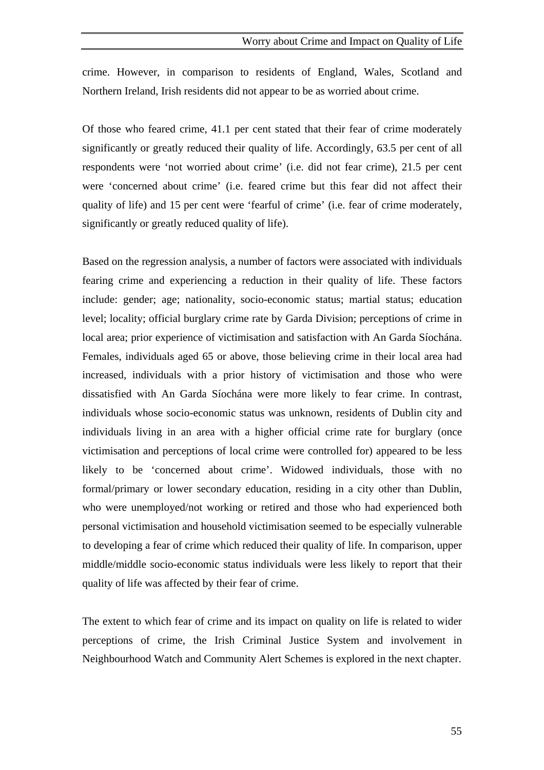crime. However, in comparison to residents of England, Wales, Scotland and Northern Ireland, Irish residents did not appear to be as worried about crime.

Of those who feared crime, 41.1 per cent stated that their fear of crime moderately significantly or greatly reduced their quality of life. Accordingly, 63.5 per cent of all respondents were 'not worried about crime' (i.e. did not fear crime), 21.5 per cent were 'concerned about crime' (i.e. feared crime but this fear did not affect their quality of life) and 15 per cent were 'fearful of crime' (i.e. fear of crime moderately, significantly or greatly reduced quality of life).

Based on the regression analysis, a number of factors were associated with individuals fearing crime and experiencing a reduction in their quality of life. These factors include: gender; age; nationality, socio-economic status; martial status; education level; locality; official burglary crime rate by Garda Division; perceptions of crime in local area; prior experience of victimisation and satisfaction with An Garda Síochána. Females, individuals aged 65 or above, those believing crime in their local area had increased, individuals with a prior history of victimisation and those who were dissatisfied with An Garda Síochána were more likely to fear crime. In contrast, individuals whose socio-economic status was unknown, residents of Dublin city and individuals living in an area with a higher official crime rate for burglary (once victimisation and perceptions of local crime were controlled for) appeared to be less likely to be 'concerned about crime'. Widowed individuals, those with no formal/primary or lower secondary education, residing in a city other than Dublin, who were unemployed/not working or retired and those who had experienced both personal victimisation and household victimisation seemed to be especially vulnerable to developing a fear of crime which reduced their quality of life. In comparison, upper middle/middle socio-economic status individuals were less likely to report that their quality of life was affected by their fear of crime.

The extent to which fear of crime and its impact on quality on life is related to wider perceptions of crime, the Irish Criminal Justice System and involvement in Neighbourhood Watch and Community Alert Schemes is explored in the next chapter.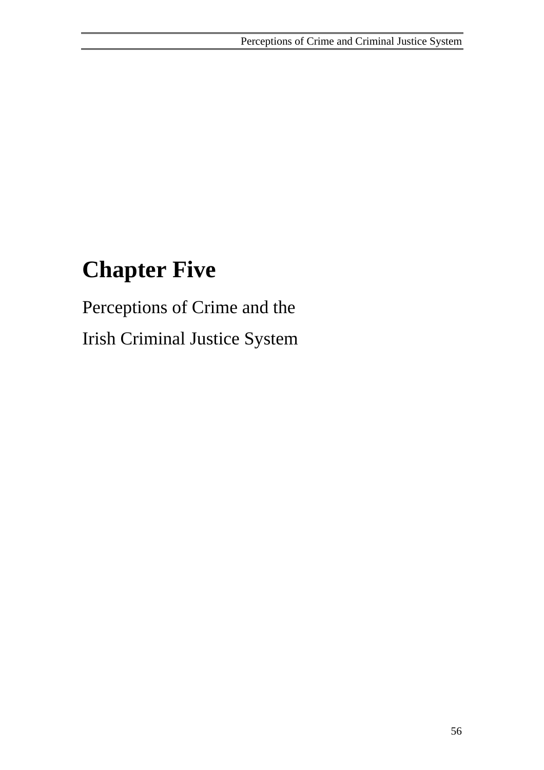# **Chapter Five**

Perceptions of Crime and the Irish Criminal Justice System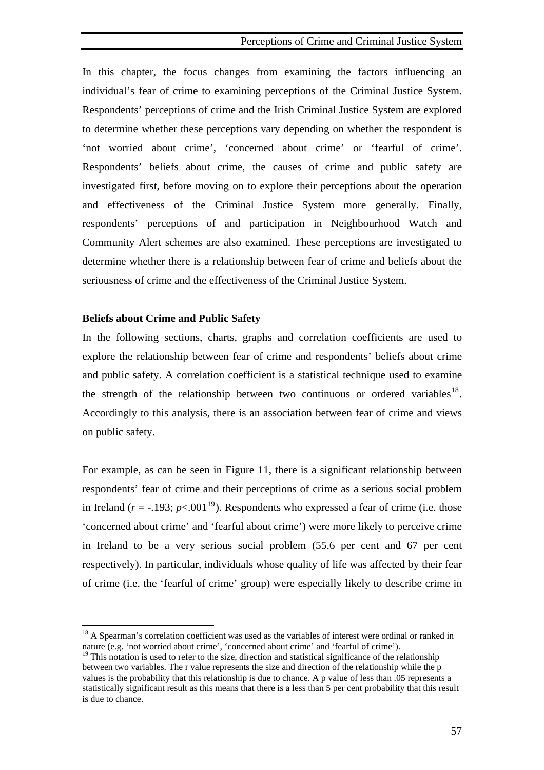<span id="page-71-0"></span>In this chapter, the focus changes from examining the factors influencing an individual's fear of crime to examining perceptions of the Criminal Justice System. Respondents' perceptions of crime and the Irish Criminal Justice System are explored to determine whether these perceptions vary depending on whether the respondent is 'not worried about crime', 'concerned about crime' or 'fearful of crime'. Respondents' beliefs about crime, the causes of crime and public safety are investigated first, before moving on to explore their perceptions about the operation and effectiveness of the Criminal Justice System more generally. Finally, respondents' perceptions of and participation in Neighbourhood Watch and Community Alert schemes are also examined. These perceptions are investigated to determine whether there is a relationship between fear of crime and beliefs about the seriousness of crime and the effectiveness of the Criminal Justice System.

#### **Beliefs about Crime and Public Safety**

 $\overline{a}$ 

In the following sections, charts, graphs and correlation coefficients are used to explore the relationship between fear of crime and respondents' beliefs about crime and public safety. A correlation coefficient is a statistical technique used to examine the strength of the relationship between two continuous or ordered variables<sup>[18](#page-71-0)</sup>. Accordingly to this analysis, there is an association between fear of crime and views on public safety.

For example, as can be seen in Figure 11, there is a significant relationship between respondents' fear of crime and their perceptions of crime as a serious social problem in Ireland ( $r = -193$  $r = -193$  $r = -193$ ;  $p < .001^{19}$ ). Respondents who expressed a fear of crime (i.e. those 'concerned about crime' and 'fearful about crime') were more likely to perceive crime in Ireland to be a very serious social problem (55.6 per cent and 67 per cent respectively). In particular, individuals whose quality of life was affected by their fear of crime (i.e. the 'fearful of crime' group) were especially likely to describe crime in

<sup>&</sup>lt;sup>18</sup> A Spearman's correlation coefficient was used as the variables of interest were ordinal or ranked in nature (e.g. 'not worried about crime', 'concerned about crime' and 'fearful of crime').

 $19$  This notation is used to refer to the size, direction and statistical significance of the relationship between two variables. The r value represents the size and direction of the relationship while the p values is the probability that this relationship is due to chance. A p value of less than .05 represents a statistically significant result as this means that there is a less than 5 per cent probability that this result is due to chance.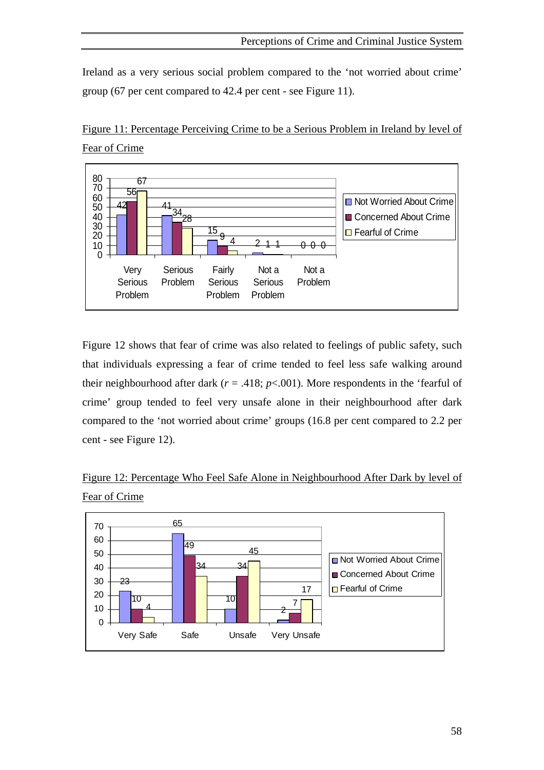Ireland as a very serious social problem compared to the 'not worried about crime' group (67 per cent compared to 42.4 per cent - see Figure 11).



Figure 11: Percentage Perceiving Crime to be a Serious Problem in Ireland by level of Fear of Crime

Figure 12 shows that fear of crime was also related to feelings of public safety, such that individuals expressing a fear of crime tended to feel less safe walking around their neighbourhood after dark ( $r = .418$ ;  $p < .001$ ). More respondents in the 'fearful of crime' group tended to feel very unsafe alone in their neighbourhood after dark compared to the 'not worried about crime' groups (16.8 per cent compared to 2.2 per cent - see Figure 12).



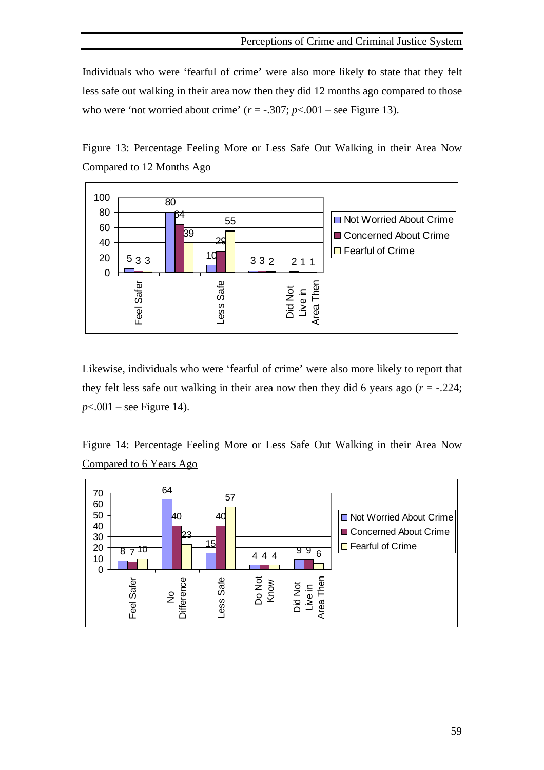Individuals who were 'fearful of crime' were also more likely to state that they felt less safe out walking in their area now then they did 12 months ago compared to those who were 'not worried about crime'  $(r = -.307; p < .001$  – see Figure 13).





Likewise, individuals who were 'fearful of crime' were also more likely to report that they felt less safe out walking in their area now then they did 6 years ago  $(r = -0.224)$ ; *p*<.001 – see Figure 14).

Figure 14: Percentage Feeling More or Less Safe Out Walking in their Area Now Compared to 6 Years Ago

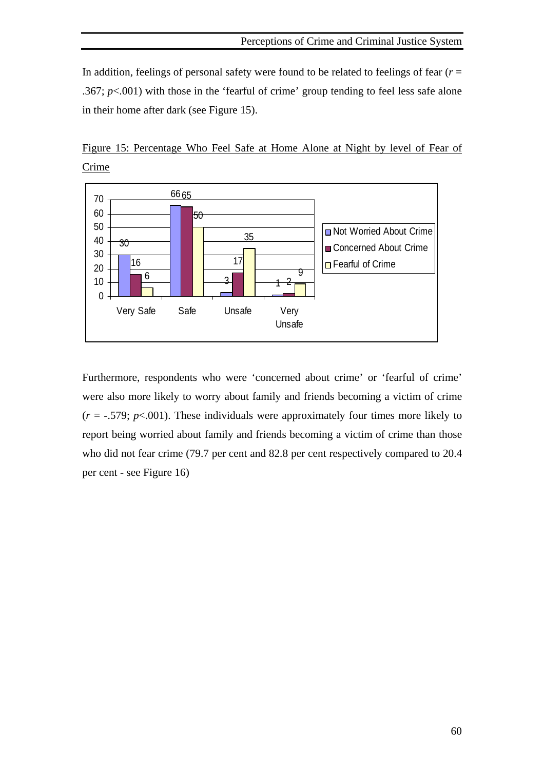In addition, feelings of personal safety were found to be related to feelings of fear (*r* = .367; *p*<.001) with those in the 'fearful of crime' group tending to feel less safe alone in their home after dark (see Figure 15).



Figure 15: Percentage Who Feel Safe at Home Alone at Night by level of Fear of Crime

Furthermore, respondents who were 'concerned about crime' or 'fearful of crime' were also more likely to worry about family and friends becoming a victim of crime  $(r = -.579; p < .001)$ . These individuals were approximately four times more likely to report being worried about family and friends becoming a victim of crime than those who did not fear crime (79.7 per cent and 82.8 per cent respectively compared to 20.4 per cent - see Figure 16)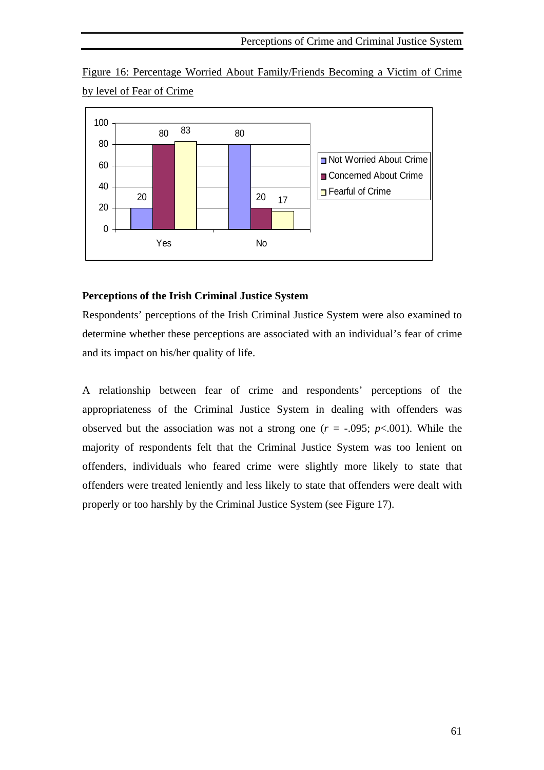Figure 16: Percentage Worried About Family/Friends Becoming a Victim of Crime by level of Fear of Crime



# **Perceptions of the Irish Criminal Justice System**

Respondents' perceptions of the Irish Criminal Justice System were also examined to determine whether these perceptions are associated with an individual's fear of crime and its impact on his/her quality of life.

A relationship between fear of crime and respondents' perceptions of the appropriateness of the Criminal Justice System in dealing with offenders was observed but the association was not a strong one  $(r = -.095; p < .001)$ . While the majority of respondents felt that the Criminal Justice System was too lenient on offenders, individuals who feared crime were slightly more likely to state that offenders were treated leniently and less likely to state that offenders were dealt with properly or too harshly by the Criminal Justice System (see Figure 17).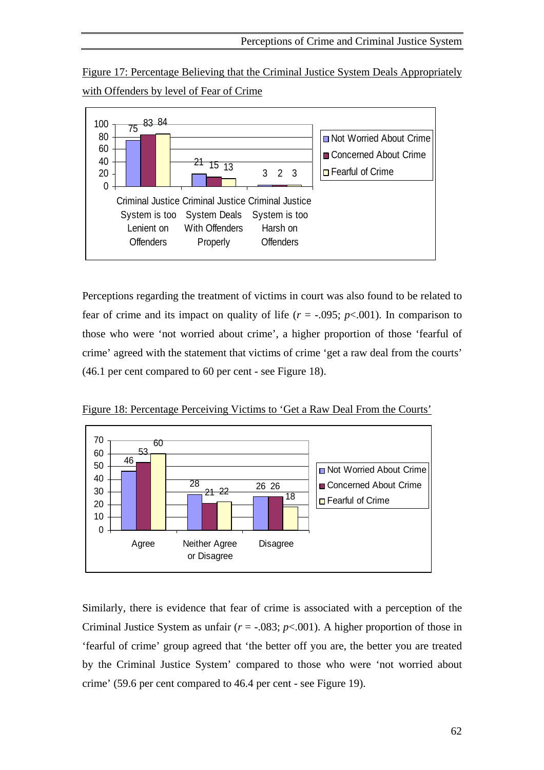Figure 17: Percentage Believing that the Criminal Justice System Deals Appropriately with Offenders by level of Fear of Crime



Perceptions regarding the treatment of victims in court was also found to be related to fear of crime and its impact on quality of life  $(r = -.095; p < .001)$ . In comparison to those who were 'not worried about crime', a higher proportion of those 'fearful of crime' agreed with the statement that victims of crime 'get a raw deal from the courts' (46.1 per cent compared to 60 per cent - see Figure 18).



Figure 18: Percentage Perceiving Victims to 'Get a Raw Deal From the Courts'

Similarly, there is evidence that fear of crime is associated with a perception of the Criminal Justice System as unfair  $(r = -0.083; p < .001)$ . A higher proportion of those in 'fearful of crime' group agreed that 'the better off you are, the better you are treated by the Criminal Justice System' compared to those who were 'not worried about crime' (59.6 per cent compared to 46.4 per cent - see Figure 19).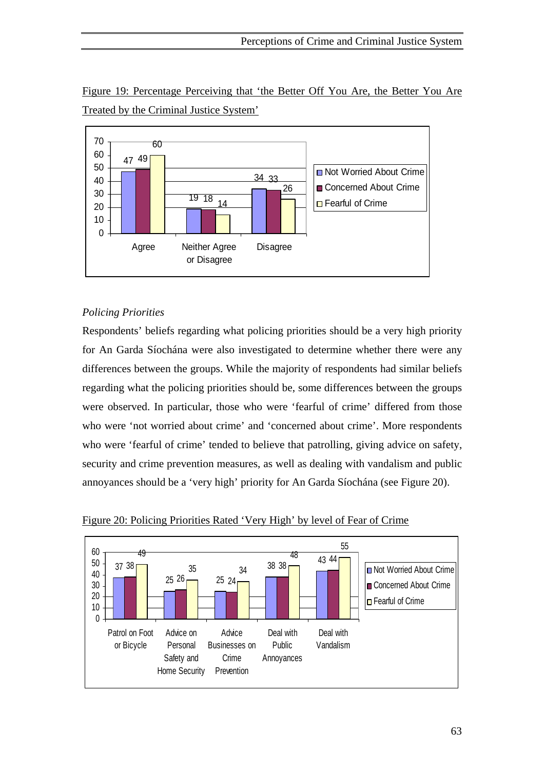

Figure 19: Percentage Perceiving that 'the Better Off You Are, the Better You Are Treated by the Criminal Justice System'

# *Policing Priorities*

Respondents' beliefs regarding what policing priorities should be a very high priority for An Garda Síochána were also investigated to determine whether there were any differences between the groups. While the majority of respondents had similar beliefs regarding what the policing priorities should be, some differences between the groups were observed. In particular, those who were 'fearful of crime' differed from those who were 'not worried about crime' and 'concerned about crime'. More respondents who were 'fearful of crime' tended to believe that patrolling, giving advice on safety, security and crime prevention measures, as well as dealing with vandalism and public annoyances should be a 'very high' priority for An Garda Síochána (see Figure 20).



Figure 20: Policing Priorities Rated 'Very High' by level of Fear of Crime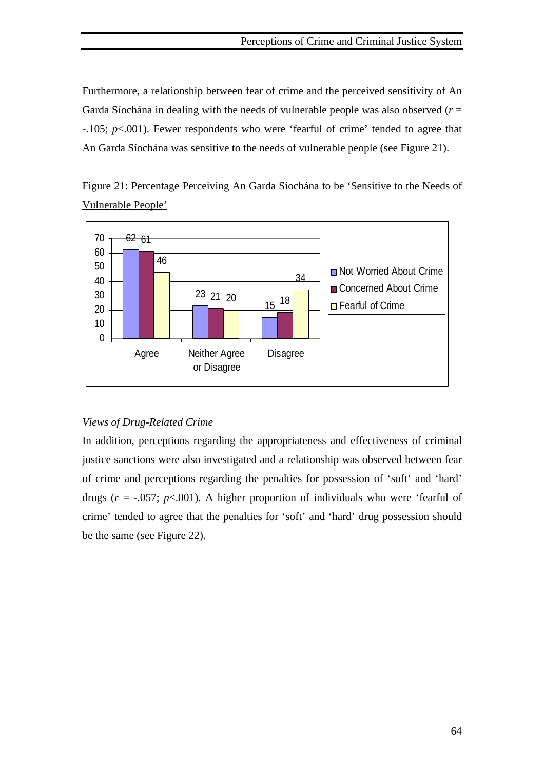Furthermore, a relationship between fear of crime and the perceived sensitivity of An Garda Síochána in dealing with the needs of vulnerable people was also observed (*r* = -.105; *p*<.001). Fewer respondents who were 'fearful of crime' tended to agree that An Garda Síochána was sensitive to the needs of vulnerable people (see Figure 21).

Figure 21: Percentage Perceiving An Garda Síochána to be 'Sensitive to the Needs of Vulnerable People'



# *Views of Drug-Related Crime*

In addition, perceptions regarding the appropriateness and effectiveness of criminal justice sanctions were also investigated and a relationship was observed between fear of crime and perceptions regarding the penalties for possession of 'soft' and 'hard' drugs  $(r = -.057; p < .001)$ . A higher proportion of individuals who were 'fearful of crime' tended to agree that the penalties for 'soft' and 'hard' drug possession should be the same (see Figure 22).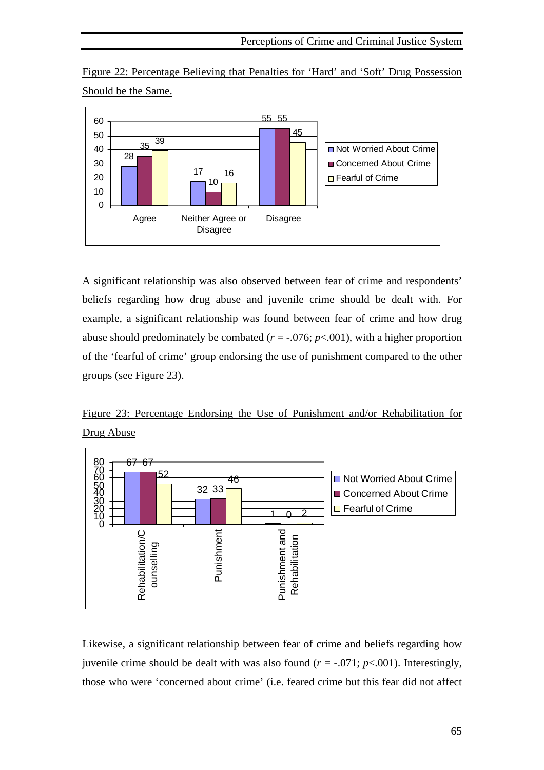Figure 22: Percentage Believing that Penalties for 'Hard' and 'Soft' Drug Possession Should be the Same.



A significant relationship was also observed between fear of crime and respondents' beliefs regarding how drug abuse and juvenile crime should be dealt with. For example, a significant relationship was found between fear of crime and how drug abuse should predominately be combated ( $r = -0.076$ ;  $p < .001$ ), with a higher proportion of the 'fearful of crime' group endorsing the use of punishment compared to the other groups (see Figure 23).

Figure 23: Percentage Endorsing the Use of Punishment and/or Rehabilitation for Drug Abuse



Likewise, a significant relationship between fear of crime and beliefs regarding how juvenile crime should be dealt with was also found  $(r = -.071; p < .001)$ . Interestingly, those who were 'concerned about crime' (i.e. feared crime but this fear did not affect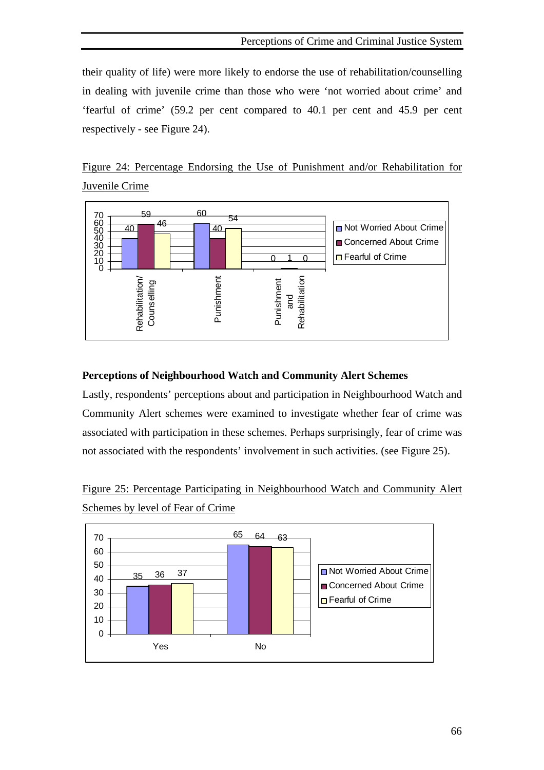their quality of life) were more likely to endorse the use of rehabilitation/counselling in dealing with juvenile crime than those who were 'not worried about crime' and 'fearful of crime' (59.2 per cent compared to 40.1 per cent and 45.9 per cent respectively - see Figure 24).





# **Perceptions of Neighbourhood Watch and Community Alert Schemes**

Lastly, respondents' perceptions about and participation in Neighbourhood Watch and Community Alert schemes were examined to investigate whether fear of crime was associated with participation in these schemes. Perhaps surprisingly, fear of crime was not associated with the respondents' involvement in such activities. (see Figure 25).

Figure 25: Percentage Participating in Neighbourhood Watch and Community Alert Schemes by level of Fear of Crime

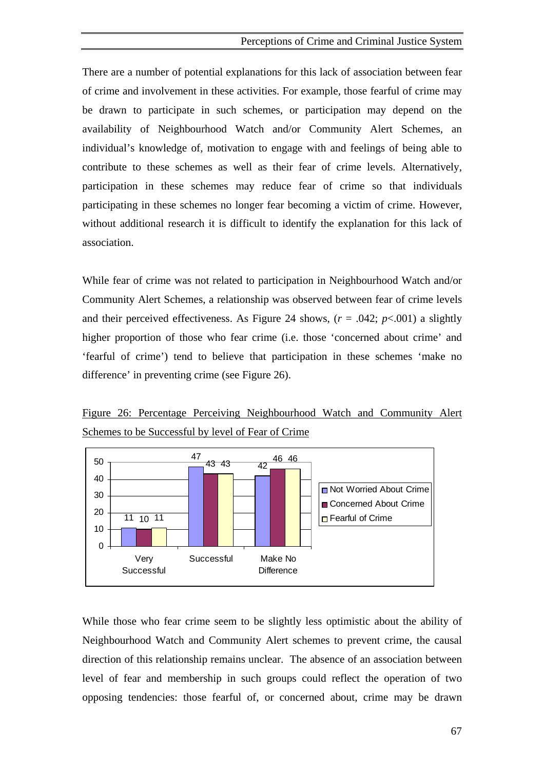There are a number of potential explanations for this lack of association between fear of crime and involvement in these activities. For example, those fearful of crime may be drawn to participate in such schemes, or participation may depend on the availability of Neighbourhood Watch and/or Community Alert Schemes, an individual's knowledge of, motivation to engage with and feelings of being able to contribute to these schemes as well as their fear of crime levels. Alternatively, participation in these schemes may reduce fear of crime so that individuals participating in these schemes no longer fear becoming a victim of crime. However, without additional research it is difficult to identify the explanation for this lack of association.

While fear of crime was not related to participation in Neighbourhood Watch and/or Community Alert Schemes, a relationship was observed between fear of crime levels and their perceived effectiveness. As Figure 24 shows,  $(r = .042; p < .001)$  a slightly higher proportion of those who fear crime (i.e. those 'concerned about crime' and 'fearful of crime') tend to believe that participation in these schemes 'make no difference' in preventing crime (see Figure 26).

Figure 26: Percentage Perceiving Neighbourhood Watch and Community Alert Schemes to be Successful by level of Fear of Crime



While those who fear crime seem to be slightly less optimistic about the ability of Neighbourhood Watch and Community Alert schemes to prevent crime, the causal direction of this relationship remains unclear. The absence of an association between level of fear and membership in such groups could reflect the operation of two opposing tendencies: those fearful of, or concerned about, crime may be drawn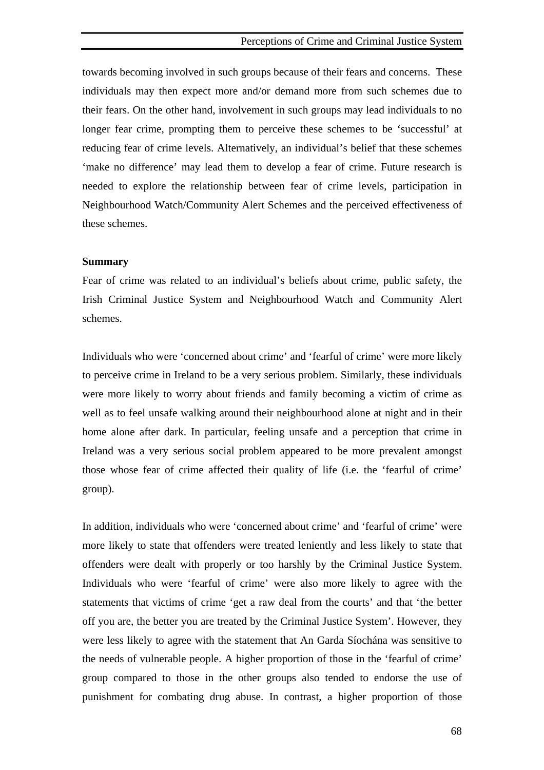#### Perceptions of Crime and Criminal Justice System

towards becoming involved in such groups because of their fears and concerns. These individuals may then expect more and/or demand more from such schemes due to their fears. On the other hand, involvement in such groups may lead individuals to no longer fear crime, prompting them to perceive these schemes to be 'successful' at reducing fear of crime levels. Alternatively, an individual's belief that these schemes 'make no difference' may lead them to develop a fear of crime. Future research is needed to explore the relationship between fear of crime levels, participation in Neighbourhood Watch/Community Alert Schemes and the perceived effectiveness of these schemes.

#### **Summary**

Fear of crime was related to an individual's beliefs about crime, public safety, the Irish Criminal Justice System and Neighbourhood Watch and Community Alert schemes.

Individuals who were 'concerned about crime' and 'fearful of crime' were more likely to perceive crime in Ireland to be a very serious problem. Similarly, these individuals were more likely to worry about friends and family becoming a victim of crime as well as to feel unsafe walking around their neighbourhood alone at night and in their home alone after dark. In particular, feeling unsafe and a perception that crime in Ireland was a very serious social problem appeared to be more prevalent amongst those whose fear of crime affected their quality of life (i.e. the 'fearful of crime' group).

In addition, individuals who were 'concerned about crime' and 'fearful of crime' were more likely to state that offenders were treated leniently and less likely to state that offenders were dealt with properly or too harshly by the Criminal Justice System. Individuals who were 'fearful of crime' were also more likely to agree with the statements that victims of crime 'get a raw deal from the courts' and that 'the better off you are, the better you are treated by the Criminal Justice System'. However, they were less likely to agree with the statement that An Garda Síochána was sensitive to the needs of vulnerable people. A higher proportion of those in the 'fearful of crime' group compared to those in the other groups also tended to endorse the use of punishment for combating drug abuse. In contrast, a higher proportion of those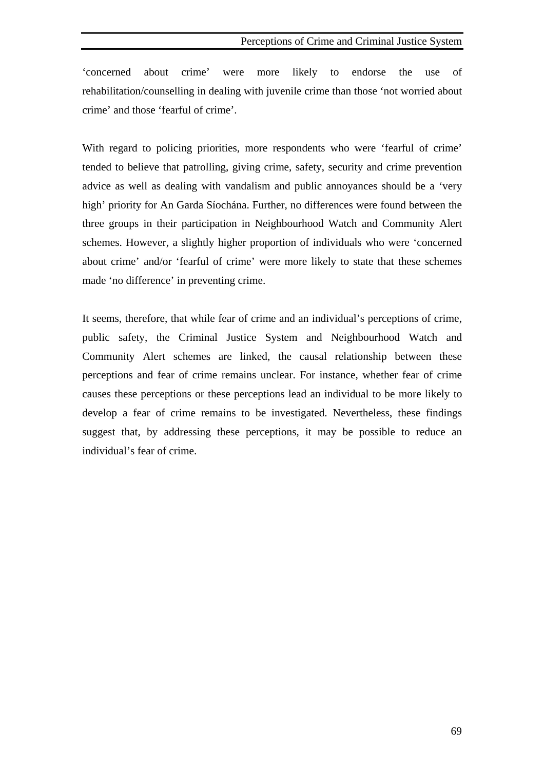'concerned about crime' were more likely to endorse the use of rehabilitation/counselling in dealing with juvenile crime than those 'not worried about crime' and those 'fearful of crime'.

With regard to policing priorities, more respondents who were 'fearful of crime' tended to believe that patrolling, giving crime, safety, security and crime prevention advice as well as dealing with vandalism and public annoyances should be a 'very high' priority for An Garda Síochána. Further, no differences were found between the three groups in their participation in Neighbourhood Watch and Community Alert schemes. However, a slightly higher proportion of individuals who were 'concerned about crime' and/or 'fearful of crime' were more likely to state that these schemes made 'no difference' in preventing crime.

It seems, therefore, that while fear of crime and an individual's perceptions of crime, public safety, the Criminal Justice System and Neighbourhood Watch and Community Alert schemes are linked, the causal relationship between these perceptions and fear of crime remains unclear. For instance, whether fear of crime causes these perceptions or these perceptions lead an individual to be more likely to develop a fear of crime remains to be investigated. Nevertheless, these findings suggest that, by addressing these perceptions, it may be possible to reduce an individual's fear of crime.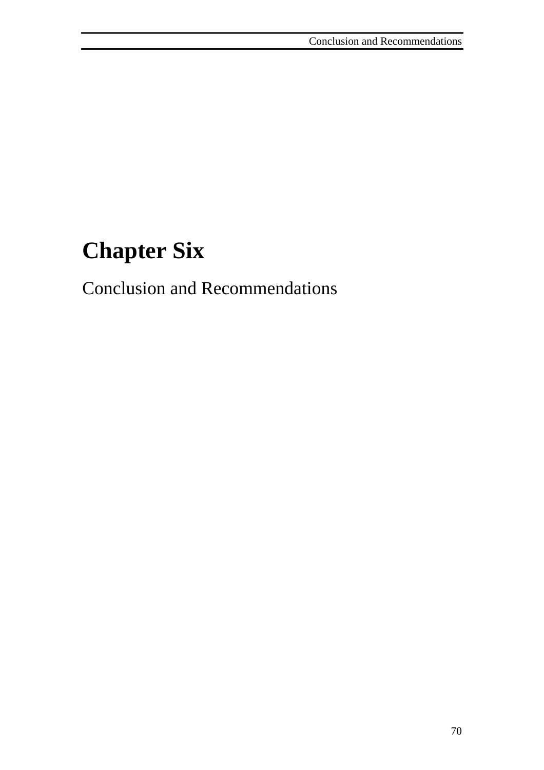# **Chapter Six**

Conclusion and Recommendations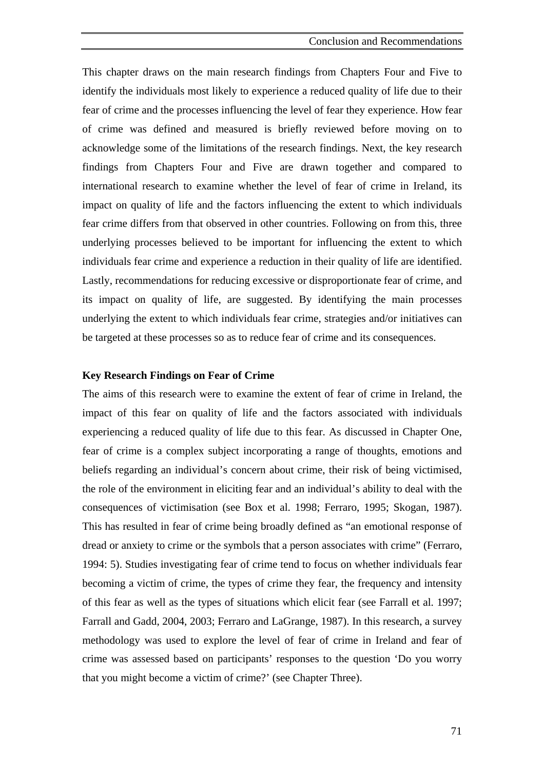This chapter draws on the main research findings from Chapters Four and Five to identify the individuals most likely to experience a reduced quality of life due to their fear of crime and the processes influencing the level of fear they experience. How fear of crime was defined and measured is briefly reviewed before moving on to acknowledge some of the limitations of the research findings. Next, the key research findings from Chapters Four and Five are drawn together and compared to international research to examine whether the level of fear of crime in Ireland, its impact on quality of life and the factors influencing the extent to which individuals fear crime differs from that observed in other countries. Following on from this, three underlying processes believed to be important for influencing the extent to which individuals fear crime and experience a reduction in their quality of life are identified. Lastly, recommendations for reducing excessive or disproportionate fear of crime, and its impact on quality of life, are suggested. By identifying the main processes underlying the extent to which individuals fear crime, strategies and/or initiatives can be targeted at these processes so as to reduce fear of crime and its consequences.

### **Key Research Findings on Fear of Crime**

The aims of this research were to examine the extent of fear of crime in Ireland, the impact of this fear on quality of life and the factors associated with individuals experiencing a reduced quality of life due to this fear. As discussed in Chapter One, fear of crime is a complex subject incorporating a range of thoughts, emotions and beliefs regarding an individual's concern about crime, their risk of being victimised, the role of the environment in eliciting fear and an individual's ability to deal with the consequences of victimisation (see Box et al. 1998; Ferraro, 1995; Skogan, 1987). This has resulted in fear of crime being broadly defined as "an emotional response of dread or anxiety to crime or the symbols that a person associates with crime" (Ferraro, 1994: 5). Studies investigating fear of crime tend to focus on whether individuals fear becoming a victim of crime, the types of crime they fear, the frequency and intensity of this fear as well as the types of situations which elicit fear (see Farrall et al. 1997; Farrall and Gadd, 2004, 2003; Ferraro and LaGrange, 1987). In this research, a survey methodology was used to explore the level of fear of crime in Ireland and fear of crime was assessed based on participants' responses to the question 'Do you worry that you might become a victim of crime?' (see Chapter Three).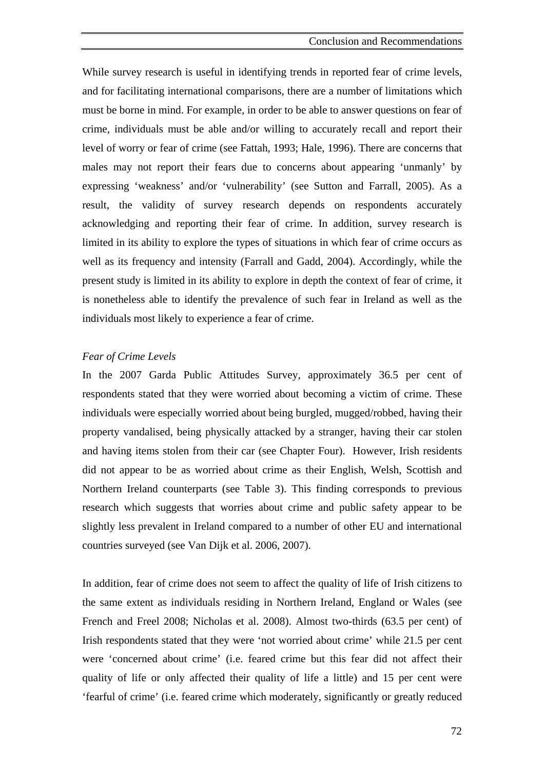While survey research is useful in identifying trends in reported fear of crime levels, and for facilitating international comparisons, there are a number of limitations which must be borne in mind. For example, in order to be able to answer questions on fear of crime, individuals must be able and/or willing to accurately recall and report their level of worry or fear of crime (see Fattah, 1993; Hale, 1996). There are concerns that males may not report their fears due to concerns about appearing 'unmanly' by expressing 'weakness' and/or 'vulnerability' (see Sutton and Farrall, 2005). As a result, the validity of survey research depends on respondents accurately acknowledging and reporting their fear of crime. In addition, survey research is limited in its ability to explore the types of situations in which fear of crime occurs as well as its frequency and intensity (Farrall and Gadd, 2004). Accordingly, while the present study is limited in its ability to explore in depth the context of fear of crime, it is nonetheless able to identify the prevalence of such fear in Ireland as well as the individuals most likely to experience a fear of crime.

#### *Fear of Crime Levels*

In the 2007 Garda Public Attitudes Survey, approximately 36.5 per cent of respondents stated that they were worried about becoming a victim of crime. These individuals were especially worried about being burgled, mugged/robbed, having their property vandalised, being physically attacked by a stranger, having their car stolen and having items stolen from their car (see Chapter Four). However, Irish residents did not appear to be as worried about crime as their English, Welsh, Scottish and Northern Ireland counterparts (see Table 3). This finding corresponds to previous research which suggests that worries about crime and public safety appear to be slightly less prevalent in Ireland compared to a number of other EU and international countries surveyed (see Van Dijk et al. 2006, 2007).

In addition, fear of crime does not seem to affect the quality of life of Irish citizens to the same extent as individuals residing in Northern Ireland, England or Wales (see French and Freel 2008; Nicholas et al. 2008). Almost two-thirds (63.5 per cent) of Irish respondents stated that they were 'not worried about crime' while 21.5 per cent were 'concerned about crime' (i.e. feared crime but this fear did not affect their quality of life or only affected their quality of life a little) and 15 per cent were 'fearful of crime' (i.e. feared crime which moderately, significantly or greatly reduced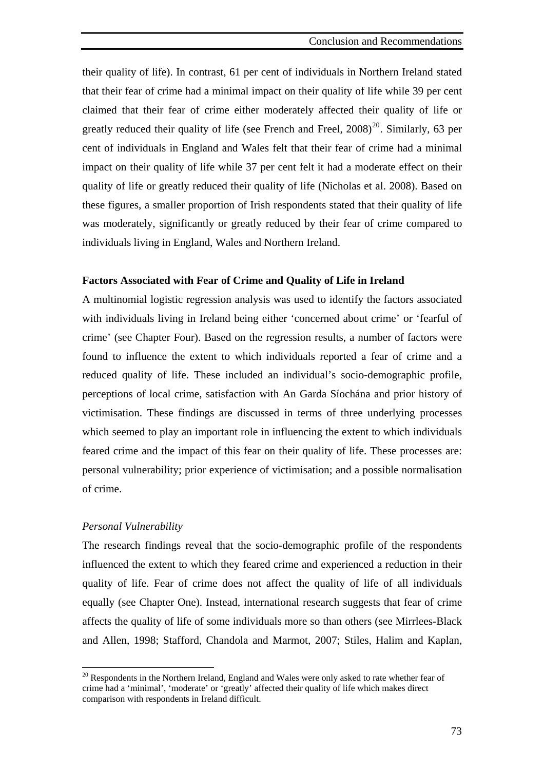<span id="page-87-0"></span>their quality of life). In contrast, 61 per cent of individuals in Northern Ireland stated that their fear of crime had a minimal impact on their quality of life while 39 per cent claimed that their fear of crime either moderately affected their quality of life or greatly reduced their quality of life (see French and Freel,  $2008$  $2008$ )<sup>20</sup>. Similarly, 63 per cent of individuals in England and Wales felt that their fear of crime had a minimal impact on their quality of life while 37 per cent felt it had a moderate effect on their quality of life or greatly reduced their quality of life (Nicholas et al. 2008). Based on these figures, a smaller proportion of Irish respondents stated that their quality of life was moderately, significantly or greatly reduced by their fear of crime compared to individuals living in England, Wales and Northern Ireland.

#### **Factors Associated with Fear of Crime and Quality of Life in Ireland**

A multinomial logistic regression analysis was used to identify the factors associated with individuals living in Ireland being either 'concerned about crime' or 'fearful of crime' (see Chapter Four). Based on the regression results, a number of factors were found to influence the extent to which individuals reported a fear of crime and a reduced quality of life. These included an individual's socio-demographic profile, perceptions of local crime, satisfaction with An Garda Síochána and prior history of victimisation. These findings are discussed in terms of three underlying processes which seemed to play an important role in influencing the extent to which individuals feared crime and the impact of this fear on their quality of life. These processes are: personal vulnerability; prior experience of victimisation; and a possible normalisation of crime.

# *Personal Vulnerability*

 $\overline{a}$ 

The research findings reveal that the socio-demographic profile of the respondents influenced the extent to which they feared crime and experienced a reduction in their quality of life. Fear of crime does not affect the quality of life of all individuals equally (see Chapter One). Instead, international research suggests that fear of crime affects the quality of life of some individuals more so than others (see Mirrlees-Black and Allen, 1998; Stafford, Chandola and Marmot, 2007; Stiles, Halim and Kaplan,

 $20$  Respondents in the Northern Ireland, England and Wales were only asked to rate whether fear of crime had a 'minimal', 'moderate' or 'greatly' affected their quality of life which makes direct comparison with respondents in Ireland difficult.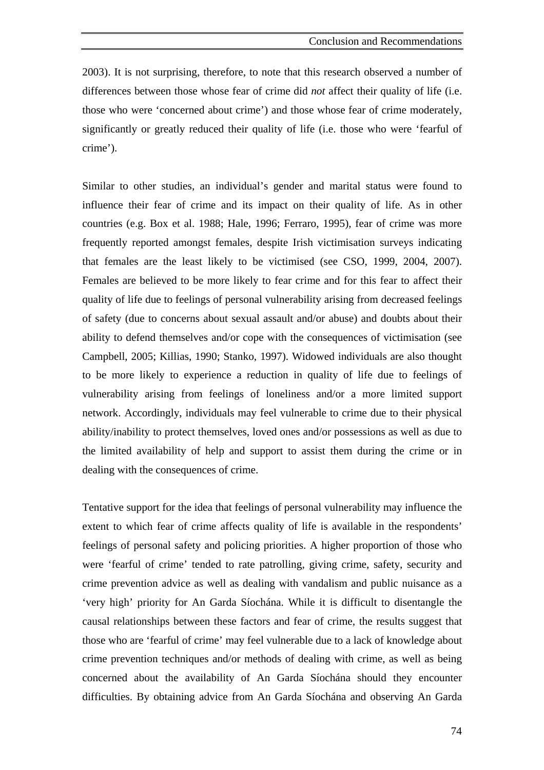2003). It is not surprising, therefore, to note that this research observed a number of differences between those whose fear of crime did *not* affect their quality of life (i.e. those who were 'concerned about crime') and those whose fear of crime moderately, significantly or greatly reduced their quality of life (i.e. those who were 'fearful of crime').

Similar to other studies, an individual's gender and marital status were found to influence their fear of crime and its impact on their quality of life. As in other countries (e.g. Box et al. 1988; Hale, 1996; Ferraro, 1995), fear of crime was more frequently reported amongst females, despite Irish victimisation surveys indicating that females are the least likely to be victimised (see CSO, 1999, 2004, 2007). Females are believed to be more likely to fear crime and for this fear to affect their quality of life due to feelings of personal vulnerability arising from decreased feelings of safety (due to concerns about sexual assault and/or abuse) and doubts about their ability to defend themselves and/or cope with the consequences of victimisation (see Campbell, 2005; Killias, 1990; Stanko, 1997). Widowed individuals are also thought to be more likely to experience a reduction in quality of life due to feelings of vulnerability arising from feelings of loneliness and/or a more limited support network. Accordingly, individuals may feel vulnerable to crime due to their physical ability/inability to protect themselves, loved ones and/or possessions as well as due to the limited availability of help and support to assist them during the crime or in dealing with the consequences of crime.

Tentative support for the idea that feelings of personal vulnerability may influence the extent to which fear of crime affects quality of life is available in the respondents' feelings of personal safety and policing priorities. A higher proportion of those who were 'fearful of crime' tended to rate patrolling, giving crime, safety, security and crime prevention advice as well as dealing with vandalism and public nuisance as a 'very high' priority for An Garda Síochána. While it is difficult to disentangle the causal relationships between these factors and fear of crime, the results suggest that those who are 'fearful of crime' may feel vulnerable due to a lack of knowledge about crime prevention techniques and/or methods of dealing with crime, as well as being concerned about the availability of An Garda Síochána should they encounter difficulties. By obtaining advice from An Garda Síochána and observing An Garda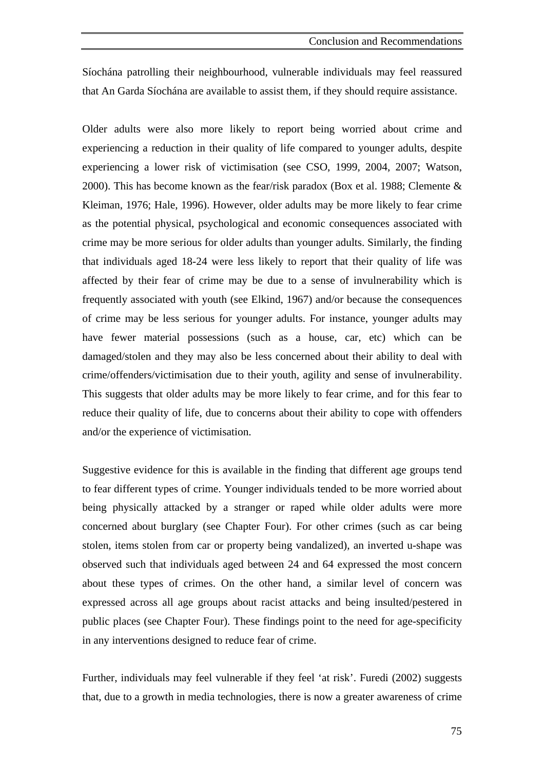Síochána patrolling their neighbourhood, vulnerable individuals may feel reassured that An Garda Síochána are available to assist them, if they should require assistance.

Older adults were also more likely to report being worried about crime and experiencing a reduction in their quality of life compared to younger adults, despite experiencing a lower risk of victimisation (see CSO, 1999, 2004, 2007; Watson, 2000). This has become known as the fear/risk paradox (Box et al. 1988; Clemente & Kleiman, 1976; Hale, 1996). However, older adults may be more likely to fear crime as the potential physical, psychological and economic consequences associated with crime may be more serious for older adults than younger adults. Similarly, the finding that individuals aged 18-24 were less likely to report that their quality of life was affected by their fear of crime may be due to a sense of invulnerability which is frequently associated with youth (see Elkind, 1967) and/or because the consequences of crime may be less serious for younger adults. For instance, younger adults may have fewer material possessions (such as a house, car, etc) which can be damaged/stolen and they may also be less concerned about their ability to deal with crime/offenders/victimisation due to their youth, agility and sense of invulnerability. This suggests that older adults may be more likely to fear crime, and for this fear to reduce their quality of life, due to concerns about their ability to cope with offenders and/or the experience of victimisation.

Suggestive evidence for this is available in the finding that different age groups tend to fear different types of crime. Younger individuals tended to be more worried about being physically attacked by a stranger or raped while older adults were more concerned about burglary (see Chapter Four). For other crimes (such as car being stolen, items stolen from car or property being vandalized), an inverted u-shape was observed such that individuals aged between 24 and 64 expressed the most concern about these types of crimes. On the other hand, a similar level of concern was expressed across all age groups about racist attacks and being insulted/pestered in public places (see Chapter Four). These findings point to the need for age-specificity in any interventions designed to reduce fear of crime.

Further, individuals may feel vulnerable if they feel 'at risk'. Furedi (2002) suggests that, due to a growth in media technologies, there is now a greater awareness of crime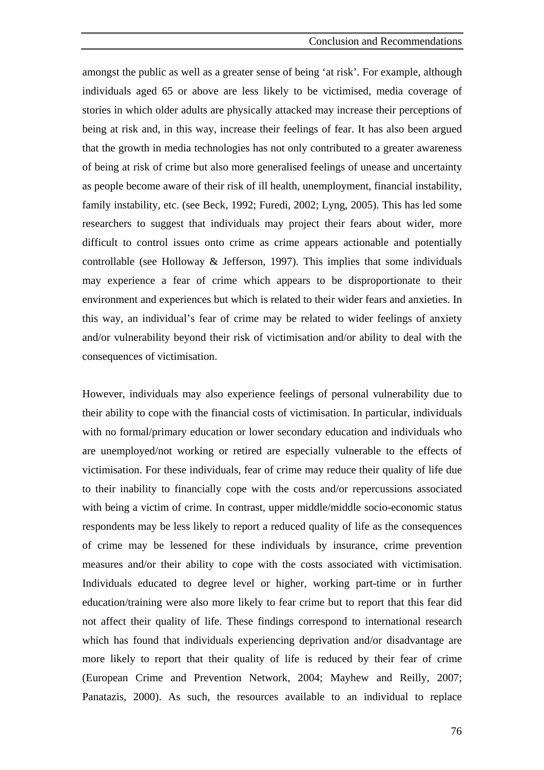amongst the public as well as a greater sense of being 'at risk'. For example, although individuals aged 65 or above are less likely to be victimised, media coverage of stories in which older adults are physically attacked may increase their perceptions of being at risk and, in this way, increase their feelings of fear. It has also been argued that the growth in media technologies has not only contributed to a greater awareness of being at risk of crime but also more generalised feelings of unease and uncertainty as people become aware of their risk of ill health, unemployment, financial instability, family instability, etc. (see Beck, 1992; Furedi, 2002; Lyng, 2005). This has led some researchers to suggest that individuals may project their fears about wider, more difficult to control issues onto crime as crime appears actionable and potentially controllable (see Holloway & Jefferson, 1997). This implies that some individuals may experience a fear of crime which appears to be disproportionate to their environment and experiences but which is related to their wider fears and anxieties. In this way, an individual's fear of crime may be related to wider feelings of anxiety and/or vulnerability beyond their risk of victimisation and/or ability to deal with the consequences of victimisation.

However, individuals may also experience feelings of personal vulnerability due to their ability to cope with the financial costs of victimisation. In particular, individuals with no formal/primary education or lower secondary education and individuals who are unemployed/not working or retired are especially vulnerable to the effects of victimisation. For these individuals, fear of crime may reduce their quality of life due to their inability to financially cope with the costs and/or repercussions associated with being a victim of crime. In contrast, upper middle/middle socio-economic status respondents may be less likely to report a reduced quality of life as the consequences of crime may be lessened for these individuals by insurance, crime prevention measures and/or their ability to cope with the costs associated with victimisation. Individuals educated to degree level or higher, working part-time or in further education/training were also more likely to fear crime but to report that this fear did not affect their quality of life. These findings correspond to international research which has found that individuals experiencing deprivation and/or disadvantage are more likely to report that their quality of life is reduced by their fear of crime (European Crime and Prevention Network, 2004; Mayhew and Reilly, 2007; Panatazis, 2000). As such, the resources available to an individual to replace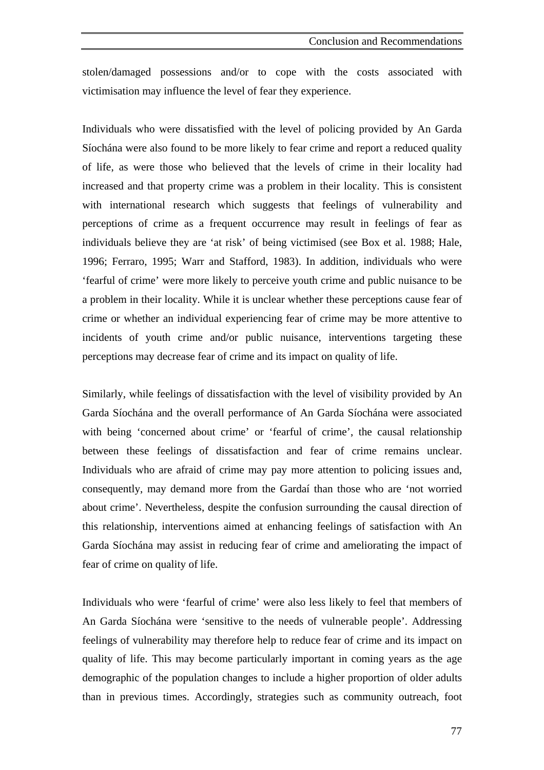stolen/damaged possessions and/or to cope with the costs associated with victimisation may influence the level of fear they experience.

Individuals who were dissatisfied with the level of policing provided by An Garda Síochána were also found to be more likely to fear crime and report a reduced quality of life, as were those who believed that the levels of crime in their locality had increased and that property crime was a problem in their locality. This is consistent with international research which suggests that feelings of vulnerability and perceptions of crime as a frequent occurrence may result in feelings of fear as individuals believe they are 'at risk' of being victimised (see Box et al. 1988; Hale, 1996; Ferraro, 1995; Warr and Stafford, 1983). In addition, individuals who were 'fearful of crime' were more likely to perceive youth crime and public nuisance to be a problem in their locality. While it is unclear whether these perceptions cause fear of crime or whether an individual experiencing fear of crime may be more attentive to incidents of youth crime and/or public nuisance, interventions targeting these perceptions may decrease fear of crime and its impact on quality of life.

Similarly, while feelings of dissatisfaction with the level of visibility provided by An Garda Síochána and the overall performance of An Garda Síochána were associated with being 'concerned about crime' or 'fearful of crime', the causal relationship between these feelings of dissatisfaction and fear of crime remains unclear. Individuals who are afraid of crime may pay more attention to policing issues and, consequently, may demand more from the Gardaí than those who are 'not worried about crime'. Nevertheless, despite the confusion surrounding the causal direction of this relationship, interventions aimed at enhancing feelings of satisfaction with An Garda Síochána may assist in reducing fear of crime and ameliorating the impact of fear of crime on quality of life.

Individuals who were 'fearful of crime' were also less likely to feel that members of An Garda Síochána were 'sensitive to the needs of vulnerable people'. Addressing feelings of vulnerability may therefore help to reduce fear of crime and its impact on quality of life. This may become particularly important in coming years as the age demographic of the population changes to include a higher proportion of older adults than in previous times. Accordingly, strategies such as community outreach, foot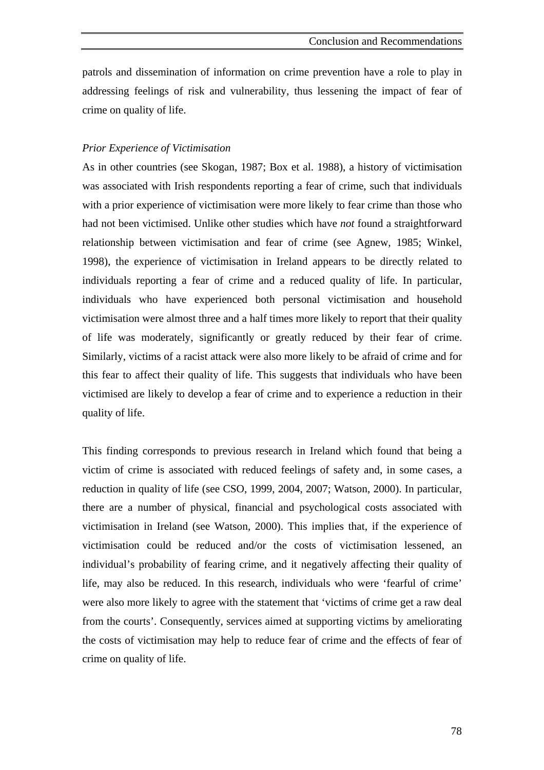patrols and dissemination of information on crime prevention have a role to play in addressing feelings of risk and vulnerability, thus lessening the impact of fear of crime on quality of life.

# *Prior Experience of Victimisation*

As in other countries (see Skogan, 1987; Box et al. 1988), a history of victimisation was associated with Irish respondents reporting a fear of crime, such that individuals with a prior experience of victimisation were more likely to fear crime than those who had not been victimised. Unlike other studies which have *not* found a straightforward relationship between victimisation and fear of crime (see Agnew, 1985; Winkel, 1998), the experience of victimisation in Ireland appears to be directly related to individuals reporting a fear of crime and a reduced quality of life. In particular, individuals who have experienced both personal victimisation and household victimisation were almost three and a half times more likely to report that their quality of life was moderately, significantly or greatly reduced by their fear of crime. Similarly, victims of a racist attack were also more likely to be afraid of crime and for this fear to affect their quality of life. This suggests that individuals who have been victimised are likely to develop a fear of crime and to experience a reduction in their quality of life.

This finding corresponds to previous research in Ireland which found that being a victim of crime is associated with reduced feelings of safety and, in some cases, a reduction in quality of life (see CSO, 1999, 2004, 2007; Watson, 2000). In particular, there are a number of physical, financial and psychological costs associated with victimisation in Ireland (see Watson, 2000). This implies that, if the experience of victimisation could be reduced and/or the costs of victimisation lessened, an individual's probability of fearing crime, and it negatively affecting their quality of life, may also be reduced. In this research, individuals who were 'fearful of crime' were also more likely to agree with the statement that 'victims of crime get a raw deal from the courts'. Consequently, services aimed at supporting victims by ameliorating the costs of victimisation may help to reduce fear of crime and the effects of fear of crime on quality of life.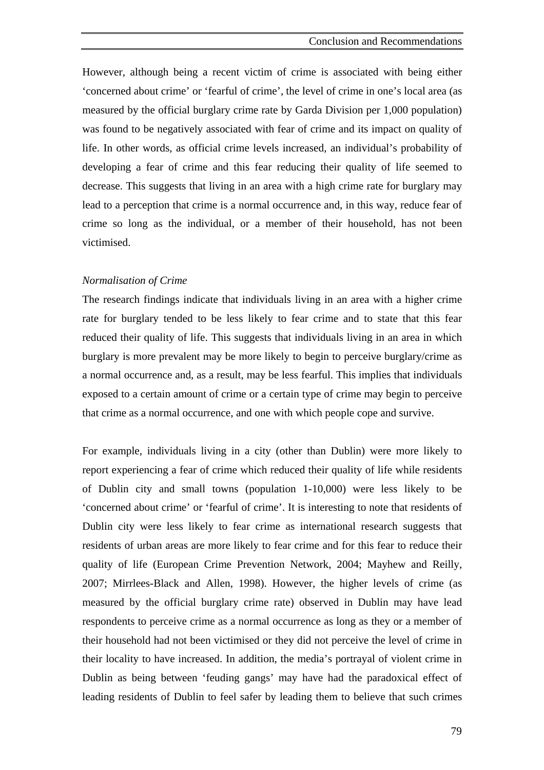However, although being a recent victim of crime is associated with being either 'concerned about crime' or 'fearful of crime', the level of crime in one's local area (as measured by the official burglary crime rate by Garda Division per 1,000 population) was found to be negatively associated with fear of crime and its impact on quality of life. In other words, as official crime levels increased, an individual's probability of developing a fear of crime and this fear reducing their quality of life seemed to decrease. This suggests that living in an area with a high crime rate for burglary may lead to a perception that crime is a normal occurrence and, in this way, reduce fear of crime so long as the individual, or a member of their household, has not been victimised.

#### *Normalisation of Crime*

The research findings indicate that individuals living in an area with a higher crime rate for burglary tended to be less likely to fear crime and to state that this fear reduced their quality of life. This suggests that individuals living in an area in which burglary is more prevalent may be more likely to begin to perceive burglary/crime as a normal occurrence and, as a result, may be less fearful. This implies that individuals exposed to a certain amount of crime or a certain type of crime may begin to perceive that crime as a normal occurrence, and one with which people cope and survive.

For example, individuals living in a city (other than Dublin) were more likely to report experiencing a fear of crime which reduced their quality of life while residents of Dublin city and small towns (population 1-10,000) were less likely to be 'concerned about crime' or 'fearful of crime'. It is interesting to note that residents of Dublin city were less likely to fear crime as international research suggests that residents of urban areas are more likely to fear crime and for this fear to reduce their quality of life (European Crime Prevention Network, 2004; Mayhew and Reilly, 2007; Mirrlees-Black and Allen, 1998). However, the higher levels of crime (as measured by the official burglary crime rate) observed in Dublin may have lead respondents to perceive crime as a normal occurrence as long as they or a member of their household had not been victimised or they did not perceive the level of crime in their locality to have increased. In addition, the media's portrayal of violent crime in Dublin as being between 'feuding gangs' may have had the paradoxical effect of leading residents of Dublin to feel safer by leading them to believe that such crimes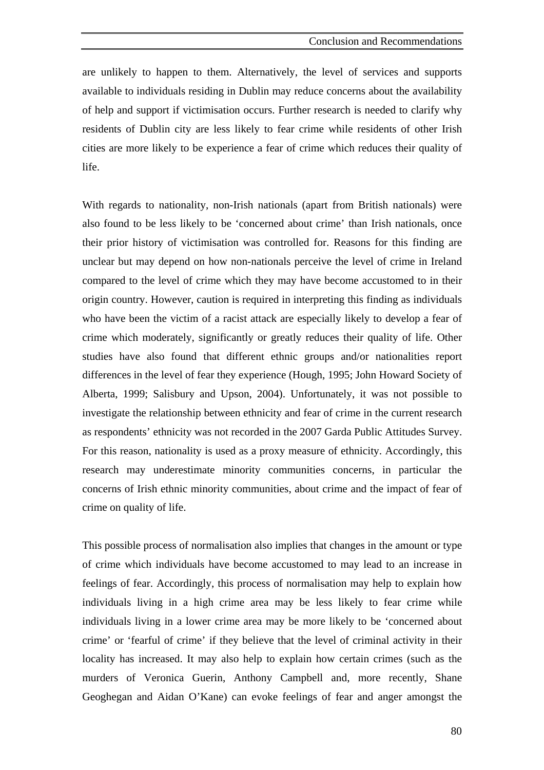are unlikely to happen to them. Alternatively, the level of services and supports available to individuals residing in Dublin may reduce concerns about the availability of help and support if victimisation occurs. Further research is needed to clarify why residents of Dublin city are less likely to fear crime while residents of other Irish cities are more likely to be experience a fear of crime which reduces their quality of life.

With regards to nationality, non-Irish nationals (apart from British nationals) were also found to be less likely to be 'concerned about crime' than Irish nationals, once their prior history of victimisation was controlled for. Reasons for this finding are unclear but may depend on how non-nationals perceive the level of crime in Ireland compared to the level of crime which they may have become accustomed to in their origin country. However, caution is required in interpreting this finding as individuals who have been the victim of a racist attack are especially likely to develop a fear of crime which moderately, significantly or greatly reduces their quality of life. Other studies have also found that different ethnic groups and/or nationalities report differences in the level of fear they experience (Hough, 1995; John Howard Society of Alberta, 1999; Salisbury and Upson, 2004). Unfortunately, it was not possible to investigate the relationship between ethnicity and fear of crime in the current research as respondents' ethnicity was not recorded in the 2007 Garda Public Attitudes Survey. For this reason, nationality is used as a proxy measure of ethnicity. Accordingly, this research may underestimate minority communities concerns, in particular the concerns of Irish ethnic minority communities, about crime and the impact of fear of crime on quality of life.

This possible process of normalisation also implies that changes in the amount or type of crime which individuals have become accustomed to may lead to an increase in feelings of fear. Accordingly, this process of normalisation may help to explain how individuals living in a high crime area may be less likely to fear crime while individuals living in a lower crime area may be more likely to be 'concerned about crime' or 'fearful of crime' if they believe that the level of criminal activity in their locality has increased. It may also help to explain how certain crimes (such as the murders of Veronica Guerin, Anthony Campbell and, more recently, Shane Geoghegan and Aidan O'Kane) can evoke feelings of fear and anger amongst the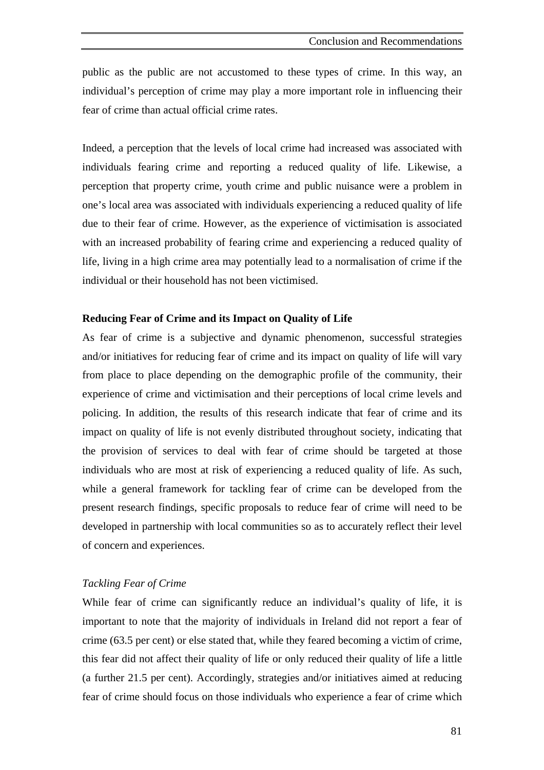public as the public are not accustomed to these types of crime. In this way, an individual's perception of crime may play a more important role in influencing their fear of crime than actual official crime rates.

Indeed, a perception that the levels of local crime had increased was associated with individuals fearing crime and reporting a reduced quality of life. Likewise, a perception that property crime, youth crime and public nuisance were a problem in one's local area was associated with individuals experiencing a reduced quality of life due to their fear of crime. However, as the experience of victimisation is associated with an increased probability of fearing crime and experiencing a reduced quality of life, living in a high crime area may potentially lead to a normalisation of crime if the individual or their household has not been victimised.

#### **Reducing Fear of Crime and its Impact on Quality of Life**

As fear of crime is a subjective and dynamic phenomenon, successful strategies and/or initiatives for reducing fear of crime and its impact on quality of life will vary from place to place depending on the demographic profile of the community, their experience of crime and victimisation and their perceptions of local crime levels and policing. In addition, the results of this research indicate that fear of crime and its impact on quality of life is not evenly distributed throughout society, indicating that the provision of services to deal with fear of crime should be targeted at those individuals who are most at risk of experiencing a reduced quality of life. As such, while a general framework for tackling fear of crime can be developed from the present research findings, specific proposals to reduce fear of crime will need to be developed in partnership with local communities so as to accurately reflect their level of concern and experiences.

#### *Tackling Fear of Crime*

While fear of crime can significantly reduce an individual's quality of life, it is important to note that the majority of individuals in Ireland did not report a fear of crime (63.5 per cent) or else stated that, while they feared becoming a victim of crime, this fear did not affect their quality of life or only reduced their quality of life a little (a further 21.5 per cent). Accordingly, strategies and/or initiatives aimed at reducing fear of crime should focus on those individuals who experience a fear of crime which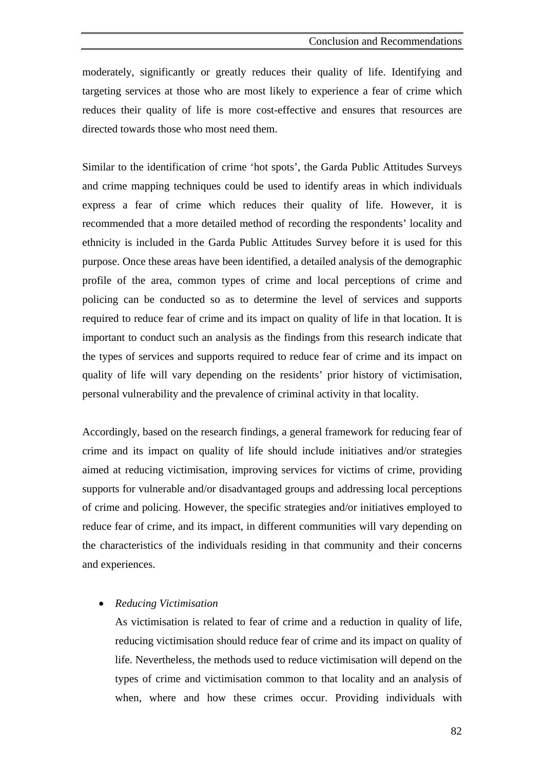moderately, significantly or greatly reduces their quality of life. Identifying and targeting services at those who are most likely to experience a fear of crime which reduces their quality of life is more cost-effective and ensures that resources are directed towards those who most need them.

Similar to the identification of crime 'hot spots', the Garda Public Attitudes Surveys and crime mapping techniques could be used to identify areas in which individuals express a fear of crime which reduces their quality of life. However, it is recommended that a more detailed method of recording the respondents' locality and ethnicity is included in the Garda Public Attitudes Survey before it is used for this purpose. Once these areas have been identified, a detailed analysis of the demographic profile of the area, common types of crime and local perceptions of crime and policing can be conducted so as to determine the level of services and supports required to reduce fear of crime and its impact on quality of life in that location. It is important to conduct such an analysis as the findings from this research indicate that the types of services and supports required to reduce fear of crime and its impact on quality of life will vary depending on the residents' prior history of victimisation, personal vulnerability and the prevalence of criminal activity in that locality.

Accordingly, based on the research findings, a general framework for reducing fear of crime and its impact on quality of life should include initiatives and/or strategies aimed at reducing victimisation, improving services for victims of crime, providing supports for vulnerable and/or disadvantaged groups and addressing local perceptions of crime and policing. However, the specific strategies and/or initiatives employed to reduce fear of crime, and its impact, in different communities will vary depending on the characteristics of the individuals residing in that community and their concerns and experiences.

# • *Reducing Victimisation*

As victimisation is related to fear of crime and a reduction in quality of life, reducing victimisation should reduce fear of crime and its impact on quality of life. Nevertheless, the methods used to reduce victimisation will depend on the types of crime and victimisation common to that locality and an analysis of when, where and how these crimes occur. Providing individuals with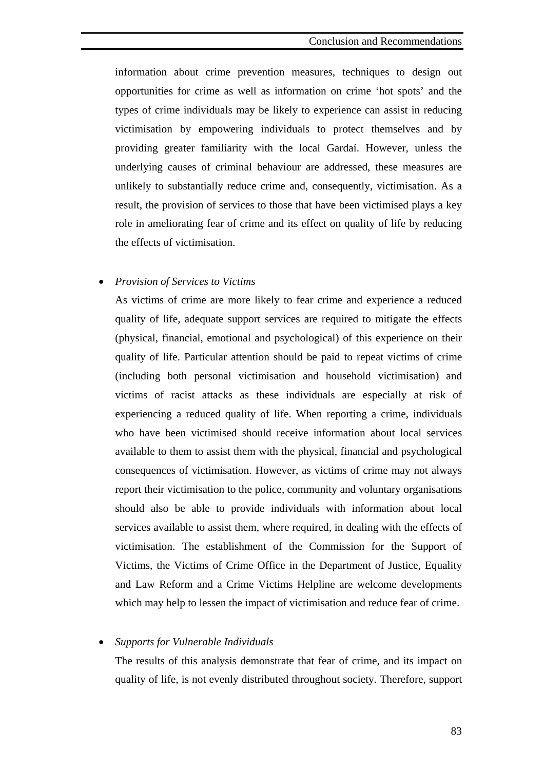information about crime prevention measures, techniques to design out opportunities for crime as well as information on crime 'hot spots' and the types of crime individuals may be likely to experience can assist in reducing victimisation by empowering individuals to protect themselves and by providing greater familiarity with the local Gardaí. However, unless the underlying causes of criminal behaviour are addressed, these measures are unlikely to substantially reduce crime and, consequently, victimisation. As a result, the provision of services to those that have been victimised plays a key role in ameliorating fear of crime and its effect on quality of life by reducing the effects of victimisation.

#### • *Provision of Services to Victims*

As victims of crime are more likely to fear crime and experience a reduced quality of life, adequate support services are required to mitigate the effects (physical, financial, emotional and psychological) of this experience on their quality of life. Particular attention should be paid to repeat victims of crime (including both personal victimisation and household victimisation) and victims of racist attacks as these individuals are especially at risk of experiencing a reduced quality of life. When reporting a crime, individuals who have been victimised should receive information about local services available to them to assist them with the physical, financial and psychological consequences of victimisation. However, as victims of crime may not always report their victimisation to the police, community and voluntary organisations should also be able to provide individuals with information about local services available to assist them, where required, in dealing with the effects of victimisation. The establishment of the Commission for the Support of Victims, the Victims of Crime Office in the Department of Justice, Equality and Law Reform and a Crime Victims Helpline are welcome developments which may help to lessen the impact of victimisation and reduce fear of crime.

#### • *Supports for Vulnerable Individuals*

The results of this analysis demonstrate that fear of crime, and its impact on quality of life, is not evenly distributed throughout society. Therefore, support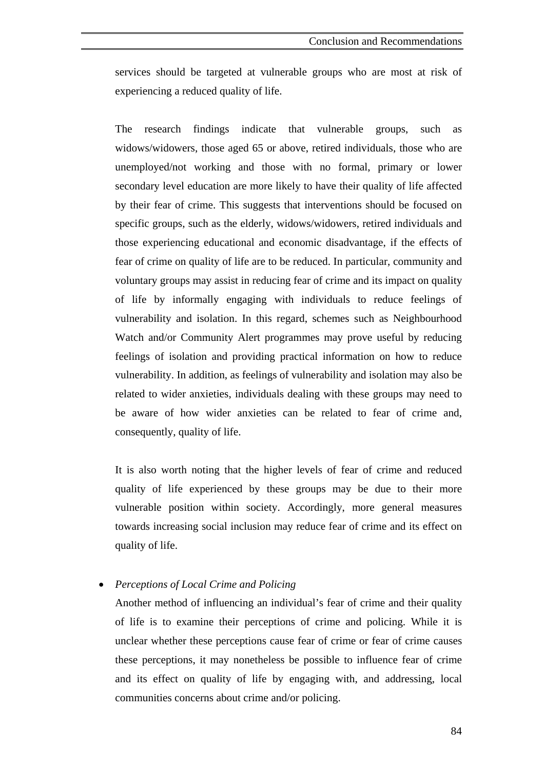services should be targeted at vulnerable groups who are most at risk of experiencing a reduced quality of life.

The research findings indicate that vulnerable groups, such as widows/widowers, those aged 65 or above, retired individuals, those who are unemployed/not working and those with no formal, primary or lower secondary level education are more likely to have their quality of life affected by their fear of crime. This suggests that interventions should be focused on specific groups, such as the elderly, widows/widowers, retired individuals and those experiencing educational and economic disadvantage, if the effects of fear of crime on quality of life are to be reduced. In particular, community and voluntary groups may assist in reducing fear of crime and its impact on quality of life by informally engaging with individuals to reduce feelings of vulnerability and isolation. In this regard, schemes such as Neighbourhood Watch and/or Community Alert programmes may prove useful by reducing feelings of isolation and providing practical information on how to reduce vulnerability. In addition, as feelings of vulnerability and isolation may also be related to wider anxieties, individuals dealing with these groups may need to be aware of how wider anxieties can be related to fear of crime and, consequently, quality of life.

It is also worth noting that the higher levels of fear of crime and reduced quality of life experienced by these groups may be due to their more vulnerable position within society. Accordingly, more general measures towards increasing social inclusion may reduce fear of crime and its effect on quality of life.

• *Perceptions of Local Crime and Policing* 

Another method of influencing an individual's fear of crime and their quality of life is to examine their perceptions of crime and policing. While it is unclear whether these perceptions cause fear of crime or fear of crime causes these perceptions, it may nonetheless be possible to influence fear of crime and its effect on quality of life by engaging with, and addressing, local communities concerns about crime and/or policing.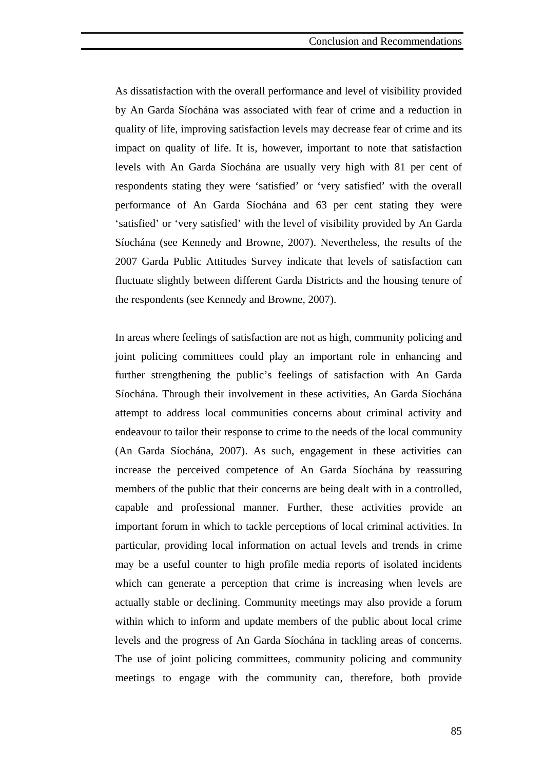As dissatisfaction with the overall performance and level of visibility provided by An Garda Síochána was associated with fear of crime and a reduction in quality of life, improving satisfaction levels may decrease fear of crime and its impact on quality of life. It is, however, important to note that satisfaction levels with An Garda Síochána are usually very high with 81 per cent of respondents stating they were 'satisfied' or 'very satisfied' with the overall performance of An Garda Síochána and 63 per cent stating they were 'satisfied' or 'very satisfied' with the level of visibility provided by An Garda Síochána (see Kennedy and Browne, 2007). Nevertheless, the results of the 2007 Garda Public Attitudes Survey indicate that levels of satisfaction can fluctuate slightly between different Garda Districts and the housing tenure of the respondents (see Kennedy and Browne, 2007).

In areas where feelings of satisfaction are not as high, community policing and joint policing committees could play an important role in enhancing and further strengthening the public's feelings of satisfaction with An Garda Síochána. Through their involvement in these activities, An Garda Síochána attempt to address local communities concerns about criminal activity and endeavour to tailor their response to crime to the needs of the local community (An Garda Síochána, 2007). As such, engagement in these activities can increase the perceived competence of An Garda Síochána by reassuring members of the public that their concerns are being dealt with in a controlled, capable and professional manner. Further, these activities provide an important forum in which to tackle perceptions of local criminal activities. In particular, providing local information on actual levels and trends in crime may be a useful counter to high profile media reports of isolated incidents which can generate a perception that crime is increasing when levels are actually stable or declining. Community meetings may also provide a forum within which to inform and update members of the public about local crime levels and the progress of An Garda Síochána in tackling areas of concerns. The use of joint policing committees, community policing and community meetings to engage with the community can, therefore, both provide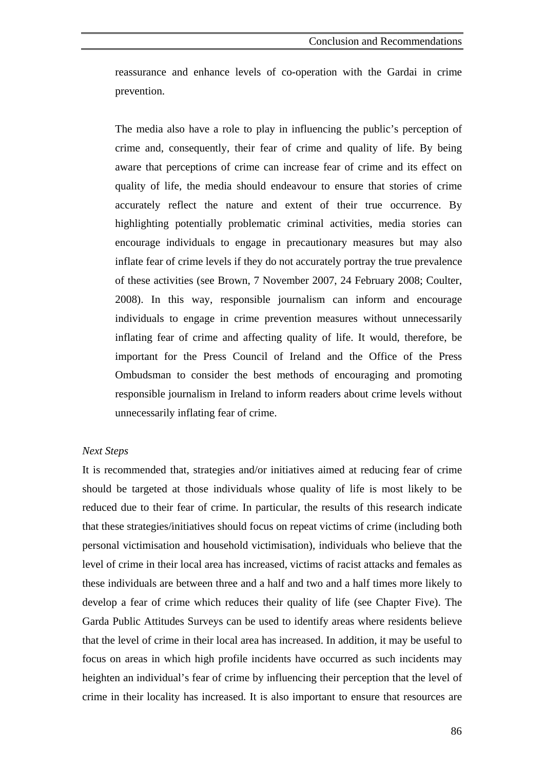reassurance and enhance levels of co-operation with the Gardai in crime prevention.

The media also have a role to play in influencing the public's perception of crime and, consequently, their fear of crime and quality of life. By being aware that perceptions of crime can increase fear of crime and its effect on quality of life, the media should endeavour to ensure that stories of crime accurately reflect the nature and extent of their true occurrence. By highlighting potentially problematic criminal activities, media stories can encourage individuals to engage in precautionary measures but may also inflate fear of crime levels if they do not accurately portray the true prevalence of these activities (see Brown, 7 November 2007, 24 February 2008; Coulter, 2008). In this way, responsible journalism can inform and encourage individuals to engage in crime prevention measures without unnecessarily inflating fear of crime and affecting quality of life. It would, therefore, be important for the Press Council of Ireland and the Office of the Press Ombudsman to consider the best methods of encouraging and promoting responsible journalism in Ireland to inform readers about crime levels without unnecessarily inflating fear of crime.

#### *Next Steps*

It is recommended that, strategies and/or initiatives aimed at reducing fear of crime should be targeted at those individuals whose quality of life is most likely to be reduced due to their fear of crime. In particular, the results of this research indicate that these strategies/initiatives should focus on repeat victims of crime (including both personal victimisation and household victimisation), individuals who believe that the level of crime in their local area has increased, victims of racist attacks and females as these individuals are between three and a half and two and a half times more likely to develop a fear of crime which reduces their quality of life (see Chapter Five). The Garda Public Attitudes Surveys can be used to identify areas where residents believe that the level of crime in their local area has increased. In addition, it may be useful to focus on areas in which high profile incidents have occurred as such incidents may heighten an individual's fear of crime by influencing their perception that the level of crime in their locality has increased. It is also important to ensure that resources are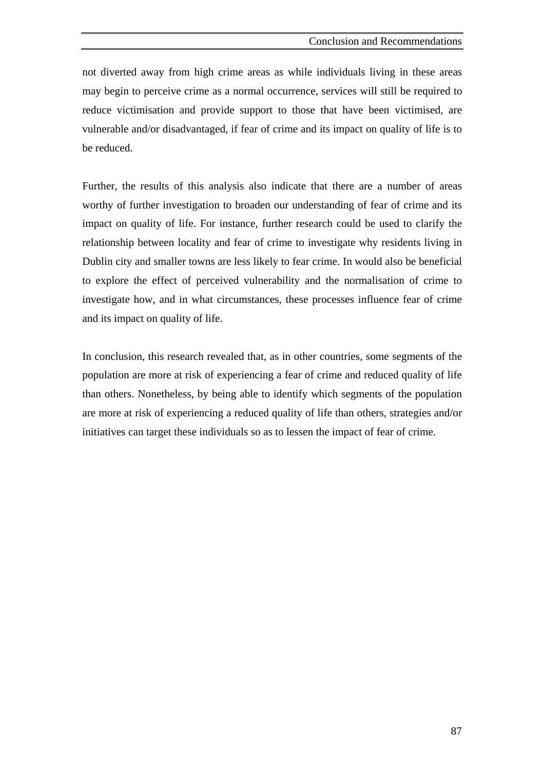not diverted away from high crime areas as while individuals living in these areas may begin to perceive crime as a normal occurrence, services will still be required to reduce victimisation and provide support to those that have been victimised, are vulnerable and/or disadvantaged, if fear of crime and its impact on quality of life is to be reduced.

Further, the results of this analysis also indicate that there are a number of areas worthy of further investigation to broaden our understanding of fear of crime and its impact on quality of life. For instance, further research could be used to clarify the relationship between locality and fear of crime to investigate why residents living in Dublin city and smaller towns are less likely to fear crime. In would also be beneficial to explore the effect of perceived vulnerability and the normalisation of crime to investigate how, and in what circumstances, these processes influence fear of crime and its impact on quality of life.

In conclusion, this research revealed that, as in other countries, some segments of the population are more at risk of experiencing a fear of crime and reduced quality of life than others. Nonetheless, by being able to identify which segments of the population are more at risk of experiencing a reduced quality of life than others, strategies and/or initiatives can target these individuals so as to lessen the impact of fear of crime.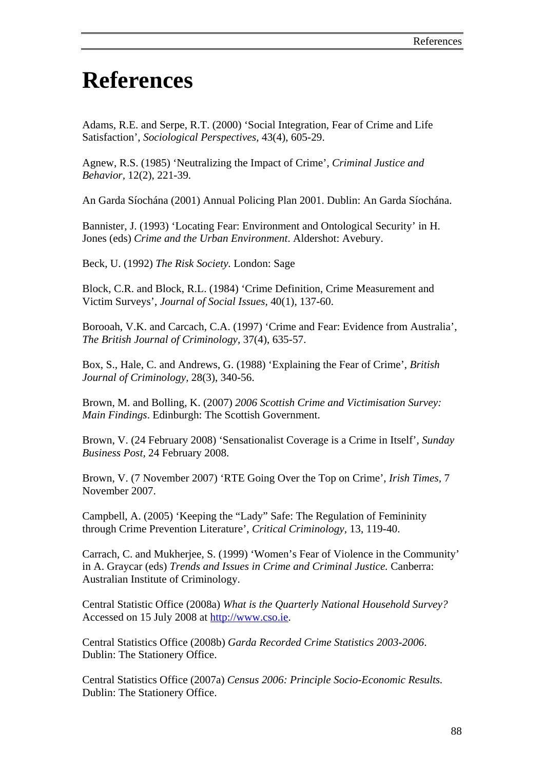# **References**

Adams, R.E. and Serpe, R.T. (2000) 'Social Integration, Fear of Crime and Life Satisfaction', *Sociological Perspectives,* 43(4), 605-29.

Agnew, R.S. (1985) 'Neutralizing the Impact of Crime', *Criminal Justice and Behavior,* 12(2), 221-39.

An Garda Síochána (2001) Annual Policing Plan 2001. Dublin: An Garda Síochána.

Bannister, J. (1993) 'Locating Fear: Environment and Ontological Security' in H. Jones (eds) *Crime and the Urban Environment*. Aldershot: Avebury.

Beck, U. (1992) *The Risk Society.* London: Sage

Block, C.R. and Block, R.L. (1984) 'Crime Definition, Crime Measurement and Victim Surveys', *Journal of Social Issues,* 40(1), 137-60.

Borooah, V.K. and Carcach, C.A. (1997) 'Crime and Fear: Evidence from Australia', *The British Journal of Criminology,* 37(4), 635-57.

Box, S., Hale, C. and Andrews, G. (1988) 'Explaining the Fear of Crime', *British Journal of Criminology,* 28(3), 340-56.

Brown, M. and Bolling, K. (2007) *2006 Scottish Crime and Victimisation Survey: Main Findings*. Edinburgh: The Scottish Government.

Brown, V. (24 February 2008) 'Sensationalist Coverage is a Crime in Itself', *Sunday Business Post,* 24 February 2008.

Brown, V. (7 November 2007) 'RTE Going Over the Top on Crime', *Irish Times,* 7 November 2007.

Campbell, A. (2005) 'Keeping the "Lady" Safe: The Regulation of Femininity through Crime Prevention Literature', *Critical Criminology,* 13, 119-40.

Carrach, C. and Mukherjee, S. (1999) 'Women's Fear of Violence in the Community' in A. Graycar (eds) *Trends and Issues in Crime and Criminal Justice.* Canberra: Australian Institute of Criminology.

Central Statistic Office (2008a) *What is the Quarterly National Household Survey?* Accessed on 15 July 2008 at [http://www.cso.ie](http://www.cso.ie/).

Central Statistics Office (2008b) *Garda Recorded Crime Statistics 2003-2006*. Dublin: The Stationery Office.

Central Statistics Office (2007a) *Census 2006: Principle Socio-Economic Results.*  Dublin: The Stationery Office.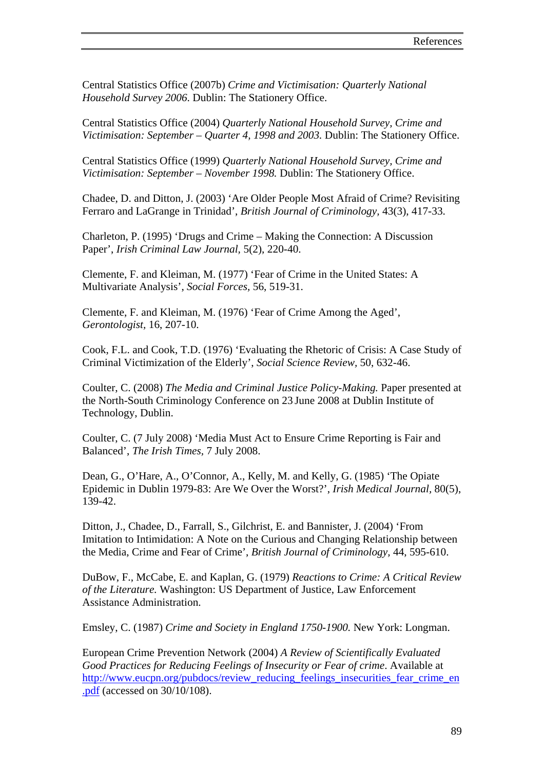Central Statistics Office (2007b) *Crime and Victimisation: Quarterly National Household Survey 2006*. Dublin: The Stationery Office.

Central Statistics Office (2004) *Quarterly National Household Survey, Crime and Victimisation: September – Quarter 4, 1998 and 2003.* Dublin: The Stationery Office.

Central Statistics Office (1999) *Quarterly National Household Survey, Crime and Victimisation: September – November 1998.* Dublin: The Stationery Office.

Chadee, D. and Ditton, J. (2003) 'Are Older People Most Afraid of Crime? Revisiting Ferraro and LaGrange in Trinidad', *British Journal of Criminology,* 43(3), 417-33.

Charleton, P. (1995) 'Drugs and Crime – Making the Connection: A Discussion Paper', *Irish Criminal Law Journal,* 5(2), 220-40.

Clemente, F. and Kleiman, M. (1977) 'Fear of Crime in the United States: A Multivariate Analysis', *Social Forces,* 56, 519-31.

Clemente, F. and Kleiman, M. (1976) 'Fear of Crime Among the Aged', *Gerontologist,* 16, 207-10.

Cook, F.L. and Cook, T.D. (1976) 'Evaluating the Rhetoric of Crisis: A Case Study of Criminal Victimization of the Elderly', *Social Science Review,* 50, 632-46.

Coulter, C. (2008) *The Media and Criminal Justice Policy-Making.* Paper presented at the North-South Criminology Conference on 23 June 2008 at Dublin Institute of Technology, Dublin.

Coulter, C. (7 July 2008) 'Media Must Act to Ensure Crime Reporting is Fair and Balanced', *The Irish Times,* 7 July 2008.

Dean, G., O'Hare, A., O'Connor, A., Kelly, M. and Kelly, G. (1985) 'The Opiate Epidemic in Dublin 1979-83: Are We Over the Worst?', *Irish Medical Journal,* 80(5), 139-42.

Ditton, J., Chadee, D., Farrall, S., Gilchrist, E. and Bannister, J. (2004) 'From Imitation to Intimidation: A Note on the Curious and Changing Relationship between the Media, Crime and Fear of Crime', *British Journal of Criminology,* 44, 595-610.

DuBow, F., McCabe, E. and Kaplan, G. (1979) *Reactions to Crime: A Critical Review of the Literature.* Washington: US Department of Justice, Law Enforcement Assistance Administration.

Emsley, C. (1987) *Crime and Society in England 1750-1900.* New York: Longman.

European Crime Prevention Network (2004) *A Review of Scientifically Evaluated Good Practices for Reducing Feelings of Insecurity or Fear of crime*. Available at [http://www.eucpn.org/pubdocs/review\\_reducing\\_feelings\\_insecurities\\_fear\\_crime\\_en](http://www.eucpn.org/pubdocs/review_reducing_feelings_insecurities_fear_crime_en.pdf) [.pdf](http://www.eucpn.org/pubdocs/review_reducing_feelings_insecurities_fear_crime_en.pdf) (accessed on 30/10/108).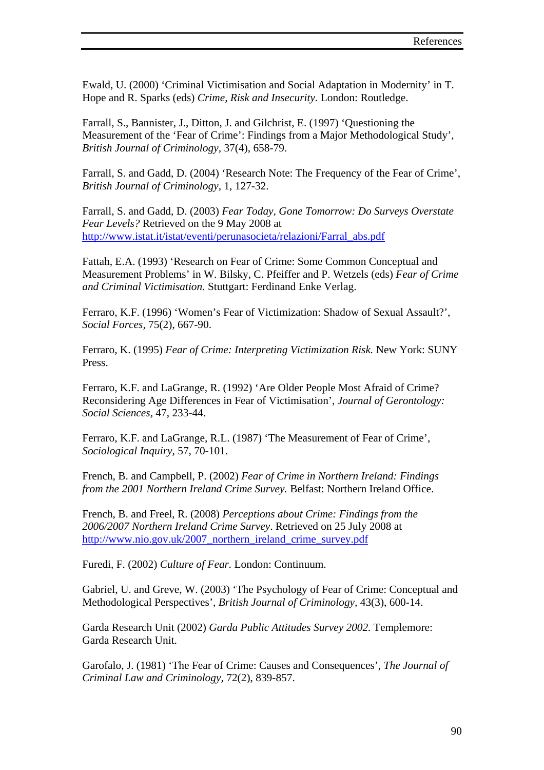Ewald, U. (2000) 'Criminal Victimisation and Social Adaptation in Modernity' in T. Hope and R. Sparks (eds) *Crime, Risk and Insecurity.* London: Routledge.

Farrall, S., Bannister, J., Ditton, J. and Gilchrist, E. (1997) 'Questioning the Measurement of the 'Fear of Crime': Findings from a Major Methodological Study', *British Journal of Criminology,* 37(4), 658-79.

Farrall, S. and Gadd, D. (2004) 'Research Note: The Frequency of the Fear of Crime', *British Journal of Criminology,* 1, 127-32.

Farrall, S. and Gadd, D. (2003) *Fear Today, Gone Tomorrow: Do Surveys Overstate Fear Levels?* Retrieved on the 9 May 2008 at [http://www.istat.it/istat/eventi/perunasocieta/relazioni/Farral\\_abs.pdf](http://www.istat.it/istat/eventi/perunasocieta/relazioni/Farral_abs.pdf) 

Fattah, E.A. (1993) 'Research on Fear of Crime: Some Common Conceptual and Measurement Problems' in W. Bilsky, C. Pfeiffer and P. Wetzels (eds) *Fear of Crime and Criminal Victimisation.* Stuttgart: Ferdinand Enke Verlag.

Ferraro, K.F. (1996) 'Women's Fear of Victimization: Shadow of Sexual Assault?', *Social Forces,* 75(2), 667-90.

Ferraro, K. (1995) *Fear of Crime: Interpreting Victimization Risk.* New York: SUNY Press.

Ferraro, K.F. and LaGrange, R. (1992) 'Are Older People Most Afraid of Crime? Reconsidering Age Differences in Fear of Victimisation', *Journal of Gerontology: Social Sciences,* 47, 233-44.

Ferraro, K.F. and LaGrange, R.L. (1987) 'The Measurement of Fear of Crime', *Sociological Inquiry,* 57, 70-101.

French, B. and Campbell, P. (2002) *Fear of Crime in Northern Ireland: Findings from the 2001 Northern Ireland Crime Survey.* Belfast: Northern Ireland Office.

French, B. and Freel, R. (2008) *Perceptions about Crime: Findings from the 2006/2007 Northern Ireland Crime Survey*. Retrieved on 25 July 2008 at [http://www.nio.gov.uk/2007\\_northern\\_ireland\\_crime\\_survey.pdf](http://www.nio.gov.uk/2007_northern_ireland_crime_survey.pdf)

Furedi, F. (2002) *Culture of Fear.* London: Continuum.

Gabriel, U. and Greve, W. (2003) 'The Psychology of Fear of Crime: Conceptual and Methodological Perspectives', *British Journal of Criminology,* 43(3), 600-14.

Garda Research Unit (2002) *Garda Public Attitudes Survey 2002.* Templemore: Garda Research Unit.

Garofalo, J. (1981) 'The Fear of Crime: Causes and Consequences', *The Journal of Criminal Law and Criminology,* 72(2), 839-857.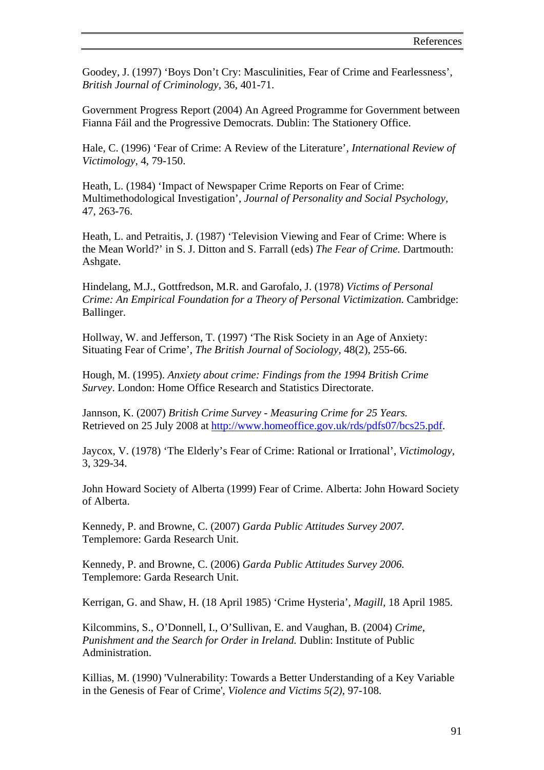Goodey, J. (1997) 'Boys Don't Cry: Masculinities, Fear of Crime and Fearlessness', *British Journal of Criminology,* 36, 401-71.

Government Progress Report (2004) An Agreed Programme for Government between Fianna Fáil and the Progressive Democrats. Dublin: The Stationery Office.

Hale, C. (1996) 'Fear of Crime: A Review of the Literature', *International Review of Victimology,* 4, 79-150.

Heath, L. (1984) 'Impact of Newspaper Crime Reports on Fear of Crime: Multimethodological Investigation', *Journal of Personality and Social Psychology,* 47, 263-76.

Heath, L. and Petraitis, J. (1987) 'Television Viewing and Fear of Crime: Where is the Mean World?' in S. J. Ditton and S. Farrall (eds) *The Fear of Crime.* Dartmouth: Ashgate.

Hindelang, M.J., Gottfredson, M.R. and Garofalo, J. (1978) *Victims of Personal Crime: An Empirical Foundation for a Theory of Personal Victimization.* Cambridge: Ballinger.

Hollway, W. and Jefferson, T. (1997) 'The Risk Society in an Age of Anxiety: Situating Fear of Crime', *The British Journal of Sociology,* 48(2), 255-66.

Hough, M. (1995). *Anxiety about crime: Findings from the 1994 British Crime Survey*. London: Home Office Research and Statistics Directorate.

Jannson, K. (2007) *British Crime Survey - Measuring Crime for 25 Years.* Retrieved on 25 July 2008 at [http://www.homeoffice.gov.uk/rds/pdfs07/bcs25.pdf.](http://www.homeoffice.gov.uk/rds/pdfs07/bcs25.pdf)

Jaycox, V. (1978) 'The Elderly's Fear of Crime: Rational or Irrational', *Victimology,*  3, 329-34.

John Howard Society of Alberta (1999) Fear of Crime. Alberta: John Howard Society of Alberta.

Kennedy, P. and Browne, C. (2007) *Garda Public Attitudes Survey 2007.*  Templemore: Garda Research Unit.

Kennedy, P. and Browne, C. (2006) *Garda Public Attitudes Survey 2006.*  Templemore: Garda Research Unit.

Kerrigan, G. and Shaw, H. (18 April 1985) 'Crime Hysteria', *Magill*, 18 April 1985.

Kilcommins, S., O'Donnell, I., O'Sullivan, E. and Vaughan, B. (2004) *Crime, Punishment and the Search for Order in Ireland.* Dublin: Institute of Public Administration.

Killias, M. (1990) 'Vulnerability: Towards a Better Understanding of a Key Variable in the Genesis of Fear of Crime', *Violence and Victims 5(2)*, 97-108.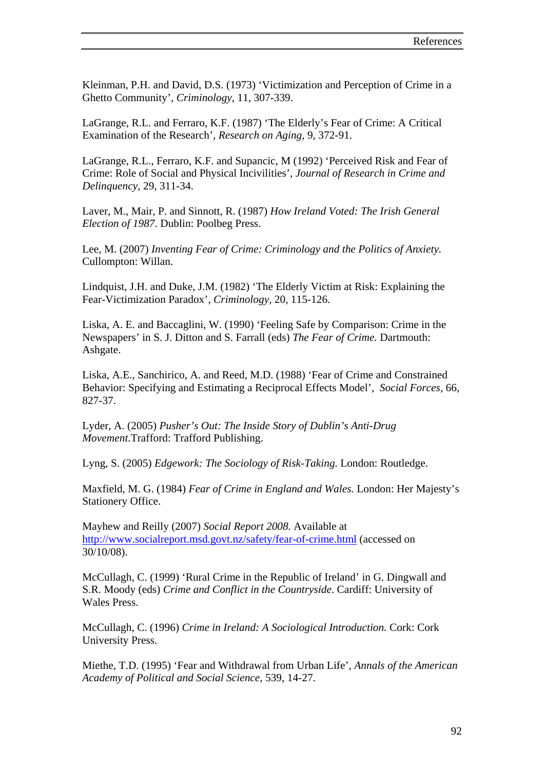Kleinman, P.H. and David, D.S. (1973) 'Victimization and Perception of Crime in a Ghetto Community', *Criminology,* 11, 307-339.

LaGrange, R.L. and Ferraro, K.F. (1987) 'The Elderly's Fear of Crime: A Critical Examination of the Research', *Research on Aging,* 9, 372-91.

LaGrange, R.L., Ferraro, K.F. and Supancic, M (1992) 'Perceived Risk and Fear of Crime: Role of Social and Physical Incivilities', *Journal of Research in Crime and Delinquency,* 29, 311-34.

Laver, M., Mair, P. and Sinnott, R. (1987) *How Ireland Voted: The Irish General Election of 1987*. Dublin: Poolbeg Press.

Lee, M. (2007) *Inventing Fear of Crime: Criminology and the Politics of Anxiety.*  Cullompton: Willan.

Lindquist, J.H. and Duke, J.M. (1982) 'The Elderly Victim at Risk: Explaining the Fear-Victimization Paradox', *Criminology,* 20, 115-126.

Liska, A. E. and Baccaglini, W. (1990) 'Feeling Safe by Comparison: Crime in the Newspapers' in S. J. Ditton and S. Farrall (eds) *The Fear of Crime.* Dartmouth: Ashgate.

Liska, A.E., Sanchirico, A. and Reed, M.D. (1988) 'Fear of Crime and Constrained Behavior: Specifying and Estimating a Reciprocal Effects Model', *Social Forces,* 66, 827-37.

Lyder, A. (2005) *Pusher's Out: The Inside Story of Dublin's Anti-Drug Movement.*Trafford: Trafford Publishing.

Lyng, S. (2005) *Edgework: The Sociology of Risk-Taking.* London: Routledge.

Maxfield, M. G. (1984) *Fear of Crime in England and Wales.* London: Her Majesty's Stationery Office.

Mayhew and Reilly (2007) *Social Report 2008.* Available at <http://www.socialreport.msd.govt.nz/safety/fear-of-crime.html> (accessed on 30/10/08).

McCullagh, C. (1999) 'Rural Crime in the Republic of Ireland' in G. Dingwall and S.R. Moody (eds) *Crime and Conflict in the Countryside*. Cardiff: University of Wales Press.

McCullagh, C. (1996) *Crime in Ireland: A Sociological Introduction.* Cork: Cork University Press.

Miethe, T.D. (1995) 'Fear and Withdrawal from Urban Life', *Annals of the American Academy of Political and Social Science,* 539, 14-27.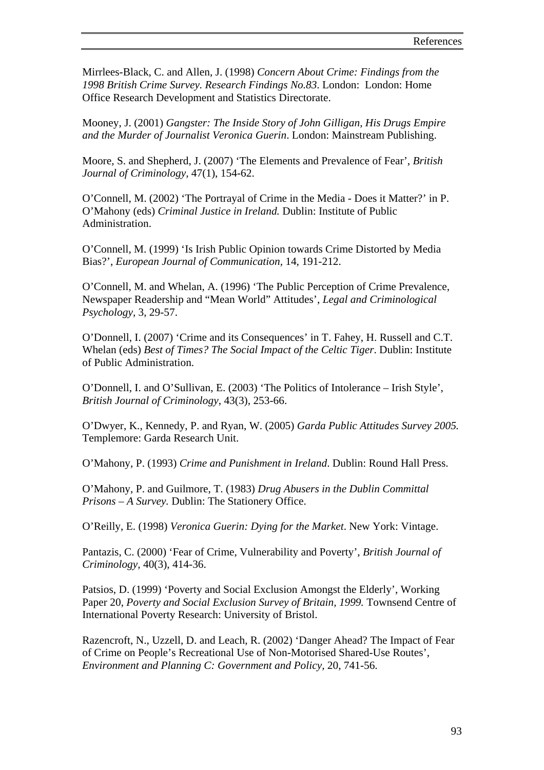Mirrlees-Black, C. and Allen, J. (1998) *Concern About Crime: Findings from the 1998 British Crime Survey. Research Findings No.83*. London: London: Home Office Research Development and Statistics Directorate.

Mooney, J. (2001) *Gangster: The Inside Story of John Gilligan, His Drugs Empire and the Murder of Journalist Veronica Guerin*. London: Mainstream Publishing.

Moore, S. and Shepherd, J. (2007) 'The Elements and Prevalence of Fear', *British Journal of Criminology,* 47(1), 154-62.

O'Connell, M. (2002) 'The Portrayal of Crime in the Media - Does it Matter?' in P. O'Mahony (eds) *Criminal Justice in Ireland.* Dublin: Institute of Public Administration.

O'Connell, M. (1999) 'Is Irish Public Opinion towards Crime Distorted by Media Bias?', *European Journal of Communication,* 14, 191-212.

O'Connell, M. and Whelan, A. (1996) 'The Public Perception of Crime Prevalence, Newspaper Readership and "Mean World" Attitudes', *Legal and Criminological Psychology,* 3, 29-57.

O'Donnell, I. (2007) 'Crime and its Consequences' in T. Fahey, H. Russell and C.T. Whelan (eds) *Best of Times? The Social Impact of the Celtic Tiger*. Dublin: Institute of Public Administration.

O'Donnell, I. and O'Sullivan, E. (2003) 'The Politics of Intolerance – Irish Style', *British Journal of Criminology*, 43(3), 253-66.

O'Dwyer, K., Kennedy, P. and Ryan, W. (2005) *Garda Public Attitudes Survey 2005.*  Templemore: Garda Research Unit.

O'Mahony, P. (1993) *Crime and Punishment in Ireland*. Dublin: Round Hall Press.

O'Mahony, P. and Guilmore, T. (1983) *Drug Abusers in the Dublin Committal Prisons – A Survey.* Dublin: The Stationery Office.

O'Reilly, E. (1998) *Veronica Guerin: Dying for the Market*. New York: Vintage.

Pantazis, C. (2000) 'Fear of Crime, Vulnerability and Poverty', *British Journal of Criminology,* 40(3), 414-36.

Patsios, D. (1999) 'Poverty and Social Exclusion Amongst the Elderly', Working Paper 20, *Poverty and Social Exclusion Survey of Britain, 1999.* Townsend Centre of International Poverty Research: University of Bristol.

Razencroft, N., Uzzell, D. and Leach, R. (2002) 'Danger Ahead? The Impact of Fear of Crime on People's Recreational Use of Non-Motorised Shared-Use Routes', *Environment and Planning C: Government and Policy,* 20, 741-56.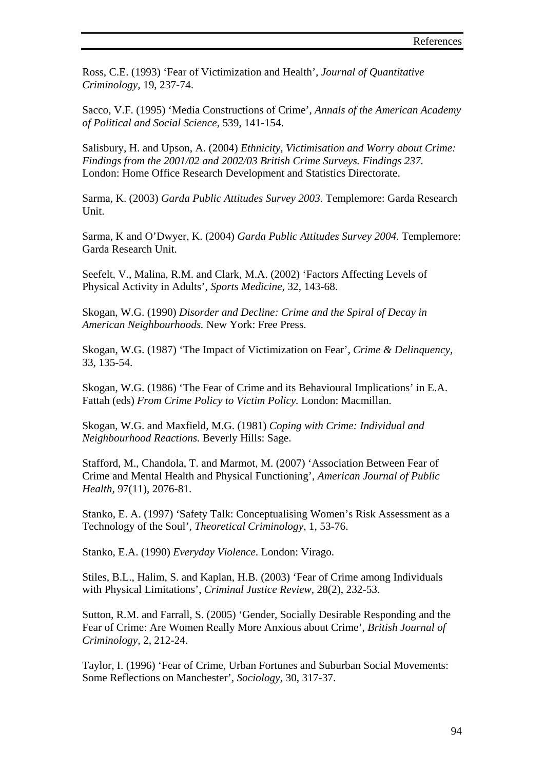Ross, C.E. (1993) 'Fear of Victimization and Health', *Journal of Quantitative Criminology,* 19, 237-74.

Sacco, V.F. (1995) 'Media Constructions of Crime', *Annals of the American Academy of Political and Social Science,* 539, 141-154.

Salisbury, H. and Upson, A. (2004) *Ethnicity, Victimisation and Worry about Crime: Findings from the 2001/02 and 2002/03 British Crime Surveys. Findings 237.*  London: Home Office Research Development and Statistics Directorate.

Sarma, K. (2003) *Garda Public Attitudes Survey 2003.* Templemore: Garda Research Unit.

Sarma, K and O'Dwyer, K. (2004) *Garda Public Attitudes Survey 2004.* Templemore: Garda Research Unit.

Seefelt, V., Malina, R.M. and Clark, M.A. (2002) 'Factors Affecting Levels of Physical Activity in Adults', *Sports Medicine,* 32, 143-68.

Skogan, W.G. (1990) *Disorder and Decline: Crime and the Spiral of Decay in American Neighbourhoods.* New York: Free Press.

Skogan, W.G. (1987) 'The Impact of Victimization on Fear', *Crime & Delinquency,*  33, 135-54.

Skogan, W.G. (1986) 'The Fear of Crime and its Behavioural Implications' in E.A. Fattah (eds) *From Crime Policy to Victim Policy.* London: Macmillan.

Skogan, W.G. and Maxfield, M.G. (1981) *Coping with Crime: Individual and Neighbourhood Reactions.* Beverly Hills: Sage.

Stafford, M., Chandola, T. and Marmot, M. (2007) 'Association Between Fear of Crime and Mental Health and Physical Functioning', *American Journal of Public Health,* 97(11), 2076-81.

Stanko, E. A. (1997) 'Safety Talk: Conceptualising Women's Risk Assessment as a Technology of the Soul', *Theoretical Criminology,* 1, 53-76.

Stanko, E.A. (1990) *Everyday Violence.* London: Virago.

Stiles, B.L., Halim, S. and Kaplan, H.B. (2003) 'Fear of Crime among Individuals with Physical Limitations', *Criminal Justice Review,* 28(2), 232-53.

Sutton, R.M. and Farrall, S. (2005) 'Gender, Socially Desirable Responding and the Fear of Crime: Are Women Really More Anxious about Crime', *British Journal of Criminology,* 2, 212-24.

Taylor, I. (1996) 'Fear of Crime, Urban Fortunes and Suburban Social Movements: Some Reflections on Manchester', *Sociology,* 30, 317-37.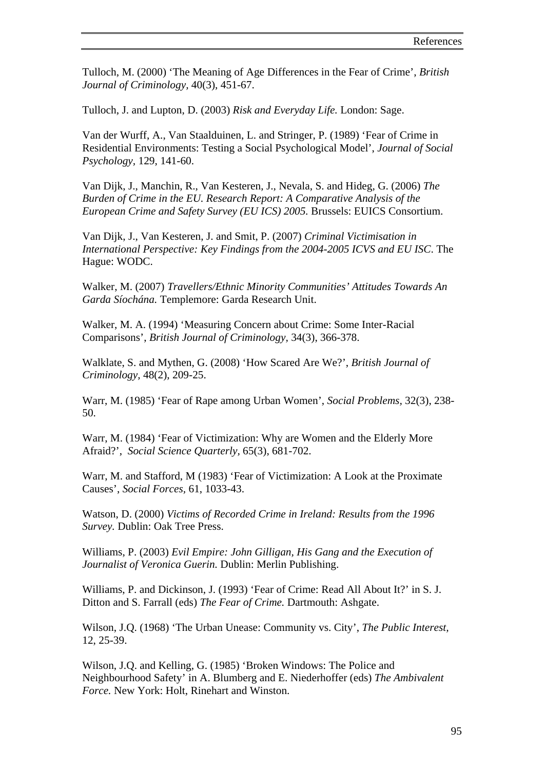Tulloch, M. (2000) 'The Meaning of Age Differences in the Fear of Crime', *British Journal of Criminology,* 40(3), 451-67.

Tulloch, J. and Lupton, D. (2003) *Risk and Everyday Life.* London: Sage.

Van der Wurff, A., Van Staalduinen, L. and Stringer, P. (1989) 'Fear of Crime in Residential Environments: Testing a Social Psychological Model', *Journal of Social Psychology,* 129, 141-60.

Van Dijk, J., Manchin, R., Van Kesteren, J., Nevala, S. and Hideg, G. (2006) *The Burden of Crime in the EU. Research Report: A Comparative Analysis of the European Crime and Safety Survey (EU ICS) 2005.* Brussels: EUICS Consortium.

Van Dijk, J., Van Kesteren, J. and Smit, P. (2007) *Criminal Victimisation in International Perspective: Key Findings from the 2004-2005 ICVS and EU ISC*. The Hague: WODC.

Walker, M. (2007) *Travellers/Ethnic Minority Communities' Attitudes Towards An Garda Síochána.* Templemore: Garda Research Unit.

Walker, M. A. (1994) 'Measuring Concern about Crime: Some Inter-Racial Comparisons', *British Journal of Criminology,* 34(3), 366-378.

Walklate, S. and Mythen, G. (2008) 'How Scared Are We?', *British Journal of Criminology,* 48(2), 209-25.

Warr, M. (1985) 'Fear of Rape among Urban Women', *Social Problems,* 32(3), 238- 50.

Warr, M. (1984) 'Fear of Victimization: Why are Women and the Elderly More Afraid?', *Social Science Quarterly,* 65(3), 681-702.

Warr, M. and Stafford, M (1983) 'Fear of Victimization: A Look at the Proximate Causes', *Social Forces,* 61, 1033-43.

Watson, D. (2000) *Victims of Recorded Crime in Ireland: Results from the 1996 Survey.* Dublin: Oak Tree Press.

Williams, P. (2003) *Evil Empire: John Gilligan, His Gang and the Execution of Journalist of Veronica Guerin.* Dublin: Merlin Publishing.

Williams, P. and Dickinson, J. (1993) 'Fear of Crime: Read All About It?' in S. J. Ditton and S. Farrall (eds) *The Fear of Crime.* Dartmouth: Ashgate.

Wilson, J.Q. (1968) 'The Urban Unease: Community vs. City', *The Public Interest,*  12, 25-39.

Wilson, J.Q. and Kelling, G. (1985) 'Broken Windows: The Police and Neighbourhood Safety' in A. Blumberg and E. Niederhoffer (eds) *The Ambivalent Force.* New York: Holt, Rinehart and Winston.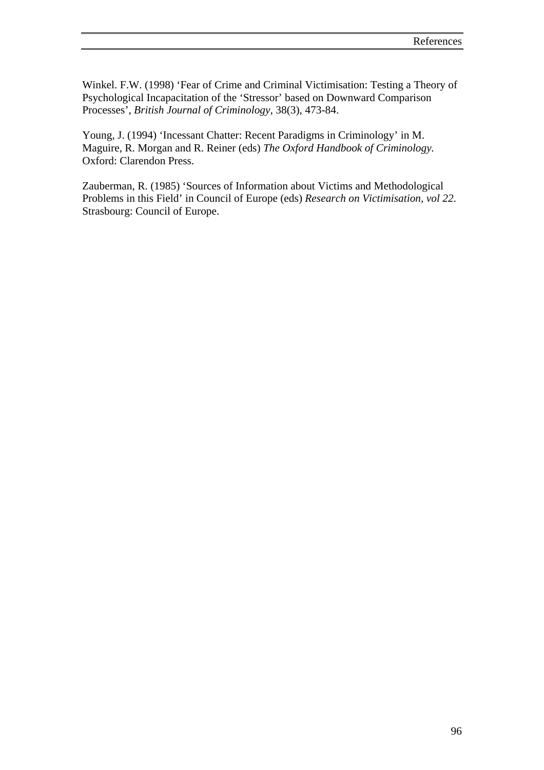Winkel. F.W. (1998) 'Fear of Crime and Criminal Victimisation: Testing a Theory of Psychological Incapacitation of the 'Stressor' based on Downward Comparison Processes', *British Journal of Criminology,* 38(3), 473-84.

Young, J. (1994) 'Incessant Chatter: Recent Paradigms in Criminology' in M. Maguire, R. Morgan and R. Reiner (eds) *The Oxford Handbook of Criminology.*  Oxford: Clarendon Press.

Zauberman, R. (1985) 'Sources of Information about Victims and Methodological Problems in this Field' in Council of Europe (eds) *Research on Victimisation, vol 22*. Strasbourg: Council of Europe.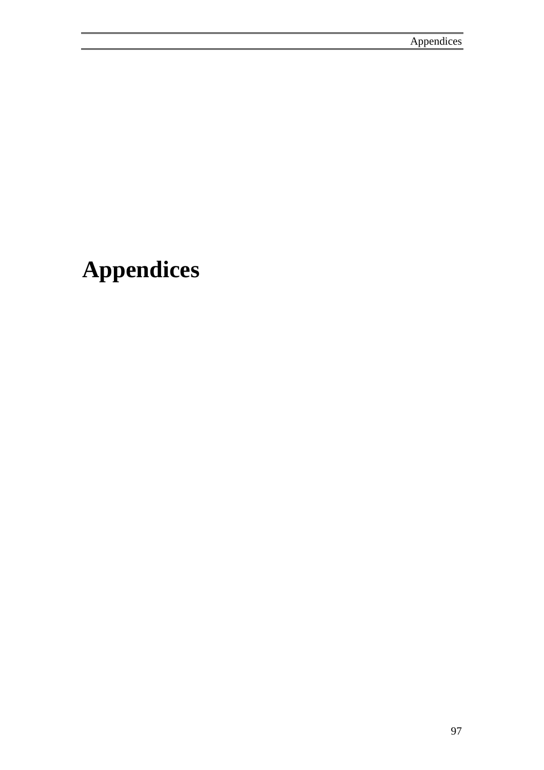# **Appendices**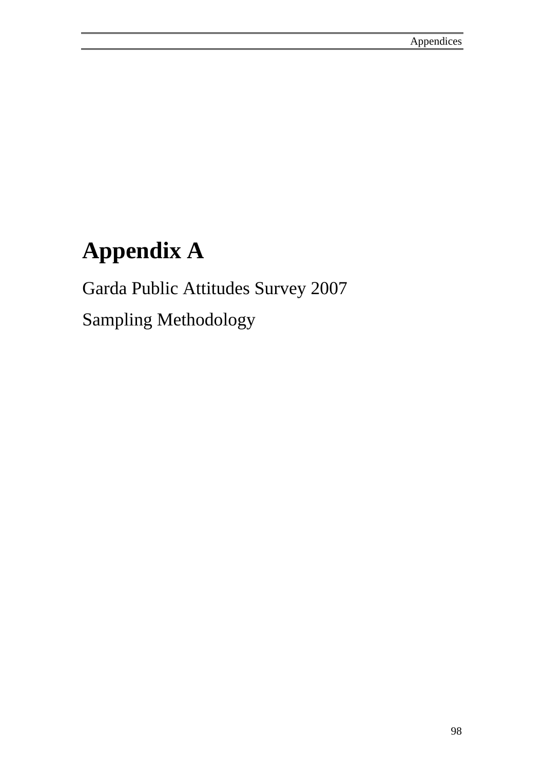# **Appendix A**

Garda Public Attitudes Survey 2007 Sampling Methodology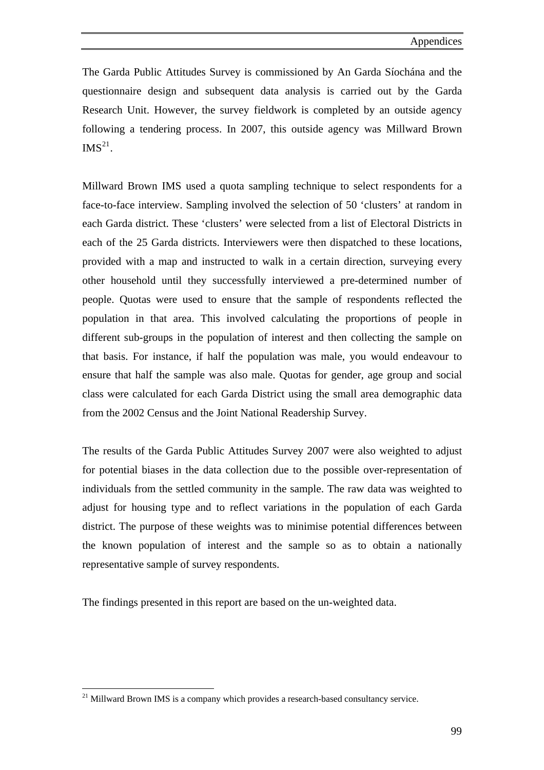<span id="page-113-0"></span>The Garda Public Attitudes Survey is commissioned by An Garda Síochána and the questionnaire design and subsequent data analysis is carried out by the Garda Research Unit. However, the survey fieldwork is completed by an outside agency following a tendering process. In 2007, this outside agency was Millward Brown  $IMS^{21}$  $IMS^{21}$  $IMS^{21}$ .

Millward Brown IMS used a quota sampling technique to select respondents for a face-to-face interview. Sampling involved the selection of 50 'clusters' at random in each Garda district. These 'clusters' were selected from a list of Electoral Districts in each of the 25 Garda districts. Interviewers were then dispatched to these locations, provided with a map and instructed to walk in a certain direction, surveying every other household until they successfully interviewed a pre-determined number of people. Quotas were used to ensure that the sample of respondents reflected the population in that area. This involved calculating the proportions of people in different sub-groups in the population of interest and then collecting the sample on that basis. For instance, if half the population was male, you would endeavour to ensure that half the sample was also male. Quotas for gender, age group and social class were calculated for each Garda District using the small area demographic data from the 2002 Census and the Joint National Readership Survey.

The results of the Garda Public Attitudes Survey 2007 were also weighted to adjust for potential biases in the data collection due to the possible over-representation of individuals from the settled community in the sample. The raw data was weighted to adjust for housing type and to reflect variations in the population of each Garda district. The purpose of these weights was to minimise potential differences between the known population of interest and the sample so as to obtain a nationally representative sample of survey respondents.

The findings presented in this report are based on the un-weighted data.

 $\overline{a}$ 

 $21$  Millward Brown IMS is a company which provides a research-based consultancy service.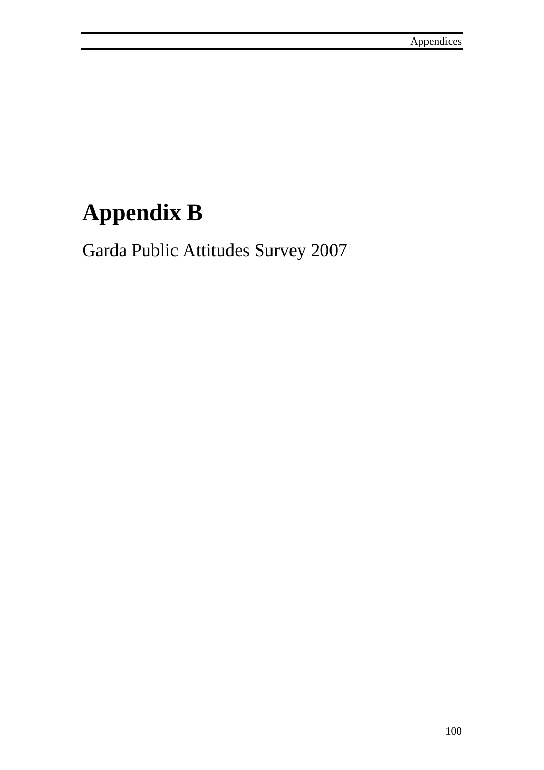# **Appendix B**

Garda Public Attitudes Survey 2007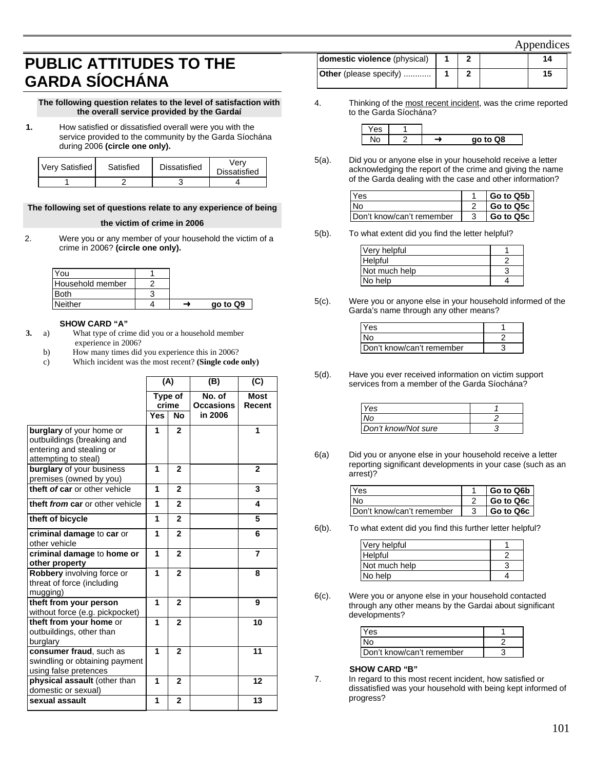# **PUBLIC ATTITUDES TO THE GARDA SÍOCHÁNA**

#### **The following question relates to the level of satisfaction with the overall service provided by the Gardaí**

**1.** How satisfied or dissatisfied overall were you with the service provided to the community by the Garda Síochána during 2006 **(circle one only).** 

| <b>Very Satisfied</b> | Satisfied | Dissatisfied | Verv<br><b>Dissatisfied</b> |
|-----------------------|-----------|--------------|-----------------------------|
|                       |           |              |                             |

#### **The following set of questions relate to any experience of being**

#### **the victim of crime in 2006**

2. Were you or any member of your household the victim of a crime in 2006? **(circle one only).** 

| You              |  |          |
|------------------|--|----------|
| Household member |  |          |
| <b>Both</b>      |  |          |
| Neither          |  | go to Q9 |

#### **SHOW CARD "A"**

- **3.** a) What type of crime did you or a household member experience in 2006?
	- b) How many times did you experience this in 2006?
	- c) Which incident was the most recent? **(Single code only)**

|                                                                                                            | (A)              |                | (B)                        | (C)                   |
|------------------------------------------------------------------------------------------------------------|------------------|----------------|----------------------------|-----------------------|
|                                                                                                            | Type of<br>crime |                | No. of<br><b>Occasions</b> | <b>Most</b><br>Recent |
|                                                                                                            | Yes              | <b>No</b>      | in 2006                    |                       |
| burglary of your home or<br>outbuildings (breaking and<br>entering and stealing or<br>attempting to steal) | 1                | $\mathbf{2}$   |                            | 1                     |
| burglary of your business<br>premises (owned by you)                                                       | 1                | $\mathbf{2}$   |                            | $\overline{2}$        |
| theft of car or other vehicle                                                                              | 1                | $\mathbf{2}$   |                            | 3                     |
| theft from car or other vehicle                                                                            | 1                | $\overline{2}$ |                            | 4                     |
| theft of bicycle                                                                                           | 1                | $\overline{2}$ |                            | 5                     |
| criminal damage to car or<br>other vehicle                                                                 | 1                | $\overline{2}$ |                            | 6                     |
| criminal damage to home or<br>other property                                                               | 1                | $\mathbf{2}$   |                            | $\overline{7}$        |
| Robbery involving force or<br>threat of force (including<br>mugging)                                       | 1                | $\overline{2}$ |                            | 8                     |
| theft from your person<br>without force (e.g. pickpocket)                                                  | 1                | $\overline{2}$ |                            | 9                     |
| theft from your home or<br>outbuildings, other than<br>burglary                                            | 1                | $\overline{2}$ |                            | 10                    |
| consumer fraud, such as<br>swindling or obtaining payment<br>using false pretences                         | 1                | $\overline{2}$ |                            | 11                    |
| physical assault (other than<br>domestic or sexual)                                                        | 1                | $\overline{2}$ |                            | 12                    |
| sexual assault                                                                                             | 1                | $\overline{2}$ |                            | 13                    |

| domestic violence (physical)  |  | 14 |  |
|-------------------------------|--|----|--|
| <b>Other</b> (please specify) |  | 15 |  |

4. Thinking of the most recent incident, was the crime reported to the Garda Síochána?

| - 1 |  |           |
|-----|--|-----------|
|     |  | Q8<br>no. |

5(a). Did you or anyone else in your household receive a letter acknowledging the report of the crime and giving the name of the Garda dealing with the case and other information?

| <b>Yes</b>                | Go to Q5b |
|---------------------------|-----------|
| ∣No                       | Go to Q5c |
| Don't know/can't remember | Go to Q5c |

5(b). To what extent did you find the letter helpful?

| Very helpful  |  |
|---------------|--|
| Helpful       |  |
| Not much help |  |
| No help       |  |

5(c). Were you or anyone else in your household informed of the Garda's name through any other means?

| Yes                       |  |
|---------------------------|--|
| No                        |  |
| Don't know/can't remember |  |

5(d). Have you ever received information on victim support services from a member of the Garda Síochána?

| Yes                 |  |
|---------------------|--|
| No                  |  |
| Don't know/Not sure |  |

6(a) Did you or anyone else in your household receive a letter reporting significant developments in your case (such as an arrest)?

| Yes                       | Go to Q6b |
|---------------------------|-----------|
| No                        | Go to Q6c |
| Don't know/can't remember | Go to Q6c |

6(b). To what extent did you find this further letter helpful?

| Very helpful  |  |
|---------------|--|
| Helpful       |  |
| Not much help |  |
| No help       |  |

6(c). Were you or anyone else in your household contacted through any other means by the Gardai about significant developments?

| IYes                      |  |
|---------------------------|--|
|                           |  |
| Don't know/can't remember |  |

### **SHOW CARD "B"**

7. In regard to this most recent incident, how satisfied or dissatisfied was your household with being kept informed of progress?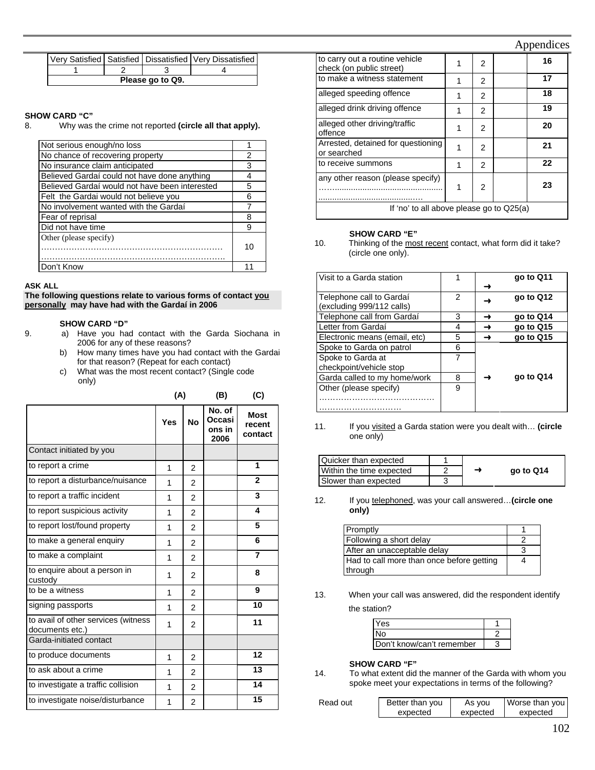#### Appendices

|                  |  |  | Very Satisfied   Satisfied   Dissatisfied   Very Dissatisfied |  |
|------------------|--|--|---------------------------------------------------------------|--|
|                  |  |  |                                                               |  |
| Please go to Q9. |  |  |                                                               |  |

#### **SHOW CARD "C"**

8. Why was the crime not reported **(circle all that apply).** 

| Not serious enough/no loss                     |    |
|------------------------------------------------|----|
| No chance of recovering property               | 2  |
| No insurance claim anticipated                 | 3  |
| Believed Gardaí could not have done anything   |    |
| Believed Gardaí would not have been interested | 5  |
| Felt the Gardai would not believe you          | ิค |
| No involvement wanted with the Gardaí          |    |
| Fear of reprisal                               | 8  |
| Did not have time                              | 9  |
| Other (please specify)                         |    |
|                                                | 10 |
|                                                |    |
| Don't Know                                     |    |

#### **ASK ALL**

**The following questions relate to various forms of contact you personally may have had with the Gardaí in 2006**

#### **SHOW CARD "D"**

- 9. a) Have you had contact with the Garda Siochana in 2006 for any of these reasons?
	- b) How many times have you had contact with the Gardai for that reason? (Repeat for each contact)
	- c) What was the most recent contact? (Single code only)

|                                                        | (A) |                | (B)                                | (C)                              |
|--------------------------------------------------------|-----|----------------|------------------------------------|----------------------------------|
|                                                        | Yes | <b>No</b>      | No. of<br>Occasi<br>ons in<br>2006 | <b>Most</b><br>recent<br>contact |
| Contact initiated by you                               |     |                |                                    |                                  |
| to report a crime                                      | 1   | $\overline{2}$ |                                    | 1                                |
| to report a disturbance/nuisance                       | 1   | $\overline{2}$ |                                    | $\overline{2}$                   |
| to report a traffic incident                           | 1   | $\overline{2}$ |                                    | 3                                |
| to report suspicious activity                          | 1   | $\overline{2}$ |                                    | 4                                |
| to report lost/found property                          | 1   | 2              |                                    | 5                                |
| to make a general enquiry                              | 1   | $\overline{2}$ |                                    | 6                                |
| to make a complaint                                    | 1   | $\overline{2}$ |                                    | $\overline{7}$                   |
| to enquire about a person in<br>custody                | 1   | 2              |                                    | 8                                |
| to be a witness                                        | 1   | 2              |                                    | 9                                |
| signing passports                                      | 1   | $\overline{2}$ |                                    | 10                               |
| to avail of other services (witness<br>documents etc.) | 1   | 2              |                                    | 11                               |
| Garda-initiated contact                                |     |                |                                    |                                  |
| to produce documents                                   | 1   | $\overline{2}$ |                                    | 12                               |
| to ask about a crime                                   | 1   | 2              |                                    | 13                               |
| to investigate a traffic collision                     | 1   | 2              |                                    | 14                               |
| to investigate noise/disturbance                       | 1   | $\overline{2}$ |                                    | 15                               |

| to carry out a routine vehicle<br>check (on public street) |   | 2             |  | 16 |
|------------------------------------------------------------|---|---------------|--|----|
| to make a witness statement                                | 1 | 2             |  | 17 |
| alleged speeding offence                                   | 1 | 2             |  | 18 |
| alleged drink driving offence                              |   | 2             |  | 19 |
| alleged other driving/traffic<br>offence                   |   | 2             |  | 20 |
| Arrested, detained for questioning<br>or searched          | 1 | $\mathcal{P}$ |  | 21 |
| to receive summons                                         | 1 | 2             |  | 22 |
| any other reason (please specify)                          | 1 | 2             |  | 23 |
| If 'no' to all above please go to Q25(a)                   |   |               |  |    |

#### **SHOW CARD "E"**

<sup>10.</sup> Thinking of the most recent contact, what form did it take? (circle one only).

| Visit to a Garda station      |   | go to Q11 |
|-------------------------------|---|-----------|
|                               |   |           |
| Telephone call to Gardaí      | 2 | go to Q12 |
| (excluding 999/112 calls)     |   |           |
| Telephone call from Gardaí    | 3 | go to Q14 |
| Letter from Gardaí            | 4 | go to Q15 |
| Electronic means (email, etc) | 5 | go to Q15 |
| Spoke to Garda on patrol      | 6 |           |
| Spoke to Garda at             |   |           |
| checkpoint/vehicle stop       |   |           |
| Garda called to my home/work  | 8 | go to Q14 |
| Other (please specify)        | 9 |           |
|                               |   |           |
|                               |   |           |

11. If you visited a Garda station were you dealt with… **(circle**  one only)

| Quicker than expected    |  |           |
|--------------------------|--|-----------|
| Within the time expected |  | go to Q14 |
| Slower than expected     |  |           |

12. If you telephoned, was your call answered…**(circle one only)** 

| Promptly                                  |  |
|-------------------------------------------|--|
| Following a short delay                   |  |
| After an unacceptable delay               |  |
| Had to call more than once before getting |  |
| through                                   |  |

13. When your call was answered, did the respondent identify the station?

| <b>Yes</b>                |  |
|---------------------------|--|
| N٥                        |  |
| Don't know/can't remember |  |

#### **SHOW CARD "F"**

14. To what extent did the manner of the Garda with whom you spoke meet your expectations in terms of the following?

| Read out | Better than you | As vou   | Worse than you |
|----------|-----------------|----------|----------------|
|          | expected        | expected | expected       |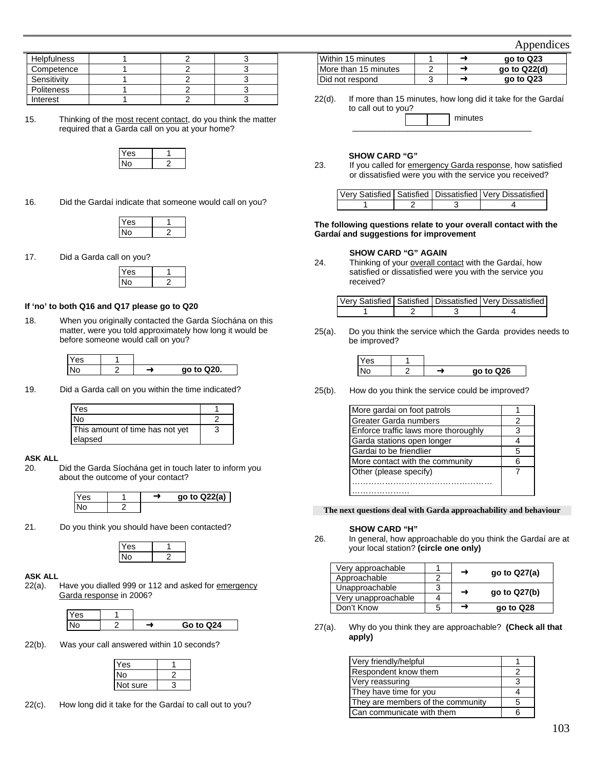| Appendices |
|------------|
|            |
|            |

| <b>Helpfulness</b> |  |  |
|--------------------|--|--|
| Competence         |  |  |
| Sensitivity        |  |  |
| <b>Politeness</b>  |  |  |
| Interest           |  |  |

15. Thinking of the most recent contact, do you think the matter required that a Garda call on you at your home?

16. Did the Gardaí indicate that someone would call on you?

17. Did a Garda call on you?

### **If 'no' to both Q16 and Q17 please go to Q20**

18. When you originally contacted the Garda Síochána on this matter, were you told approximately how long it would be before someone would call on you?

| es |  |            |
|----|--|------------|
|    |  | go to Q20. |

19. Did a Garda call on you within the time indicated?

| Yes                             |   |
|---------------------------------|---|
| <b>No</b>                       |   |
| This amount of time has not yet | 3 |
| elapsed                         |   |

#### **ASK ALL**

20. Did the Garda Síochána get in touch later to inform you about the outcome of your contact?



21. Do you think you should have been contacted?

#### **ASK ALL**

22(a). Have you dialled 999 or 112 and asked for emergency Garda response in 2006?

| es |  |           |
|----|--|-----------|
|    |  | Go to Q24 |

22(b). Was your call answered within 10 seconds?

| 'es      |  |
|----------|--|
| J٥       |  |
| Not sure |  |
|          |  |

22(c). How long did it take for the Gardaí to call out to you?

|                      |   |   | $1$ Appoints to $0$ |
|----------------------|---|---|---------------------|
| Within 15 minutes    |   | ⊸ | go to Q23           |
| More than 15 minutes | ◠ | → | ao to Q22(d)        |
| Did not respond      | ົ |   | go to Q23           |

22(d). If more than 15 minutes, how long did it take for the Gardaí to call out to you?

#### **SHOW CARD "G"**

23. If you called for emergency Garda response, how satisfied or dissatisfied were you with the service you received?

|  | Very Satisfied   Satisfied   Dissatisfied   Very Dissatisfied |
|--|---------------------------------------------------------------|
|  |                                                               |

**The following questions relate to your overall contact with the Gardaí and suggestions for improvement** 

**SHOW CARD "G" AGAIN**<br>24. Thinking of your overall cor Thinking of your overall contact with the Gardaí, how satisfied or dissatisfied were you with the service you received?

|  |  | Very Satisfied   Satisfied   Dissatisfied   Very Dissatisfied |
|--|--|---------------------------------------------------------------|
|  |  |                                                               |

25(a). Do you think the service which the Garda provides needs to be improved?

| $\lambda$<br>es |   |           |
|-----------------|---|-----------|
|                 | - | go to Q26 |

25(b). How do you think the service could be improved?

| More gardai on foot patrols          |   |
|--------------------------------------|---|
| Greater Garda numbers                | 2 |
| Enforce traffic laws more thoroughly | З |
| Garda stations open longer           |   |
| Gardai to be friendlier              | 5 |
| More contact with the community      |   |
| Other (please specify)               |   |
|                                      |   |
|                                      |   |

#### **The next questions deal with Garda approachability and behaviour**

**SHOW CARD "H"**<br>26. In general, how app In general, how approachable do you think the Gardaí are at your local station? **(circle one only)** 

| Very approachable   |   | go to $Q27(a)$ |
|---------------------|---|----------------|
| Approachable        |   |                |
| Unapproachable      | 3 | go to $Q27(b)$ |
| Very unapproachable |   |                |
| Don't Know          | b | go to Q28      |

27(a). Why do you think they are approachable? **(Check all that apply)** 

| Very friendly/helpful             |    |
|-----------------------------------|----|
| Respondent know them              |    |
| Very reassuring                   |    |
| They have time for you            |    |
| They are members of the community | ٠h |
| Can communicate with them         |    |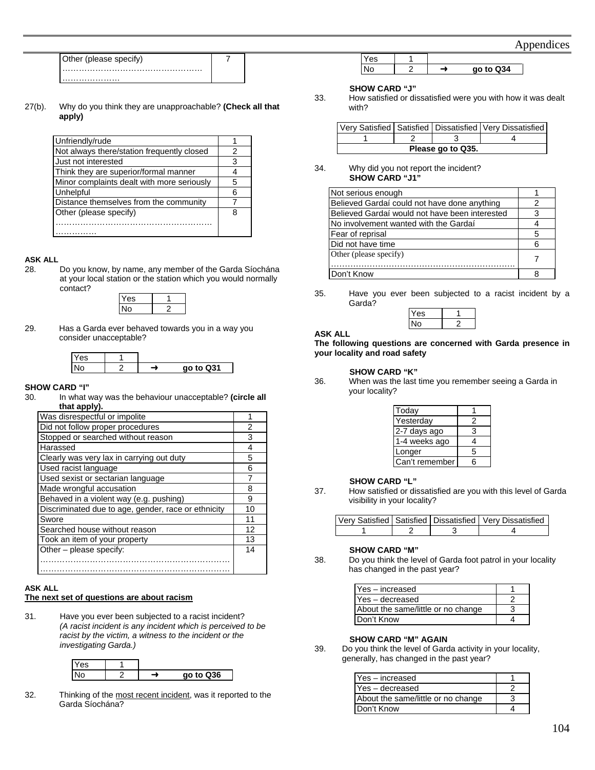Appendices

| Other (please specify) |
|------------------------|
|                        |
| .                      |

27(b). Why do you think they are unapproachable? **(Check all that apply)** 

7

| Unfriendly/rude                            |   |
|--------------------------------------------|---|
| Not always there/station frequently closed | 2 |
| Just not interested                        | 3 |
| Think they are superior/formal manner      |   |
| Minor complaints dealt with more seriously | 5 |
| Unhelpful                                  |   |
| Distance themselves from the community     |   |
| Other (please specify)                     | я |
|                                            |   |
|                                            |   |

#### **ASK ALL**

28. Do you know, by name, any member of the Garda Síochána at your local station or the station which you would normally contact?



29. Has a Garda ever behaved towards you in a way you consider unacceptable?



#### **SHOW CARD "I"**

30. In what way was the behaviour unacceptable? **(circle all that apply).** 

| Was disrespectful or impolite                       |    |
|-----------------------------------------------------|----|
| Did not follow proper procedures                    | 2  |
| Stopped or searched without reason                  | З  |
| Harassed                                            | 4  |
| Clearly was very lax in carrying out duty           | 5  |
| Used racist language                                | 6  |
| Used sexist or sectarian language                   |    |
| Made wrongful accusation                            | 8  |
| Behaved in a violent way (e.g. pushing)             | 9  |
| Discriminated due to age, gender, race or ethnicity | 10 |
| Swore                                               | 11 |
| Searched house without reason                       | 12 |
| Took an item of your property                       | 13 |
| Other – please specify:                             | 14 |
|                                                     |    |
|                                                     |    |

#### **ASK ALL The next set of questions are about racism**

31. Have you ever been subjected to a racist incident? *(A racist incident is any incident which is perceived to be racist by the victim, a witness to the incident or the investigating Garda.)* 

| Yes |  |           |
|-----|--|-----------|
|     |  | go to Q36 |

32. Thinking of the most recent incident, was it reported to the Garda Síochána?

| -- |   |                    |
|----|---|--------------------|
|    | ◠ | Q34<br>nn.<br>to l |

### **SHOW CARD "J"**

33. How satisfied or dissatisfied were you with how it was dealt with?

|                   |  |  | Very Satisfied   Satisfied   Dissatisfied   Very Dissatisfied |
|-------------------|--|--|---------------------------------------------------------------|
|                   |  |  |                                                               |
| Please go to Q35. |  |  |                                                               |

34. Why did you not report the incident? **SHOW CARD "J1"** 

| Not serious enough                             |   |
|------------------------------------------------|---|
| Believed Gardaí could not have done anything   |   |
| Believed Gardaí would not have been interested |   |
| No involvement wanted with the Gardaí          |   |
| Fear of reprisal                               | 5 |
| Did not have time                              |   |
| Other (please specify)                         |   |
| Don't Know                                     |   |
|                                                |   |

35. Have you ever been subjected to a racist incident by a Garda?

### **ASK ALL**

#### **The following questions are concerned with Garda presence in your locality and road safety**

## **SHOW CARD "K"**<br>36. When was the last

When was the last time you remember seeing a Garda in your locality?

| Today          |   |
|----------------|---|
| Yesterday      | 2 |
| 2-7 days ago   | 3 |
| 1-4 weeks ago  | 4 |
| Longer         | 5 |
| Can't remember | հ |
|                |   |

# **SHOW CARD "L"**<br>37. How satisfied or dis

How satisfied or dissatisfied are you with this level of Garda visibility in your locality?

|  | Very Satisfied Satisfied Dissatisfied Very Dissatisfied |
|--|---------------------------------------------------------|
|  |                                                         |

#### **SHOW CARD "M"**

38. Do you think the level of Garda foot patrol in your locality has changed in the past year?

| Yes - increased                    |  |
|------------------------------------|--|
| Yes - decreased                    |  |
| About the same/little or no change |  |
| Don't Know                         |  |

#### **SHOW CARD "M" AGAIN**

39. Do you think the level of Garda activity in your locality, generally, has changed in the past year?

| Yes - increased                    |  |
|------------------------------------|--|
| Yes-decreased                      |  |
| About the same/little or no change |  |
| Don't Know                         |  |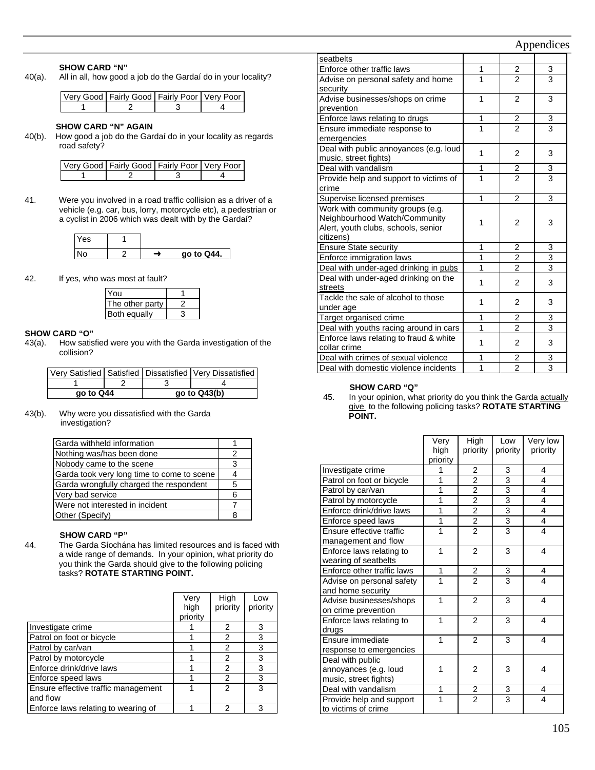#### **SHOW CARD "N"**

40(a). All in all, how good a job do the Gardaí do in your locality?

| Very Good   Fairly Good   Fairly Poor   Very Poor |  |
|---------------------------------------------------|--|
|                                                   |  |

#### **SHOW CARD "N" AGAIN**

40(b). How good a job do the Gardaí do in your locality as regards road safety?

| Very Good   Fairly Good   Fairly Poor   Very Poor |  |
|---------------------------------------------------|--|
|                                                   |  |

41. Were you involved in a road traffic collision as a driver of a vehicle (e.g. car, bus, lorry, motorcycle etc), a pedestrian or a cyclist in 2006 which was dealt with by the Gardaí?

| Yes |  |            |
|-----|--|------------|
| No  |  | go to Q44. |

42. If yes, who was most at fault?

| You                 |  |
|---------------------|--|
| The other party     |  |
| <b>Both equally</b> |  |

#### **SHOW CARD "O"**

43(a). How satisfied were you with the Garda investigation of the collision?

| Very Satisfied   Satisfied   Dissatisfied   Very Dissatisfied | go to Q44 |  | $qo$ to $Q43(b)$ |
|---------------------------------------------------------------|-----------|--|------------------|
|                                                               |           |  |                  |
|                                                               |           |  |                  |

43(b). Why were you dissatisfied with the Garda investigation?

| Garda withheld information                 |   |
|--------------------------------------------|---|
| Nothing was/has been done                  | 2 |
| Nobody came to the scene                   | 3 |
| Garda took very long time to come to scene |   |
| Garda wrongfully charged the respondent    | 5 |
| Very bad service                           | 6 |
| Were not interested in incident            |   |
| Other (Specify)                            |   |

#### **SHOW CARD "P"**

44. The Garda Síochána has limited resources and is faced with a wide range of demands. In your opinion, what priority do you think the Garda should give to the following policing tasks? **ROTATE STARTING POINT.**

|                                     | Verv<br>high<br>priority | High<br>priority | Low<br>priority |
|-------------------------------------|--------------------------|------------------|-----------------|
| Investigate crime                   |                          | 2                | 3               |
| Patrol on foot or bicycle           |                          | 2                | 3               |
| Patrol by car/van                   |                          | 2                | 3               |
| Patrol by motorcycle                |                          | 2                | 3               |
| Enforce drink/drive laws            |                          | 2                | 3               |
| Enforce speed laws                  |                          | 2                | 3               |
| Ensure effective traffic management |                          | 2                | 3               |
| and flow                            |                          |                  |                 |
| Enforce laws relating to wearing of |                          | 2                | 3               |

|                                        |                | r r                     |                         |
|----------------------------------------|----------------|-------------------------|-------------------------|
| seatbelts                              |                |                         |                         |
| Enforce other traffic laws             | 1              | $\overline{2}$          | 3                       |
| Advise on personal safety and home     | 1              | $\overline{2}$          | $\overline{3}$          |
| security                               |                |                         |                         |
| Advise businesses/shops on crime       | 1              | $\overline{2}$          | 3                       |
| prevention                             |                |                         |                         |
| Enforce laws relating to drugs         | 1              | $\frac{2}{2}$           | $\frac{3}{3}$           |
| Ensure immediate response to           | $\overline{1}$ |                         |                         |
| emergencies                            |                |                         |                         |
| Deal with public annoyances (e.g. loud | 1              | $\overline{2}$          | 3                       |
| music, street fights)                  |                |                         |                         |
| Deal with vandalism                    | 1              | 2                       | 3                       |
| Provide help and support to victims of | 1              | $\overline{2}$          | $\overline{\mathbf{3}}$ |
| crime                                  |                |                         |                         |
| Supervise licensed premises            | 1              | $\overline{2}$          | 3                       |
| Work with community groups (e.g.       |                |                         |                         |
| Neighbourhood Watch/Community          | 1              | 2                       | 3                       |
| Alert, youth clubs, schools, senior    |                |                         |                         |
| citizens)                              |                |                         |                         |
| <b>Ensure State security</b>           | 1              | 2                       | 3                       |
| Enforce immigration laws               | 1              | 2                       | $\overline{3}$          |
| Deal with under-aged drinking in pubs  | 1              | 2                       | $\overline{3}$          |
| Deal with under-aged drinking on the   | 1              | $\overline{2}$          | 3                       |
| streets                                |                |                         |                         |
| Tackle the sale of alcohol to those    | 1              | 2                       | 3                       |
| under age                              |                |                         |                         |
| Target organised crime                 | 1              | 2                       | 3                       |
| Deal with youths racing around in cars | 1              | $\overline{2}$          | 3                       |
| Enforce laws relating to fraud & white | 1              | $\overline{2}$          | 3                       |
| collar crime                           |                |                         |                         |
| Deal with crimes of sexual violence    | 1              | $\overline{\mathbf{c}}$ | $\overline{3}$          |
| Deal with domestic violence incidents  | 1              | $\overline{2}$          | $\overline{3}$          |

#### **SHOW CARD "Q"**

45. In your opinion, what priority do you think the Garda actually give to the following policing tasks? **ROTATE STARTING POINT.**

|                            | Very     | High           | Low            | Very low |
|----------------------------|----------|----------------|----------------|----------|
|                            | high     | priority       | priority       | priority |
|                            | priority |                |                |          |
| Investigate crime          | 1        | 2              | 3              | 4        |
| Patrol on foot or bicycle  | 1        | $\overline{2}$ | $\overline{3}$ | 4        |
| Patrol by car/van          | 1        | $\overline{2}$ | $\overline{3}$ | 4        |
| Patrol by motorcycle       | 1        | $\overline{2}$ | $\frac{3}{3}$  | 4        |
| Enforce drink/drive laws   | 1        | $\overline{2}$ |                | 4        |
| Enforce speed laws         | 1        | $\overline{2}$ | $\overline{3}$ | 4        |
| Ensure effective traffic   | 1        | $\overline{2}$ | $\overline{3}$ | 4        |
| management and flow        |          |                |                |          |
| Enforce laws relating to   | 1        | $\overline{2}$ | 3              | 4        |
| wearing of seatbelts       |          |                |                |          |
| Enforce other traffic laws | 1        | 2              | 3              | 4        |
| Advise on personal safety  | 1        | $\overline{2}$ | $\overline{3}$ | 4        |
| and home security          |          |                |                |          |
| Advise businesses/shops    | 1        | $\overline{2}$ | 3              | 4        |
| on crime prevention        |          |                |                |          |
| Enforce laws relating to   | 1        | $\overline{2}$ | 3              | 4        |
| drugs                      |          |                |                |          |
| Ensure immediate           | 1        | $\mathfrak{p}$ | 3              | 4        |
| response to emergencies    |          |                |                |          |
| Deal with public           |          |                |                |          |
| annoyances (e.g. loud      | 1        | $\overline{2}$ | 3              | 4        |
| music, street fights)      |          |                |                |          |
| Deal with vandalism        | 1        | $\frac{2}{2}$  | $\frac{3}{3}$  | 4        |
| Provide help and support   | 1        |                |                | 4        |
| to victims of crime        |          |                |                |          |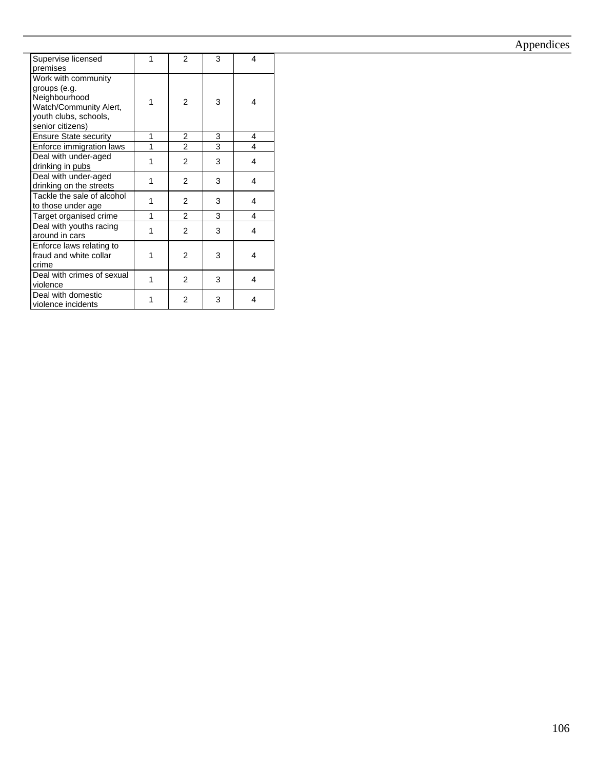#### Supervise licensed premises 1 2 3 4 Work with community groups (e.g. **Neighbourhood** Watch/Community Alert, youth clubs, schools, senior citizens) 1 2 3 4 Ensure State security 1 2 3 4 Enforce immigration laws  $\begin{vmatrix} 1 & 2 & 3 & 4 \end{vmatrix}$ Deal with under-aged Deal with under-aged  $\begin{array}{c|c} 1 & 2 & 3 & 4 \end{array}$ Deal with under-aged Deal with under-aged<br>drinking on the streets 1 2 3 4 Tackle the sale of alcohol to those under age 1  $1 \mid 2 \mid 3 \mid 4$ Target organised crime 1 2 3 4 Deal with youths racing  $\begin{array}{|c|c|c|c|c|c|}\n\hline\n1 & 2 & 3 & 4\n\end{array}$ Enforce laws relating to fraud and white collar crime 1 2 3 4 Deal with crimes of sexual  $\begin{array}{|c|c|c|c|c|c|c|c|} \hline 1 & 2 & 3 & 4 \ \hline \end{array}$ Deal with domestic Deal with domestic<br>violence incidents  $\begin{vmatrix} 1 & 2 & 3 & 4 \end{vmatrix}$

### Appendices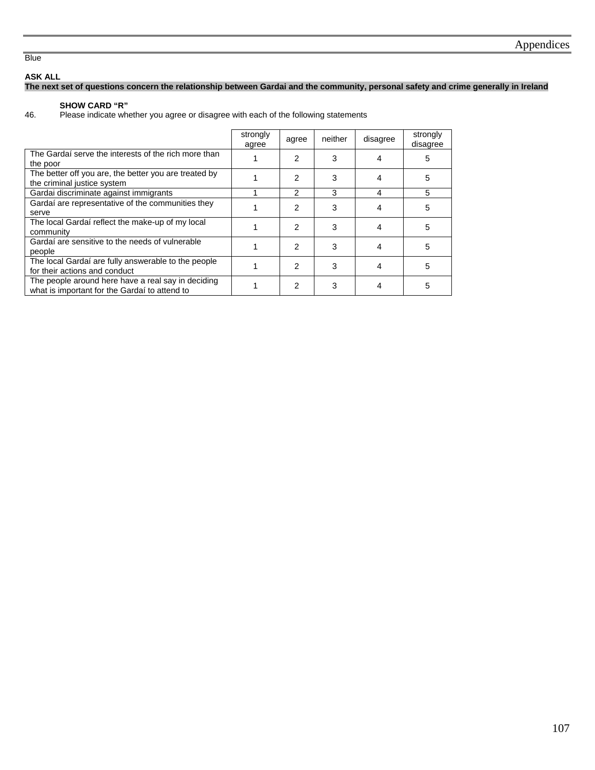**Blue** 

#### **ASK ALL**

### **The next set of questions concern the relationship between Gardai and the community, personal safety and crime generally in Ireland**

### **SHOW CARD "R"**

46. Please indicate whether you agree or disagree with each of the following statements

|                                                                                                     | strongly<br>agree | agree         | neither | disagree | strongly<br>disagree |
|-----------------------------------------------------------------------------------------------------|-------------------|---------------|---------|----------|----------------------|
| The Gardaí serve the interests of the rich more than<br>the poor                                    |                   | 2             | 3       |          | 5                    |
| The better off you are, the better you are treated by<br>the criminal justice system                |                   | 2             | 3       |          | 5                    |
| Gardai discriminate against immigrants                                                              |                   | $\mathcal{P}$ | 3       | 4        | 5                    |
| Gardaí are representative of the communities they<br>serve                                          |                   | 2             | 3       |          | 5                    |
| The local Gardaí reflect the make-up of my local<br>community                                       |                   | 2             | 3       | 4        | 5                    |
| Gardaí are sensitive to the needs of vulnerable<br>people                                           |                   | 2             | 3       | 4        | 5                    |
| The local Gardaí are fully answerable to the people<br>for their actions and conduct                |                   | 2             | 3       |          | 5                    |
| The people around here have a real say in deciding<br>what is important for the Gardaí to attend to |                   | 2             | 3       |          | 5                    |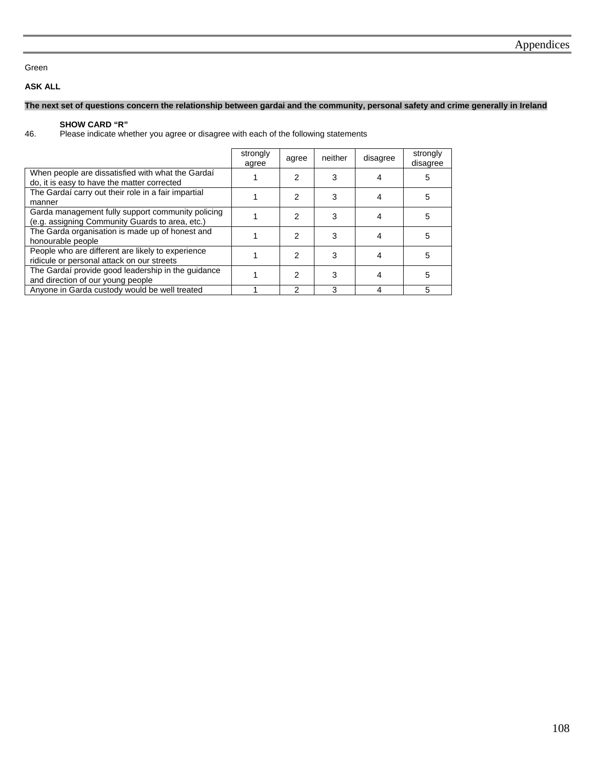### Green

### **ASK ALL**

### **The next set of questions concern the relationship between gardai and the community, personal safety and crime generally in Ireland**

**SHOW CARD "R"**<br>46. Please indicate when Please indicate whether you agree or disagree with each of the following statements

|                                                                                                      | strongly<br>agree | agree | neither | disagree | strongly<br>disagree |
|------------------------------------------------------------------------------------------------------|-------------------|-------|---------|----------|----------------------|
| When people are dissatisfied with what the Gardaí<br>do, it is easy to have the matter corrected     |                   | 2     |         |          | 5                    |
| The Gardaí carry out their role in a fair impartial<br>manner                                        |                   | 2     |         |          | 5                    |
| Garda management fully support community policing<br>(e.g. assigning Community Guards to area, etc.) |                   | 2     |         |          | 5                    |
| The Garda organisation is made up of honest and<br>honourable people                                 |                   | 2     |         |          | 5                    |
| People who are different are likely to experience<br>ridicule or personal attack on our streets      |                   | 2     |         |          | 5                    |
| The Gardaí provide good leadership in the guidance<br>and direction of our young people              |                   | 2     |         |          | 5                    |
| Anyone in Garda custody would be well treated                                                        |                   | 2     | 3       |          | 5                    |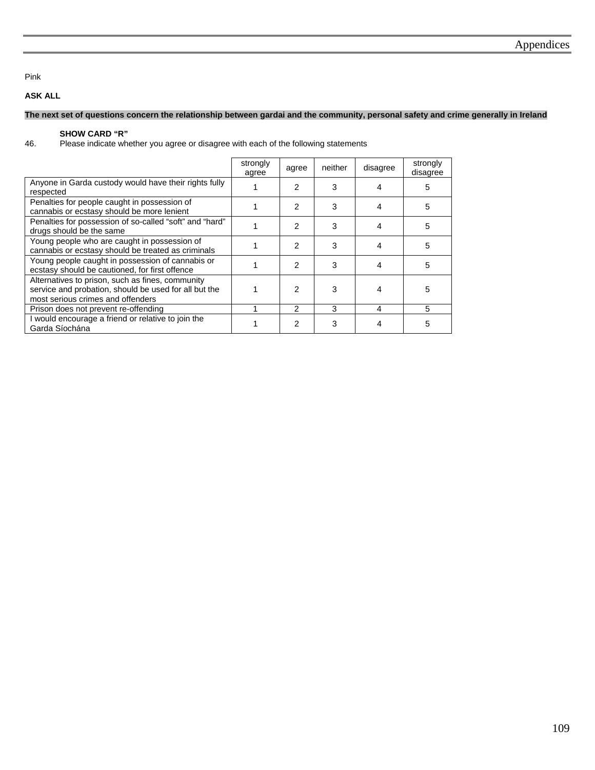#### Pink

### **ASK ALL**

#### **The next set of questions concern the relationship between gardai and the community, personal safety and crime generally in Ireland**

**SHOW CARD "R"**<br>46. Please indicate when Please indicate whether you agree or disagree with each of the following statements

|                                                                                                                                                | strongly<br>agree | agree          | neither | disagree | strongly<br>disagree |
|------------------------------------------------------------------------------------------------------------------------------------------------|-------------------|----------------|---------|----------|----------------------|
| Anyone in Garda custody would have their rights fully<br>respected                                                                             |                   | 2              | 3       | 4        | 5                    |
| Penalties for people caught in possession of<br>cannabis or ecstasy should be more lenient                                                     |                   | $\mathcal{P}$  | 3       | 4        | 5                    |
| Penalties for possession of so-called "soft" and "hard"<br>drugs should be the same                                                            |                   | $\mathcal{P}$  | 3       | 4        | 5                    |
| Young people who are caught in possession of<br>cannabis or ecstasy should be treated as criminals                                             |                   | $\mathfrak{p}$ | 3       | 4        | 5                    |
| Young people caught in possession of cannabis or<br>ecstasy should be cautioned, for first offence                                             |                   | $\mathfrak{p}$ | 3       | 4        | 5                    |
| Alternatives to prison, such as fines, community<br>service and probation, should be used for all but the<br>most serious crimes and offenders |                   | 2              | 3       |          | 5                    |
| Prison does not prevent re-offending                                                                                                           |                   | 2              | 3       | 4        | 5                    |
| I would encourage a friend or relative to join the<br>Garda Síochána                                                                           |                   | 2              | 3       | 4        | 5                    |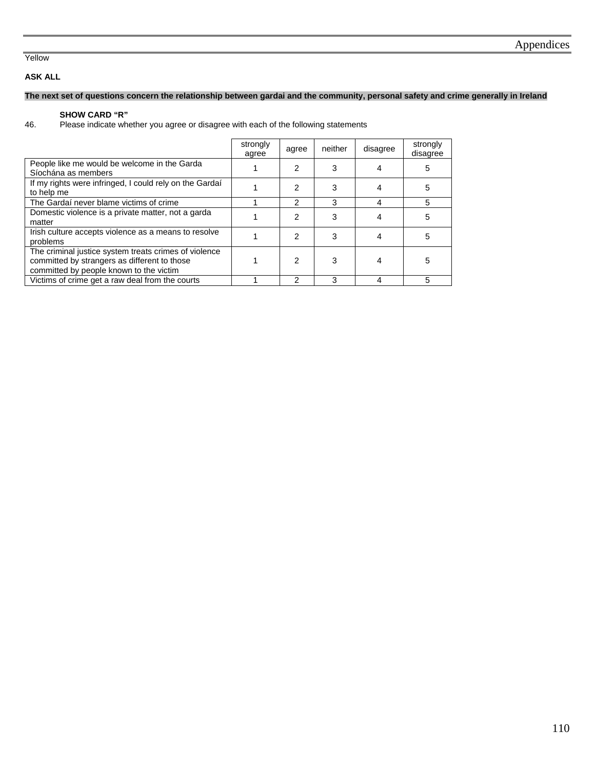### Yellow

### **ASK ALL**

### **The next set of questions concern the relationship between gardai and the community, personal safety and crime generally in Ireland**

# **SHOW CARD "R"**<br>46. Please indicate when

Please indicate whether you agree or disagree with each of the following statements

|                                                                                                                                                  | strongly<br>agree | agree | neither | disagree | strongly<br>disagree |
|--------------------------------------------------------------------------------------------------------------------------------------------------|-------------------|-------|---------|----------|----------------------|
| People like me would be welcome in the Garda<br>Síochána as members                                                                              |                   | 2     | 3       |          | 5                    |
| If my rights were infringed, I could rely on the Gardai<br>to help me                                                                            |                   | 2     | 3       |          | 5                    |
| The Gardaí never blame victims of crime                                                                                                          |                   | 2     | 3       | 4        | 5                    |
| Domestic violence is a private matter, not a garda<br>matter                                                                                     |                   | 2     | 3       |          | 5                    |
| Irish culture accepts violence as a means to resolve<br>problems                                                                                 |                   | 2     | 3       |          | 5                    |
| The criminal justice system treats crimes of violence<br>committed by strangers as different to those<br>committed by people known to the victim |                   | 2     | 3       |          | 5                    |
| Victims of crime get a raw deal from the courts                                                                                                  |                   | 2     | 3       | 4        | 5                    |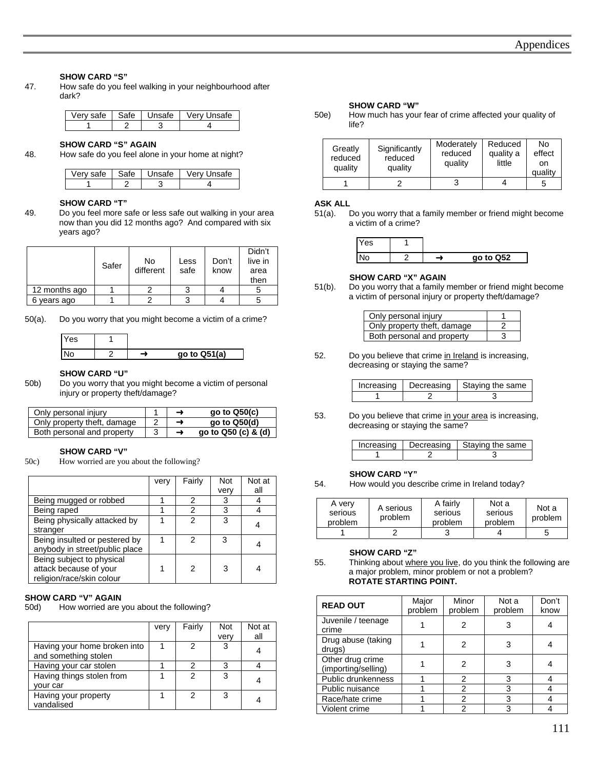#### **SHOW CARD "S"**

47. How safe do you feel walking in your neighbourhood after dark?

|  | Very safe   Safe   Unsafe   Very Unsafe |
|--|-----------------------------------------|
|  |                                         |

# **SHOW CARD "S" AGAIN**<br>**48.** How safe do you feel alone

How safe do you feel alone in your home at night?

| ∩רב | $\sim$<br>าate∴ | `Яfе |
|-----|-----------------|------|
|     |                 |      |

**SHOW CARD "T"**<br> **19.** Do you feel more s Do you feel more safe or less safe out walking in your area now than you did 12 months ago? And compared with six years ago?

|               | Safer | No<br>different | Less<br>safe | Don't<br>know | Didn't<br>live in<br>area<br>then |
|---------------|-------|-----------------|--------------|---------------|-----------------------------------|
| 12 months ago |       |                 |              |               |                                   |
| years ago     |       |                 |              |               |                                   |

50(a). Do you worry that you might become a victim of a crime?

| res |              |
|-----|--------------|
|     | go to Q51(a) |

#### **SHOW CARD "U"**

50b) Do you worry that you might become a victim of personal injury or property theft/damage?

| Only personal injury        |  | go to Q50(c)        |
|-----------------------------|--|---------------------|
| Only property theft, damage |  | go to $Q50(d)$      |
| Both personal and property  |  | go to Q50 (c) & (d) |

#### **SHOW CARD "V"**

50c) How worried are you about the following?

|                                | very | Fairly | <b>Not</b> | Not at |
|--------------------------------|------|--------|------------|--------|
|                                |      |        | very       | all    |
| Being mugged or robbed         |      | 2      |            |        |
| Being raped                    |      | 2      |            |        |
| Being physically attacked by   |      |        |            |        |
| stranger                       |      |        |            |        |
| Being insulted or pestered by  |      | 2      | 3          |        |
| anybody in street/public place |      |        |            |        |
| Being subject to physical      |      |        |            |        |
| attack because of your         |      | 2      |            |        |
| religion/race/skin colour      |      |        |            |        |

#### **SHOW CARD "V" AGAIN**

50d) How worried are you about the following?

|                                                      | very | Fairly | <b>Not</b><br>very | Not at<br>all |
|------------------------------------------------------|------|--------|--------------------|---------------|
| Having your home broken into<br>and something stolen |      | 2      | 3                  |               |
| Having your car stolen                               |      |        | ว                  |               |
| Having things stolen from<br>your car                |      | 2      | 3                  |               |
| Having your property<br>vandalised                   |      | 2      | з                  |               |

#### **SHOW CARD "W"**

50e) How much has your fear of crime affected your quality of life?

| Greatly<br>reduced<br>quality | Significantly<br>reduced<br>quality | Moderately<br>reduced<br>quality | Reduced<br>quality a<br>little | No<br>effect<br>on<br>quality |
|-------------------------------|-------------------------------------|----------------------------------|--------------------------------|-------------------------------|
|                               |                                     |                                  |                                | b                             |

#### **ASK ALL**

51(a). Do you worry that a family member or friend might become a victim of a crime?

| ∨es |  |           |
|-----|--|-----------|
| Nc  |  | go to Q52 |

#### **SHOW CARD "X" AGAIN**

51(b). Do you worry that a family member or friend might become a victim of personal injury or property theft/damage?

| Only personal injury        |   |
|-----------------------------|---|
| Only property theft, damage |   |
| Both personal and property  | 3 |

52. Do you believe that crime in Ireland is increasing, decreasing or staying the same?

|  | Increasing   Decreasing   Staying the same |
|--|--------------------------------------------|
|  |                                            |

53. Do you believe that crime in your area is increasing, decreasing or staying the same?

|  | Increasing   Decreasing   Staying the same |
|--|--------------------------------------------|
|  |                                            |

#### **SHOW CARD "Y"**

54. How would you describe crime in Ireland today?

| A very<br>serious<br>problem | A serious<br>problem | A fairly<br>serious<br>problem | Not a<br>serious<br>problem | Not a<br>problem |
|------------------------------|----------------------|--------------------------------|-----------------------------|------------------|
|                              |                      |                                |                             |                  |

#### **SHOW CARD "Z"**<br>55. Thinking about when Thinking about where you live, do you think the following are a major problem, minor problem or not a problem? **ROTATE STARTING POINT.**

| <b>READ OUT</b>                         | Major<br>problem | Minor<br>problem | Not a<br>problem | Don't<br>know |
|-----------------------------------------|------------------|------------------|------------------|---------------|
| Juvenile / teenage<br>crime             |                  | 2                |                  |               |
| Drug abuse (taking<br>drugs)            |                  | 2                |                  |               |
| Other drug crime<br>(importing/selling) |                  | 2                |                  |               |
| Public drunkenness                      |                  | 2                | 3                |               |
| Public nuisance                         |                  | 2                | 3                |               |
| Race/hate crime                         |                  | 2                | 3                |               |
| Violent crime                           |                  | 2                | 3                |               |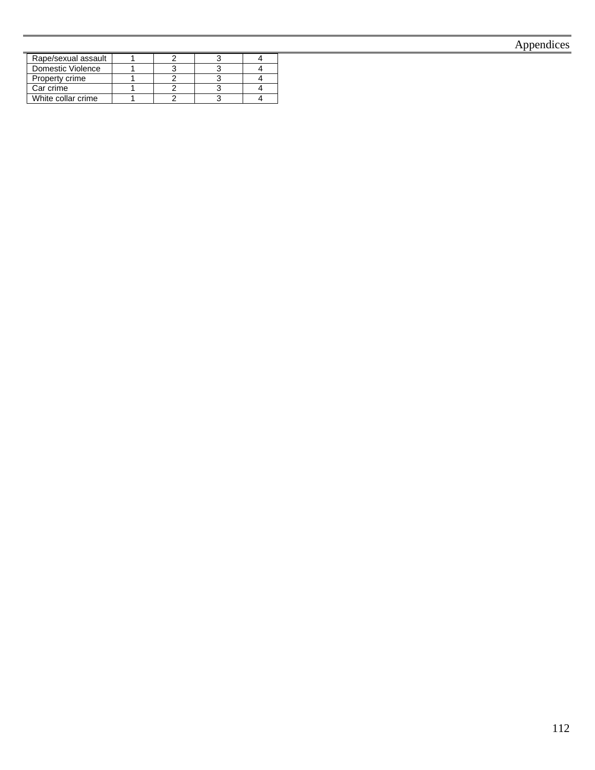## Appendices

| Rape/sexual assault |  |  |
|---------------------|--|--|
| Domestic Violence   |  |  |
| Property crime      |  |  |
| Car crime           |  |  |
| White collar crime  |  |  |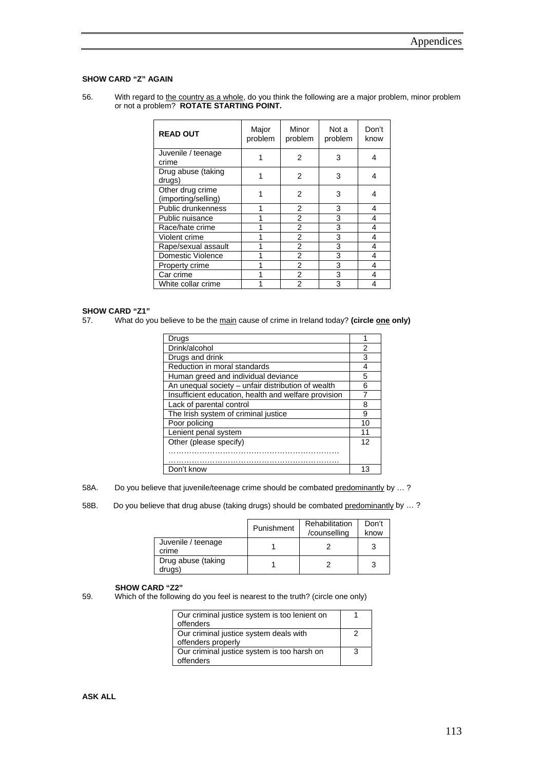#### **SHOW CARD "Z" AGAIN**

56. With regard to the country as a whole, do you think the following are a major problem, minor problem or not a problem? **ROTATE STARTING POINT.**

| <b>READ OUT</b>                         | Major<br>problem | Minor<br>problem | Not a<br>problem | Don't<br>know |
|-----------------------------------------|------------------|------------------|------------------|---------------|
| Juvenile / teenage<br>crime             |                  | 2                | 3                | 4             |
| Drug abuse (taking<br>drugs)            |                  | $\overline{2}$   | 3                | 4             |
| Other drug crime<br>(importing/selling) |                  | 2                | 3                | 4             |
| Public drunkenness                      |                  | 2                | 3                | 4             |
| Public nuisance                         |                  | 2                | 3                | 4             |
| Race/hate crime                         |                  | $\overline{2}$   | 3                | 4             |
| Violent crime                           |                  | $\overline{2}$   | 3                | 4             |
| Rape/sexual assault                     |                  | 2                | 3                | 4             |
| Domestic Violence                       |                  | 2                | 3                | 4             |
| Property crime                          |                  | 2                | 3                | 4             |
| Car crime                               |                  | 2                | 3                | 4             |
| White collar crime                      |                  | 2                | 3                | 4             |

#### **SHOW CARD "Z1"**

57. What do you believe to be the main cause of crime in Ireland today? (circle one only)

| Drugs                                                |    |
|------------------------------------------------------|----|
| Drink/alcohol                                        | 2  |
| Drugs and drink                                      | 3  |
| Reduction in moral standards                         | 4  |
| Human greed and individual deviance                  | 5  |
| An unequal society - unfair distribution of wealth   | հ  |
| Insufficient education, health and welfare provision |    |
| Lack of parental control                             | 8  |
| The Irish system of criminal justice                 | 9  |
| Poor policing                                        | 10 |
| Lenient penal system                                 | 11 |
| Other (please specify)                               | 12 |
|                                                      |    |
|                                                      |    |
| Don't know                                           | 13 |

58A. Do you believe that juvenile/teenage crime should be combated predominantly by ...?

58B. Do you believe that drug abuse (taking drugs) should be combated predominantly by ...?

|                              | Punishment | Rehabilitation<br>/counselling | Don't<br>know |
|------------------------------|------------|--------------------------------|---------------|
| Juvenile / teenage<br>crime  |            |                                |               |
| Drug abuse (taking<br>drugs) |            |                                |               |

**SHOW CARD "Z2"**<br>59. Which of the followir Which of the following do you feel is nearest to the truth? (circle one only)

| Our criminal justice system is too lenient on |   |
|-----------------------------------------------|---|
| offenders                                     |   |
| Our criminal justice system deals with        |   |
| offenders properly                            |   |
| Our criminal justice system is too harsh on   | 3 |
| offenders                                     |   |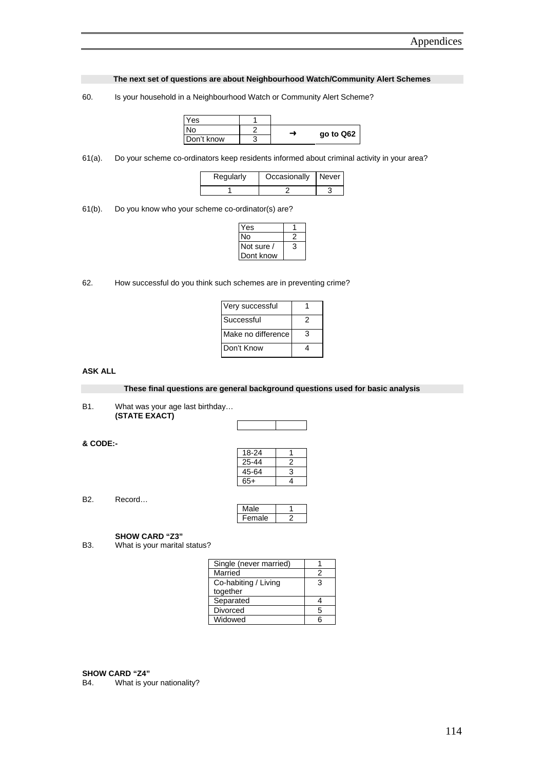**The next set of questions are about Neighbourhood Watch/Community Alert Schemes** 

60. Is your household in a Neighbourhood Watch or Community Alert Scheme?

| Yes        |   |           |
|------------|---|-----------|
| N٥         | ∸ | go to Q62 |
| Don't know |   |           |

61(a). Do your scheme co-ordinators keep residents informed about criminal activity in your area?

| Regularly | Occasionally Never |  |
|-----------|--------------------|--|
|           |                    |  |

61(b). Do you know who your scheme co-ordinator(s) are?

| ′es        |   |
|------------|---|
| N٥         |   |
| Not sure / | 3 |
| Dont know  |   |

62. How successful do you think such schemes are in preventing crime?

| Very successful    |   |
|--------------------|---|
| l Successful       | 2 |
| Make no difference | З |
| Don't Know         |   |

### **ASK ALL**

**These final questions are general background questions used for basic analysis** 

B1. What was your age last birthday… **(STATE EXACT)** 

#### **& CODE:-**

| 18-24 |   |
|-------|---|
| 25-44 | 2 |
| 45-64 | 3 |
| 65+   |   |
|       |   |

B2. Record…

| lale  |  |
|-------|--|
| emaie |  |

**SHOW CARD "Z3"**<br>B3. What is your marital What is your marital status?

| Single (never married) |   |
|------------------------|---|
| Married                | 2 |
| Co-habiting / Living   | 3 |
| together               |   |
| Separated              |   |
| <b>Divorced</b>        | 5 |
| Widowed                |   |

**SHOW CARD "Z4"**  B4. What is your nationality?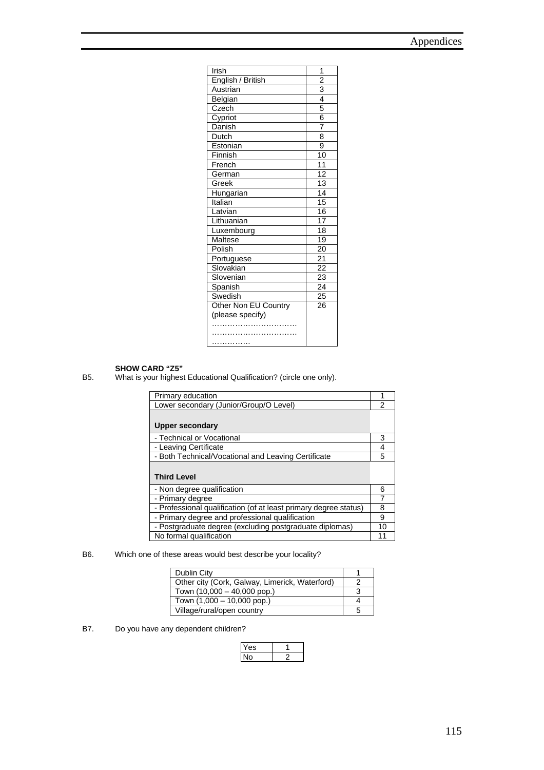| <b>Irish</b>         | 1                       |
|----------------------|-------------------------|
| English / British    |                         |
| Austrian             |                         |
| Belgian              | $\frac{2}{3}$           |
| Czech                | 5                       |
| Cypriot              | $\overline{6}$          |
| Danish               | 7                       |
| Dutch                | $\overline{\mathbf{8}}$ |
| Estonian             | $\overline{9}$          |
| Finnish              | 10                      |
| French               | $\overline{11}$         |
| German               | 12                      |
| Greek                | $\overline{13}$         |
| Hungarian            | 14                      |
| Italian              | 15                      |
| Latvian              | 16                      |
| Lithuanian           | $\overline{17}$         |
| Luxembourg           | 18                      |
| Maltese              | $\overline{19}$         |
| Polish               | 20                      |
| Portuguese           | $\overline{21}$         |
| Slovakian            | 22                      |
| Slovenian            | $\overline{23}$         |
| Spanish              | 24                      |
| Swedish              | 25                      |
| Other Non EU Country | 26                      |
| (please specify)     |                         |
|                      |                         |
| .                    |                         |
|                      |                         |

**SHOW CARD "Z5"**<br>B5. What is your highest What is your highest Educational Qualification? (circle one only).

| Primary education                                                |    |
|------------------------------------------------------------------|----|
| Lower secondary (Junior/Group/O Level)                           |    |
|                                                                  |    |
| <b>Upper secondary</b>                                           |    |
| - Technical or Vocational                                        | 3  |
| - Leaving Certificate                                            | 4  |
|                                                                  |    |
| - Both Technical/Vocational and Leaving Certificate              | 5  |
|                                                                  |    |
| <b>Third Level</b>                                               |    |
| - Non degree qualification                                       | 6  |
| - Primary degree                                                 |    |
| - Professional qualification (of at least primary degree status) | 8  |
| - Primary degree and professional qualification                  | 9  |
| - Postgraduate degree (excluding postgraduate diplomas)          | 10 |

### B6. Which one of these areas would best describe your locality?

| Dublin City                                    |   |
|------------------------------------------------|---|
| Other city (Cork, Galway, Limerick, Waterford) |   |
| Town (10,000 - 40,000 pop.)                    |   |
| Town (1,000 - 10,000 pop.)                     |   |
| Village/rural/open country                     | b |

B7. Do you have any dependent children?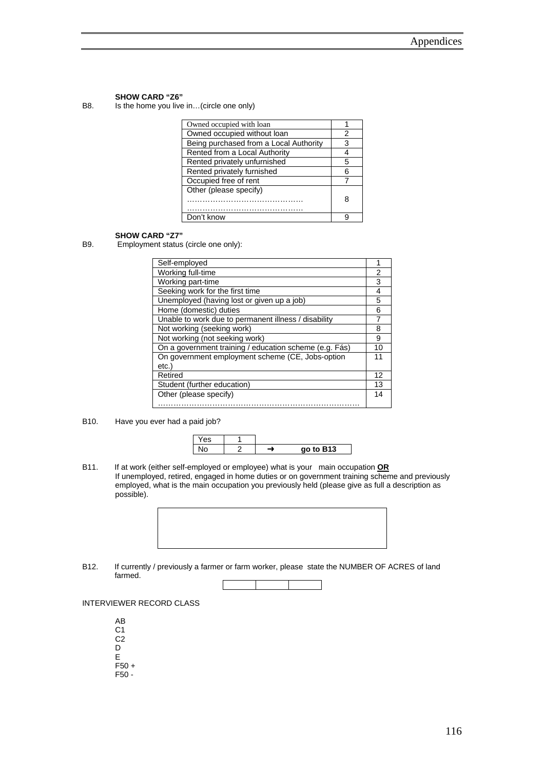**SHOW CARD "Z6"**<br>B8. Is the home you live Is the home you live in...(circle one only)

| Owned occupied with loan               |   |
|----------------------------------------|---|
| Owned occupied without loan            | 2 |
| Being purchased from a Local Authority | 3 |
| Rented from a Local Authority          |   |
| Rented privately unfurnished           | 5 |
| Rented privately furnished             | 6 |
| Occupied free of rent                  |   |
| Other (please specify)                 | 8 |
| Don't know                             | q |

**SHOW CARD "Z7"**<br>B9. Employment status Employment status (circle one only):

| Self-employed                                          | 1  |
|--------------------------------------------------------|----|
| Working full-time                                      | 2  |
| Working part-time                                      | 3  |
| Seeking work for the first time                        | 4  |
| Unemployed (having lost or given up a job)             | 5  |
| Home (domestic) duties                                 | 6  |
| Unable to work due to permanent illness / disability   | 7  |
| Not working (seeking work)                             | 8  |
| Not working (not seeking work)                         | 9  |
| On a government training / education scheme (e.g. Fás) | 10 |
| On government employment scheme (CE, Jobs-option       | 11 |
| etc.                                                   |    |
| Retired                                                | 12 |
| Student (further education)                            | 13 |
| Other (please specify)                                 | 14 |
|                                                        |    |

B10. Have you ever had a paid job?



B11. If at work (either self-employed or employee) what is your main occupation **OR** If unemployed, retired, engaged in home duties or on government training scheme and previously employed, what is the main occupation you previously held (please give as full a description as possible).



B12. If currently / previously a farmer or farm worker, please state the NUMBER OF ACRES of land farmed.



INTERVIEWER RECORD CLASS

- AB C1 C2 D E F50 +
- F50 -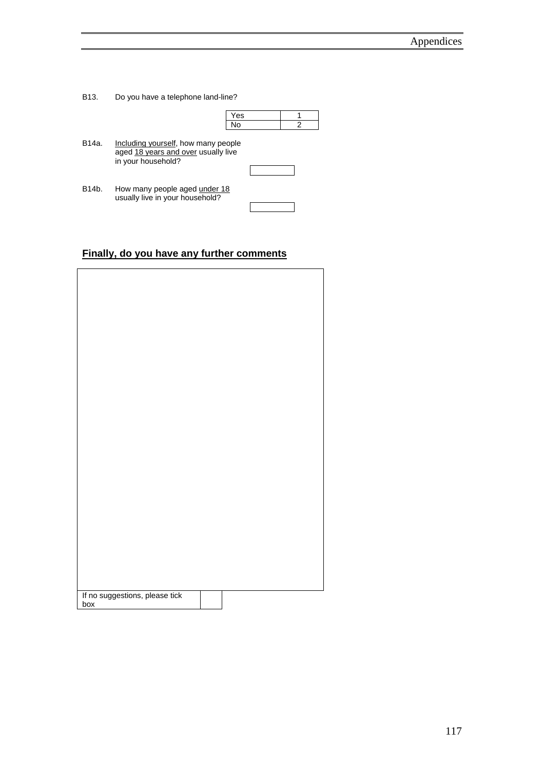B13. Do you have a telephone land-line?

|       |                                                                                                  | Yes |  |   |
|-------|--------------------------------------------------------------------------------------------------|-----|--|---|
|       |                                                                                                  | No  |  | 2 |
| B14a. | Including yourself, how many people<br>aged 18 years and over usually live<br>in your household? |     |  |   |
| B14b. | How many people aged under 18<br>usually live in your household?                                 |     |  |   |

## **Finally, do you have any further comments**

| If no suggestions, please tick<br>box |  |
|---------------------------------------|--|
|                                       |  |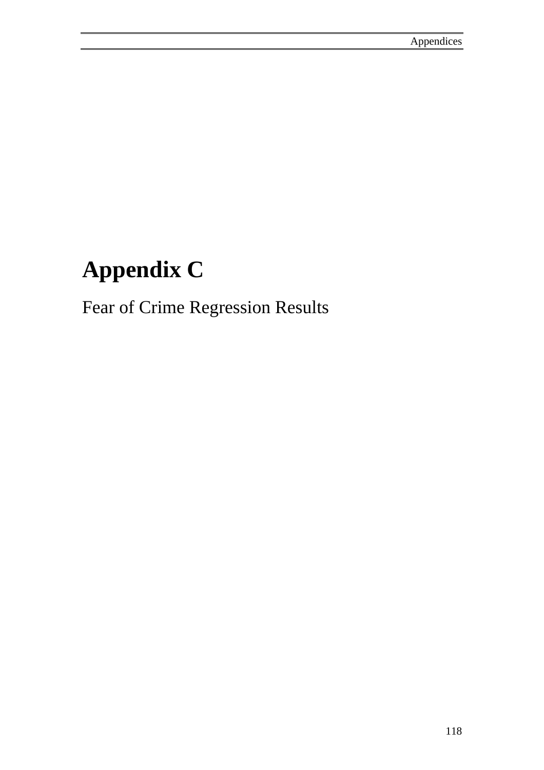# **Appendix C**

Fear of Crime Regression Results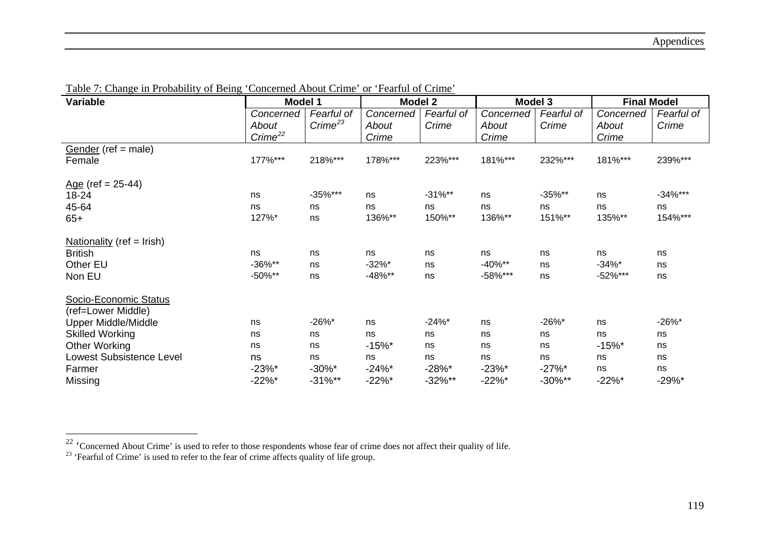| Variable                        | <b>Model 1</b>         |                  | <b>Model 2</b> |            | Model 3    |            | <b>Final Model</b> |             |
|---------------------------------|------------------------|------------------|----------------|------------|------------|------------|--------------------|-------------|
|                                 | Concerned              | Fearful of       | Concerned      | Fearful of | Concerned  | Fearful of | Concerned          | Fearful of  |
|                                 | About                  | $C$ rime $^{23}$ | About          | Crime      | About      | Crime      | About              | Crime       |
|                                 | $C$ rime <sup>22</sup> |                  | Crime          |            | Crime      |            | Crime              |             |
| Gender (ref = male)             |                        |                  |                |            |            |            |                    |             |
| Female                          | 177%***                | 218%***          | 178%***        | 223%***    | 181%***    | 232%***    | 181%***            | 239%***     |
| $Age$ (ref = 25-44)             |                        |                  |                |            |            |            |                    |             |
| 18-24                           | ns                     | $-35\%$ ***      | ns             | $-31\%**$  | ns         | $-35\%**$  | ns                 | $-34\%$ *** |
| 45-64                           | ns                     | ns               | ns             | ns         | ns         | ns         | ns                 | ns          |
| $65+$                           | 127%*                  | ns               | 136%**         | 150%**     | 136%**     | 151%**     | 135%**             | 154%***     |
| Nationality ( $ref = Irish$ )   |                        |                  |                |            |            |            |                    |             |
| <b>British</b>                  | ns                     | ns               | ns             | ns         | ns         | ns         | ns                 | ns          |
| Other EU                        | $-36\%**$              | ns               | $-32\%$ *      | ns         | $-40\%$ ** | ns         | $-34%$ *           | ns          |
| Non EU                          | $-50\%$ **             | ns               | $-48%$ **      | ns         | $-58\%***$ | ns         | $-52\%***$         | ns          |
| Socio-Economic Status           |                        |                  |                |            |            |            |                    |             |
| (ref=Lower Middle)              |                        |                  |                |            |            |            |                    |             |
| <b>Upper Middle/Middle</b>      | ns                     | $-26\%$ *        | ns             | $-24%$     | ns         | $-26\%$ *  | ns                 | $-26\%$ *   |
| <b>Skilled Working</b>          | ns                     | ns               | ns             | ns         | ns         | ns         | ns                 | ns          |
| <b>Other Working</b>            | ns                     | ns               | $-15%$         | ns         | ns         | ns         | $-15%$             | ns          |
| <b>Lowest Subsistence Level</b> | ns                     | ns               | ns             | ns         | ns         | ns         | ns                 | ns          |
| Farmer                          | $-23%$ *               | $-30\%$ *        | $-24%$ *       | $-28%$ *   | $-23%$ *   | $-27%$ *   | ns                 | ns          |
| Missing                         | $-22\%$ *              | $-31\%**$        | $-22\%$ *      | $-32\%**$  | $-22%$ *   | $-30\%**$  | $-22%$ *           | -29%*       |

Table 7: Change in Probability of Being 'Concerned About Crime' or 'Fearful of Crime'

<span id="page-133-1"></span><span id="page-133-0"></span><sup>&</sup>lt;sup>22</sup> 'Concerned About Crime' is used to refer to those respondents whose fear of crime does not affect their quality of life.

 $23$  'Fearful of Crime' is used to refer to the fear of crime affects quality of life group.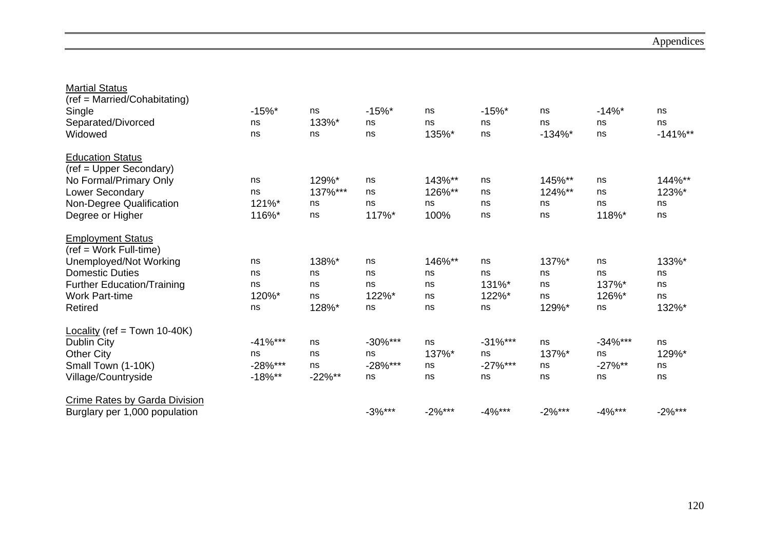| <b>Martial Status</b>                |            |           |            |           |            |            |            |            |
|--------------------------------------|------------|-----------|------------|-----------|------------|------------|------------|------------|
| (ref = Married/Cohabitating)         |            |           |            |           |            |            |            |            |
| Single                               | $-15%$     | ns        | $-15%$ *   | ns        | $-15%$ *   | ns         | $-14%$     | ns         |
| Separated/Divorced                   | ns         | 133%*     | ns         | ns        | ns         | ns         | ns         | ns         |
| Widowed                              | ns         | ns        | ns         | 135%*     | ns         | $-134\%$ * | ns         | $-141\%**$ |
| <b>Education Status</b>              |            |           |            |           |            |            |            |            |
| (ref = Upper Secondary)              |            |           |            |           |            |            |            |            |
| No Formal/Primary Only               | ns         | 129%*     | ns         | 143%**    | ns         | 145%**     | ns         | 144%**     |
| Lower Secondary                      | ns         | 137%***   | ns         | 126%**    | ns         | 124%**     | ns         | 123%*      |
| Non-Degree Qualification             | 121%*      | ns        | ns         | ns        | ns         | ns         | ns         | ns         |
| Degree or Higher                     | 116%*      | ns        | 117%*      | 100%      | ns         | ns         | 118%*      | ns         |
| <b>Employment Status</b>             |            |           |            |           |            |            |            |            |
| $(ref = Work Full-time)$             |            |           |            |           |            |            |            |            |
| Unemployed/Not Working               | ns         | 138%*     | ns         | 146%**    | ns         | 137%*      | ns         | 133%*      |
| <b>Domestic Duties</b>               | ns         | ns        | ns         | ns        | ns         | ns         | ns         | ns         |
| <b>Further Education/Training</b>    | ns         | ns        | ns         | ns        | 131%*      | ns         | 137%*      | ns         |
| <b>Work Part-time</b>                | 120%*      | ns        | 122%*      | ns        | 122%*      | ns         | 126%*      | ns         |
| Retired                              | ns         | 128%*     | ns         | ns        | ns         | 129%*      | ns         | 132%*      |
| Locality (ref = Town 10-40K)         |            |           |            |           |            |            |            |            |
| <b>Dublin City</b>                   | $-41\%***$ | ns        | $-30\%***$ | ns        | $-31\%***$ | ns         | $-34\%***$ | ns         |
| <b>Other City</b>                    | ns         | ns        | ns         | 137%*     | ns         | 137%*      | ns         | 129%*      |
| Small Town (1-10K)                   | $-28%***$  | ns        | $-28%***$  | ns        | $-27\%***$ | ns         | $-27\%$ ** | ns         |
| Village/Countryside                  | $-18\%**$  | $-22\%**$ | ns         | ns        | ns         | ns         | ns         | ns         |
| <b>Crime Rates by Garda Division</b> |            |           |            |           |            |            |            |            |
| Burglary per 1,000 population        |            |           | $-3%***$   | $-2\%***$ | $-4%***$   | $-2\%***$  | $-4%***$   | $-2\%***$  |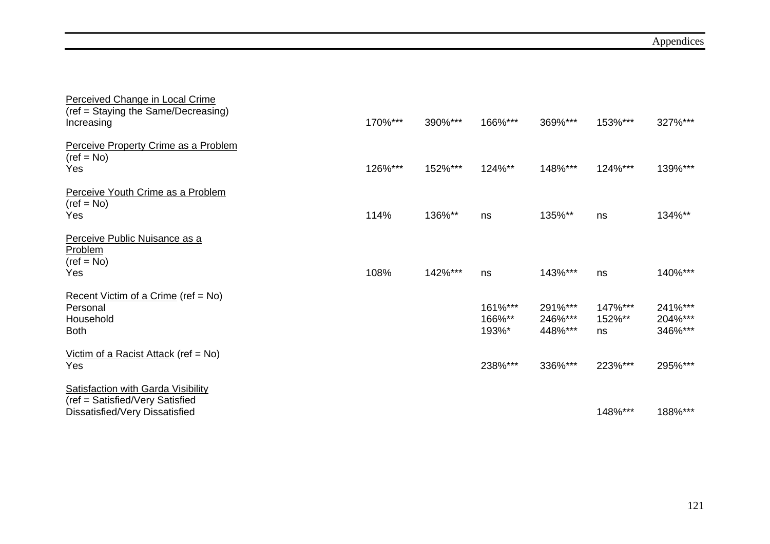| Perceived Change in Local Crime<br>(ref = Staying the Same/Decreasing)<br>Increasing                           | 170%*** | 390%*** | 166%***                    | 369%***                       | 153%***                 | 327%***                       |
|----------------------------------------------------------------------------------------------------------------|---------|---------|----------------------------|-------------------------------|-------------------------|-------------------------------|
| Perceive Property Crime as a Problem<br>$(ref = No)$<br>Yes                                                    | 126%*** | 152%*** | 124%**                     | 148%***                       | 124%***                 | 139%***                       |
| Perceive Youth Crime as a Problem<br>$(ref = No)$<br>Yes                                                       | 114%    | 136%**  | ns                         | 135%**                        | ns                      | 134%**                        |
| Perceive Public Nuisance as a<br>Problem<br>$(ref = No)$<br>Yes                                                | 108%    | 142%*** | ns                         | 143%***                       | ns                      | 140%***                       |
| Recent Victim of a Crime (ref = No)<br>Personal<br>Household<br><b>Both</b>                                    |         |         | 161%***<br>166%**<br>193%* | 291%***<br>246%***<br>448%*** | 147%***<br>152%**<br>ns | 241%***<br>204%***<br>346%*** |
| Victim of a Racist Attack (ref = $No$ )<br>Yes                                                                 |         |         | 238%***                    | 336%***                       | 223%***                 | 295%***                       |
| <b>Satisfaction with Garda Visibility</b><br>(ref = Satisfied/Very Satisfied<br>Dissatisfied/Very Dissatisfied |         |         |                            |                               | 148%***                 | 188%***                       |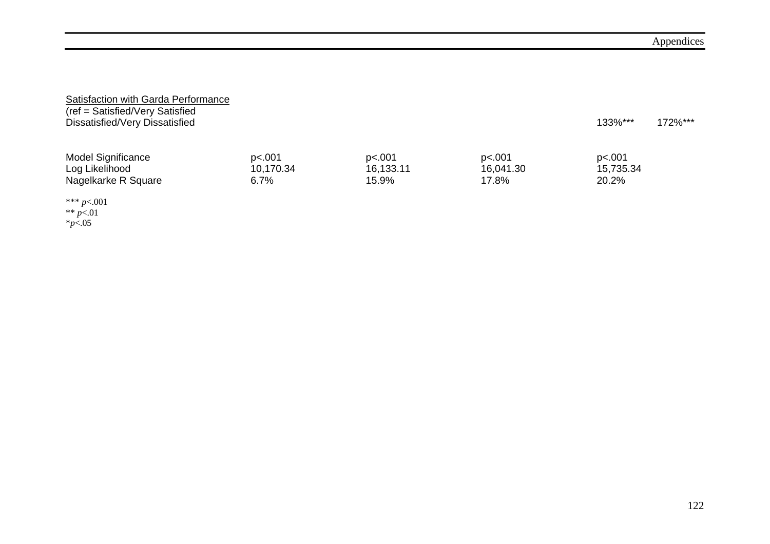| Satisfaction with Garda Performance<br>(ref = Satisfied/Very Satisfied<br>Dissatisfied/Very Dissatisfied |                     |                     |                     | 133%***             | 172%*** |
|----------------------------------------------------------------------------------------------------------|---------------------|---------------------|---------------------|---------------------|---------|
| <b>Model Significance</b><br>Log Likelihood                                                              | p<.001<br>10,170.34 | p<.001<br>16,133.11 | p<.001<br>16,041.30 | p<.001<br>15,735.34 |         |
| Nagelkarke R Square                                                                                      | 6.7%                | 15.9%               | 17.8%               | 20.2%               |         |
| *** $p<.001$                                                                                             |                     |                     |                     |                     |         |

\*\* *p*<.01 \**p*<.05